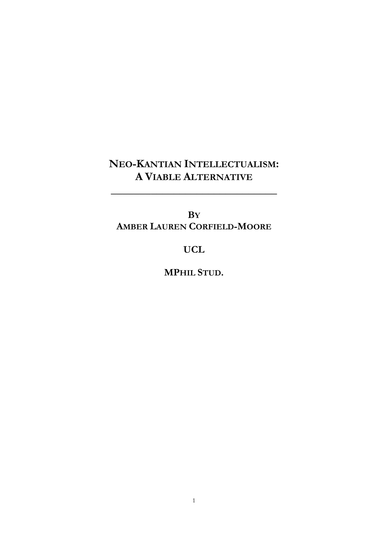## **NEO-KANTIAN INTELLECTUALISM: A VIABLE ALTERNATIVE**

**\_\_\_\_\_\_\_\_\_\_\_\_\_\_\_\_\_\_\_\_\_\_\_\_\_\_\_\_\_**

**BY AMBER LAUREN CORFIELD-MOORE**

## **UCL**

**MPHIL STUD.**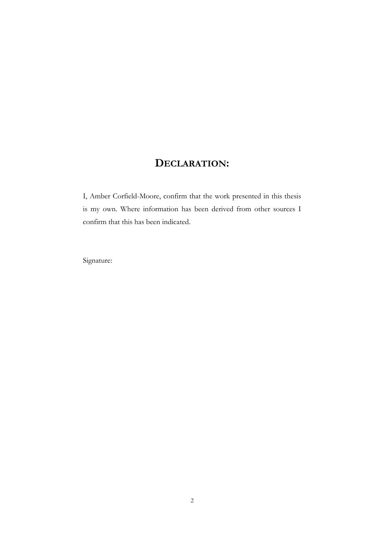## **DECLARATION:**

I, Amber Corfield-Moore, confirm that the work presented in this thesis is my own. Where information has been derived from other sources I confirm that this has been indicated.

Signature: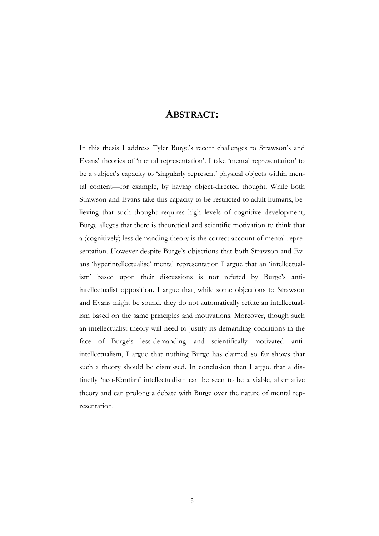#### **ABSTRACT:**

In this thesis I address Tyler Burge's recent challenges to Strawson's and Evans" theories of "mental representation". I take "mental representation" to be a subject's capacity to 'singularly represent' physical objects within mental content—for example, by having object-directed thought. While both Strawson and Evans take this capacity to be restricted to adult humans, believing that such thought requires high levels of cognitive development, Burge alleges that there is theoretical and scientific motivation to think that a (cognitively) less demanding theory is the correct account of mental representation. However despite Burge's objections that both Strawson and Evans "hyperintellectualise" mental representation I argue that an "intellectualism' based upon their discussions is not refuted by Burge's antiintellectualist opposition. I argue that, while some objections to Strawson and Evans might be sound, they do not automatically refute an intellectualism based on the same principles and motivations. Moreover, though such an intellectualist theory will need to justify its demanding conditions in the face of Burge's less-demanding—and scientifically motivated—antiintellectualism, I argue that nothing Burge has claimed so far shows that such a theory should be dismissed. In conclusion then I argue that a distinctly "neo-Kantian" intellectualism can be seen to be a viable, alternative theory and can prolong a debate with Burge over the nature of mental representation.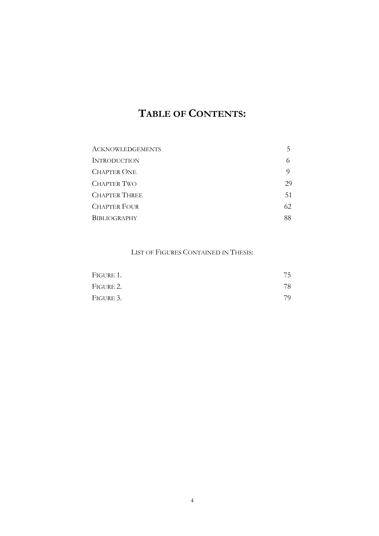## **TABLE OF CONTENTS:**

| <b>ACKNOWLEDGEMENTS</b> | 5   |
|-------------------------|-----|
| <b>INTRODUCTION</b>     |     |
| <b>CHAPTER ONE</b>      |     |
| <b>CHAPTER TWO</b>      | 29  |
| <b>CHAPTER THREE</b>    | 51  |
| <b>CHAPTER FOUR</b>     | 62. |
| <b>BIBLIOGRAPHY</b>     | 88  |

#### LIST OF FIGURES CONTAINED IN THESIS:

| Figure 1. | 75 |
|-----------|----|
| Figure 2. | 78 |
| Figure 3. | 79 |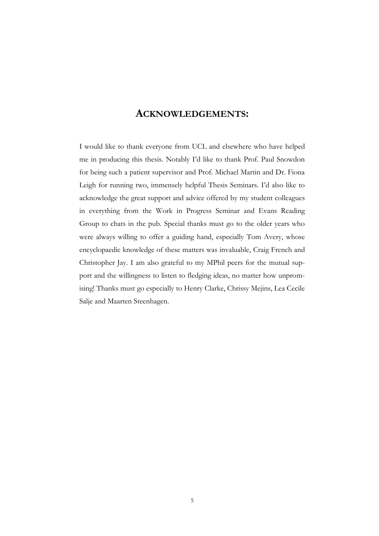#### **ACKNOWLEDGEMENTS:**

I would like to thank everyone from UCL and elsewhere who have helped me in producing this thesis. Notably I"d like to thank Prof. Paul Snowdon for being such a patient supervisor and Prof. Michael Martin and Dr. Fiona Leigh for running two, immensely helpful Thesis Seminars. I"d also like to acknowledge the great support and advice offered by my student colleagues in everything from the Work in Progress Seminar and Evans Reading Group to chats in the pub. Special thanks must go to the older years who were always willing to offer a guiding hand, especially Tom Avery, whose encyclopaedic knowledge of these matters was invaluable, Craig French and Christopher Jay. I am also grateful to my MPhil peers for the mutual support and the willingness to listen to fledging ideas, no matter how unpromising! Thanks must go especially to Henry Clarke, Chrissy Mejins, Lea Cecile Salje and Maarten Steenhagen.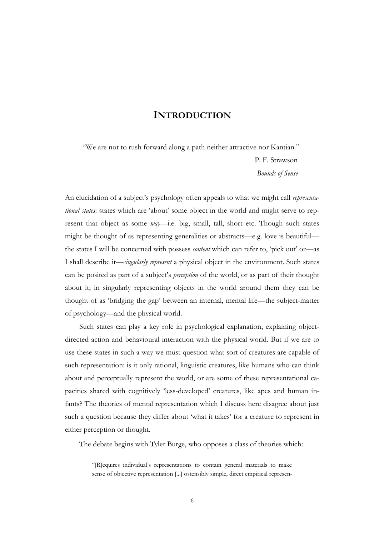#### **INTRODUCTION**

"We are not to rush forward along a path neither attractive nor Kantian." P. F. Strawson *Bounds of Sense*

An elucidation of a subject's psychology often appeals to what we might call *representational states*: states which are 'about' some object in the world and might serve to represent that object as some *way*—i.e. big, small, tall, short etc. Though such states might be thought of as representing generalities or abstracts—e.g. love is beautiful the states I will be concerned with possess *content* which can refer to, 'pick out' or—as I shall describe it—*singularly represent* a physical object in the environment. Such states can be posited as part of a subject"s *perception* of the world, or as part of their thought about it; in singularly representing objects in the world around them they can be thought of as "bridging the gap" between an internal, mental life—the subject-matter of psychology—and the physical world.

Such states can play a key role in psychological explanation, explaining objectdirected action and behavioural interaction with the physical world. But if we are to use these states in such a way we must question what sort of creatures are capable of such representation: is it only rational, linguistic creatures, like humans who can think about and perceptually represent the world, or are some of these representational capacities shared with cognitively "less-developed" creatures, like apes and human infants? The theories of mental representation which I discuss here disagree about just such a question because they differ about 'what it takes' for a creature to represent in either perception or thought.

The debate begins with Tyler Burge, who opposes a class of theories which:

"[R]equires individual"s representations to contain general materials to make sense of objective representation [...] ostensibly simple, direct empirical represen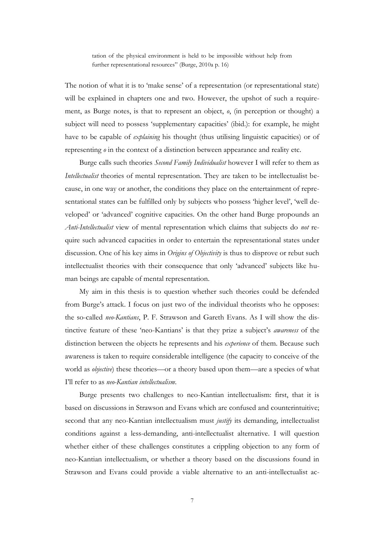tation of the physical environment is held to be impossible without help from further representational resources" (Burge, 2010a p. 16)

The notion of what it is to 'make sense' of a representation (or representational state) will be explained in chapters one and two. However, the upshot of such a requirement, as Burge notes, is that to represent an object, *o*, (in perception or thought) a subject will need to possess 'supplementary capacities' (ibid.): for example, he might have to be capable of *explaining* his thought (thus utilising linguistic capacities) or of representing *o* in the context of a distinction between appearance and reality etc.

Burge calls such theories *Second Family Individualist* however I will refer to them as *Intellectualist* theories of mental representation. They are taken to be intellectualist because, in one way or another, the conditions they place on the entertainment of representational states can be fulfilled only by subjects who possess "higher level", "well developed" or "advanced" cognitive capacities. On the other hand Burge propounds an *Anti-Intellectualist* view of mental representation which claims that subjects do *not* require such advanced capacities in order to entertain the representational states under discussion. One of his key aims in *Origins of Objectivity* is thus to disprove or rebut such intellectualist theories with their consequence that only "advanced" subjects like human beings are capable of mental representation.

My aim in this thesis is to question whether such theories could be defended from Burge's attack. I focus on just two of the individual theorists who he opposes: the so-called *neo-Kantians*, P. F. Strawson and Gareth Evans. As I will show the distinctive feature of these 'neo-Kantians' is that they prize a subject's *awareness* of the distinction between the objects he represents and his *experience* of them. Because such awareness is taken to require considerable intelligence (the capacity to conceive of the world as *objective*) these theories—or a theory based upon them—are a species of what I"ll refer to as *neo-Kantian intellectualism*.

Burge presents two challenges to neo-Kantian intellectualism: first, that it is based on discussions in Strawson and Evans which are confused and counterintuitive; second that any neo-Kantian intellectualism must *justify* its demanding, intellectualist conditions against a less-demanding, anti-intellectualist alternative. I will question whether either of these challenges constitutes a crippling objection to any form of neo-Kantian intellectualism, or whether a theory based on the discussions found in Strawson and Evans could provide a viable alternative to an anti-intellectualist ac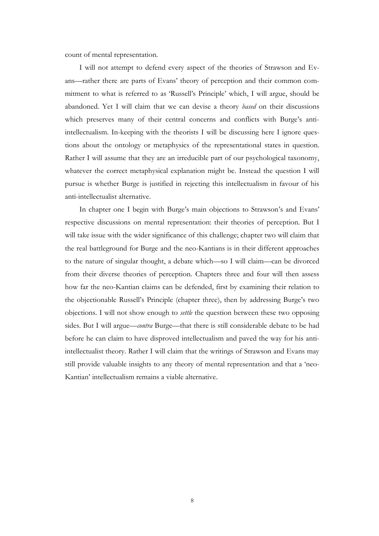count of mental representation.

I will not attempt to defend every aspect of the theories of Strawson and Evans—rather there are parts of Evans" theory of perception and their common commitment to what is referred to as "Russell"s Principle" which, I will argue, should be abandoned. Yet I will claim that we can devise a theory *based* on their discussions which preserves many of their central concerns and conflicts with Burge's antiintellectualism. In-keeping with the theorists I will be discussing here I ignore questions about the ontology or metaphysics of the representational states in question. Rather I will assume that they are an irreducible part of our psychological taxonomy, whatever the correct metaphysical explanation might be. Instead the question I will pursue is whether Burge is justified in rejecting this intellectualism in favour of his anti-intellectualist alternative.

In chapter one I begin with Burge's main objections to Strawson's and Evans' respective discussions on mental representation: their theories of perception. But I will take issue with the wider significance of this challenge; chapter two will claim that the real battleground for Burge and the neo-Kantians is in their different approaches to the nature of singular thought, a debate which—so I will claim—can be divorced from their diverse theories of perception. Chapters three and four will then assess how far the neo-Kantian claims can be defended, first by examining their relation to the objectionable Russell"s Principle (chapter three), then by addressing Burge"s two objections. I will not show enough to *settle* the question between these two opposing sides. But I will argue—*contra* Burge—that there is still considerable debate to be had before he can claim to have disproved intellectualism and paved the way for his antiintellectualist theory. Rather I will claim that the writings of Strawson and Evans may still provide valuable insights to any theory of mental representation and that a "neo-Kantian" intellectualism remains a viable alternative.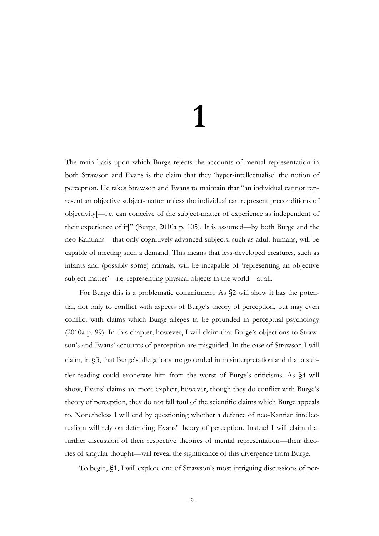# **1**

The main basis upon which Burge rejects the accounts of mental representation in both Strawson and Evans is the claim that they "hyper-intellectualise" the notion of perception. He takes Strawson and Evans to maintain that "an individual cannot represent an objective subject-matter unless the individual can represent preconditions of objectivity[—i.e. can conceive of the subject-matter of experience as independent of their experience of it]" (Burge, 2010a p. 105). It is assumed—by both Burge and the neo-Kantians—that only cognitively advanced subjects, such as adult humans, will be capable of meeting such a demand. This means that less-developed creatures, such as infants and (possibly some) animals, will be incapable of "representing an objective subject-matter'—i.e. representing physical objects in the world—at all.

For Burge this is a problematic commitment. As §2 will show it has the potential, not only to conflict with aspects of Burge's theory of perception, but may even conflict with claims which Burge alleges to be grounded in perceptual psychology (2010a p. 99). In this chapter, however, I will claim that Burge"s objections to Strawson's and Evans' accounts of perception are misguided. In the case of Strawson I will claim, in §3, that Burge's allegations are grounded in misinterpretation and that a subtler reading could exonerate him from the worst of Burge's criticisms. As §4 will show, Evans' claims are more explicit; however, though they do conflict with Burge's theory of perception, they do not fall foul of the scientific claims which Burge appeals to. Nonetheless I will end by questioning whether a defence of neo-Kantian intellectualism will rely on defending Evans" theory of perception. Instead I will claim that further discussion of their respective theories of mental representation—their theories of singular thought—will reveal the significance of this divergence from Burge.

To begin, §1, I will explore one of Strawson"s most intriguing discussions of per-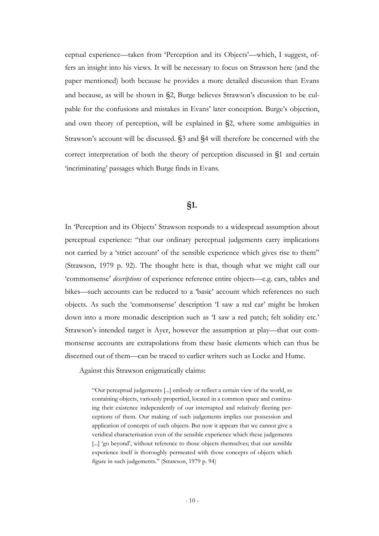ceptual experience—taken from "Perception and its Objects"—which, I suggest, offers an insight into his views. It will be necessary to focus on Strawson here (and the paper mentioned) both because he provides a more detailed discussion than Evans and because, as will be shown in §2, Burge believes Strawson"s discussion to be culpable for the confusions and mistakes in Evans" later conception. Burge"s objection, and own theory of perception, will be explained in §2, where some ambiguities in Strawson"s account will be discussed. §3 and §4 will therefore be concerned with the correct interpretation of both the theory of perception discussed in §1 and certain "incriminating" passages which Burge finds in Evans.

#### **§1.**

In "Perception and its Objects" Strawson responds to a widespread assumption about perceptual experience: "that our ordinary perceptual judgements carry implications not carried by a "strict account" of the sensible experience which gives rise to them" (Strawson, 1979 p. 92). The thought here is that, though what we might call our "commonsense" *descriptions* of experience reference entire objects—e.g. cars, tables and bikes—such accounts can be reduced to a "basic" account which references no such objects. As such the "commonsense" description "I saw a red car" might be broken down into a more monadic description such as 'I saw a red patch; felt solidity etc.' Strawson's intended target is Ayer, however the assumption at play—that our commonsense accounts are extrapolations from these basic elements which can thus be discerned out of them—can be traced to earlier writers such as Locke and Hume.

Against this Strawson enigmatically claims:

"Our perceptual judgements [...] embody or reflect a certain view of the world, as containing objects, variously propertied, located in a common space and continuing their existence independently of our interrupted and relatively fleeting perceptions of them. Our making of such judgements implies our possession and application of concepts of such objects. But now it appears that we cannot give a veridical characterisation even of the sensible experience which these judgements [...] 'go beyond', without reference to those objects themselves; that our sensible experience itself is thoroughly permeated with those concepts of objects which figure in such judgements." (Strawson, 1979 p. 94)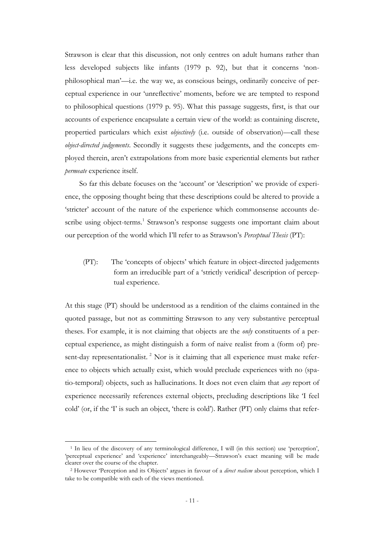Strawson is clear that this discussion, not only centres on adult humans rather than less developed subjects like infants (1979 p. 92), but that it concerns "nonphilosophical man"—i.e. the way we, as conscious beings, ordinarily conceive of perceptual experience in our "unreflective" moments, before we are tempted to respond to philosophical questions (1979 p. 95). What this passage suggests, first, is that our accounts of experience encapsulate a certain view of the world: as containing discrete, propertied particulars which exist *objectively* (i.e. outside of observation)—call these *object-directed judgements*. Secondly it suggests these judgements, and the concepts employed therein, aren"t extrapolations from more basic experiential elements but rather *permeate* experience itself.

So far this debate focuses on the 'account' or 'description' we provide of experience, the opposing thought being that these descriptions could be altered to provide a 'stricter' account of the nature of the experience which commonsense accounts describe using object-terms.<sup>1</sup> Strawson's response suggests one important claim about our perception of the world which I"ll refer to as Strawson"s *Perceptual Thesis* (PT):

(PT): The "concepts of objects" which feature in object-directed judgements form an irreducible part of a "strictly veridical" description of perceptual experience.

At this stage (PT) should be understood as a rendition of the claims contained in the quoted passage, but not as committing Strawson to any very substantive perceptual theses. For example, it is not claiming that objects are the *only* constituents of a perceptual experience, as might distinguish a form of naive realist from a (form of) present-day representationalist.<sup>2</sup> Nor is it claiming that all experience must make reference to objects which actually exist, which would preclude experiences with no (spatio-temporal) objects, such as hallucinations. It does not even claim that *any* report of experience necessarily references external objects, precluding descriptions like "I feel cold' (or, if the 'I' is such an object, 'there is cold'). Rather (PT) only claims that refer-

<sup>&</sup>lt;sup>1</sup> In lieu of the discovery of any terminological difference, I will (in this section) use 'perception', 'perceptual experience' and 'experience' interchangeably—Strawson's exact meaning will be made clearer over the course of the chapter.

<sup>2</sup> However "Perception and its Objects" argues in favour of a *direct realism* about perception, which I take to be compatible with each of the views mentioned.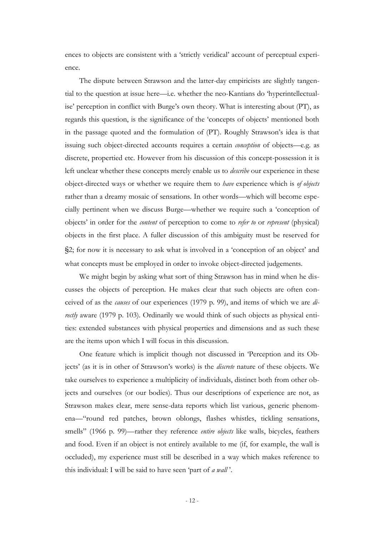ences to objects are consistent with a "strictly veridical" account of perceptual experience.

The dispute between Strawson and the latter-day empiricists are slightly tangential to the question at issue here—i.e. whether the neo-Kantians do "hyperintellectualise' perception in conflict with Burge's own theory. What is interesting about (PT), as regards this question, is the significance of the "concepts of objects" mentioned both in the passage quoted and the formulation of (PT). Roughly Strawson's idea is that issuing such object-directed accounts requires a certain *conception* of objects—e.g. as discrete, propertied etc. However from his discussion of this concept-possession it is left unclear whether these concepts merely enable us to *describe* our experience in these object-directed ways or whether we require them to *have* experience which is *of objects* rather than a dreamy mosaic of sensations. In other words—which will become especially pertinent when we discuss Burge—whether we require such a "conception of objects" in order for the *content* of perception to come to *refer to* or *represent* (physical) objects in the first place. A fuller discussion of this ambiguity must be reserved for §2; for now it is necessary to ask what is involved in a 'conception of an object' and what concepts must be employed in order to invoke object-directed judgements.

We might begin by asking what sort of thing Strawson has in mind when he discusses the objects of perception. He makes clear that such objects are often conceived of as the *causes* of our experiences (1979 p. 99), and items of which we are *directly* aware (1979 p. 103). Ordinarily we would think of such objects as physical entities: extended substances with physical properties and dimensions and as such these are the items upon which I will focus in this discussion.

One feature which is implicit though not discussed in "Perception and its Objects" (as it is in other of Strawson"s works) is the *discrete* nature of these objects. We take ourselves to experience a multiplicity of individuals, distinct both from other objects and ourselves (or our bodies). Thus our descriptions of experience are not, as Strawson makes clear, mere sense-data reports which list various, generic phenomena—"round red patches, brown oblongs, flashes whistles, tickling sensations, smells" (1966 p. 99)—rather they reference *entire objects* like walls, bicycles, feathers and food. Even if an object is not entirely available to me (if, for example, the wall is occluded), my experience must still be described in a way which makes reference to this individual: I will be said to have seen "part of *a wall* ".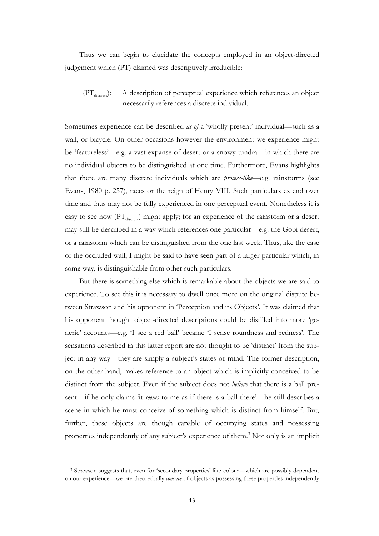Thus we can begin to elucidate the concepts employed in an object-directed judgement which (PT) claimed was descriptively irreducible:

#### $(PT<sub>discrete</sub>)$ : A description of perceptual experience which references an object necessarily references a discrete individual.

Sometimes experience can be described *as of* a 'wholly present' individual—such as a wall, or bicycle. On other occasions however the environment we experience might be "featureless"—e.g. a vast expanse of desert or a snowy tundra—in which there are no individual objects to be distinguished at one time. Furthermore, Evans highlights that there are many discrete individuals which are *process-like*—e.g. rainstorms (see Evans, 1980 p. 257), races or the reign of Henry VIII. Such particulars extend over time and thus may not be fully experienced in one perceptual event. Nonetheless it is easy to see how  $(PT_{discrete})$  might apply; for an experience of the rainstorm or a desert may still be described in a way which references one particular—e.g. the Gobi desert, or a rainstorm which can be distinguished from the one last week. Thus, like the case of the occluded wall, I might be said to have seen part of a larger particular which, in some way, is distinguishable from other such particulars.

But there is something else which is remarkable about the objects we are said to experience. To see this it is necessary to dwell once more on the original dispute between Strawson and his opponent in 'Perception and its Objects'. It was claimed that his opponent thought object-directed descriptions could be distilled into more "generic' accounts—e.g. 'I see a red ball' became 'I sense roundness and redness'. The sensations described in this latter report are not thought to be "distinct" from the subject in any way—they are simply a subject's states of mind. The former description, on the other hand, makes reference to an object which is implicitly conceived to be distinct from the subject. Even if the subject does not *believe* that there is a ball present—if he only claims "it *seems* to me as if there is a ball there"—he still describes a scene in which he must conceive of something which is distinct from himself. But, further, these objects are though capable of occupying states and possessing properties independently of any subject"s experience of them.<sup>3</sup> Not only is an implicit

<sup>3</sup> Strawson suggests that, even for "secondary properties" like colour—which are possibly dependent on our experience—we pre-theoretically *conceive* of objects as possessing these properties independently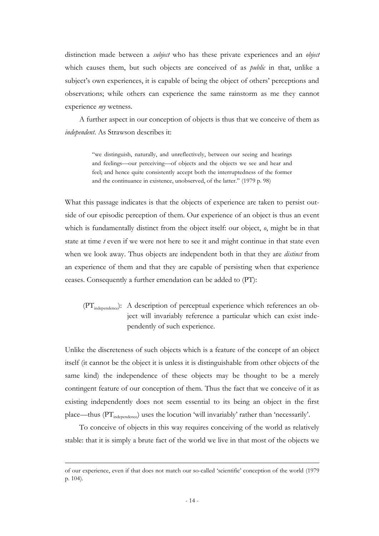distinction made between a *subject* who has these private experiences and an *object*  which causes them, but such objects are conceived of as *public* in that, unlike a subject's own experiences, it is capable of being the object of others' perceptions and observations; while others can experience the same rainstorm as me they cannot experience *my* wetness.

A further aspect in our conception of objects is thus that we conceive of them as *independent*. As Strawson describes it:

> "we distinguish, naturally, and unreflectively, between our seeing and hearings and feelings—our perceiving—of objects and the objects we see and hear and feel; and hence quite consistently accept both the interruptedness of the former and the continuance in existence, unobserved, of the latter." (1979 p. 98)

What this passage indicates is that the objects of experience are taken to persist outside of our episodic perception of them. Our experience of an object is thus an event which is fundamentally distinct from the object itself: our object, *o*, might be in that state at time *t* even if we were not here to see it and might continue in that state even when we look away. Thus objects are independent both in that they are *distinct* from an experience of them and that they are capable of persisting when that experience ceases. Consequently a further emendation can be added to (PT):

#### (PT<sub>independence</sub>): A description of perceptual experience which references an object will invariably reference a particular which can exist independently of such experience.

Unlike the discreteness of such objects which is a feature of the concept of an object itself (it cannot be the object it is unless it is distinguishable from other objects of the same kind) the independence of these objects may be thought to be a merely contingent feature of our conception of them. Thus the fact that we conceive of it as existing independently does not seem essential to its being an object in the first place—thus (PT<sub>independence</sub>) uses the locution 'will invariably' rather than 'necessarily'.

To conceive of objects in this way requires conceiving of the world as relatively stable: that it is simply a brute fact of the world we live in that most of the objects we

of our experience, even if that does not match our so-called "scientific" conception of the world (1979 p. 104).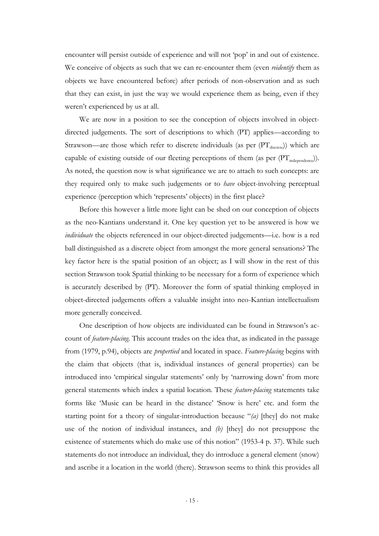encounter will persist outside of experience and will not "pop" in and out of existence. We conceive of objects as such that we can re-encounter them (even *reidentify* them as objects we have encountered before) after periods of non-observation and as such that they can exist, in just the way we would experience them as being, even if they weren't experienced by us at all.

We are now in a position to see the conception of objects involved in objectdirected judgements. The sort of descriptions to which (PT) applies—according to Strawson—are those which refer to discrete individuals (as per  $(PT_{discrete})$ ) which are capable of existing outside of our fleeting perceptions of them (as per  $(PT_{independence})$ ). As noted, the question now is what significance we are to attach to such concepts: are they required only to make such judgements or to *have* object-involving perceptual experience (perception which 'represents' objects) in the first place?

Before this however a little more light can be shed on our conception of objects as the neo-Kantians understand it. One key question yet to be answered is how we *individuate* the objects referenced in our object-directed judgements—i.e. how is a red ball distinguished as a discrete object from amongst the more general sensations? The key factor here is the spatial position of an object; as I will show in the rest of this section Strawson took Spatial thinking to be necessary for a form of experience which is accurately described by (PT). Moreover the form of spatial thinking employed in object-directed judgements offers a valuable insight into neo-Kantian intellectualism more generally conceived.

One description of how objects are individuated can be found in Strawson"s account of *feature-placing*. This account trades on the idea that, as indicated in the passage from (1979, p.94), objects are *propertied* and located in space. *Feature-placing* begins with the claim that objects (that is, individual instances of general properties) can be introduced into 'empirical singular statements' only by 'narrowing down' from more general statements which index a spatial location. These *feature-placing* statements take forms like "Music can be heard in the distance" "Snow is here" etc. and form the starting point for a theory of singular-introduction because "*(a)* [they] do not make use of the notion of individual instances, and *(b)* [they] do not presuppose the existence of statements which do make use of this notion" (1953-4 p. 37). While such statements do not introduce an individual, they do introduce a general element (snow) and ascribe it a location in the world (there). Strawson seems to think this provides all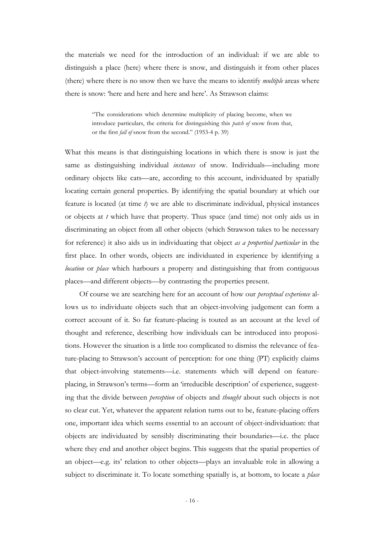the materials we need for the introduction of an individual: if we are able to distinguish a place (here) where there is snow, and distinguish it from other places (there) where there is no snow then we have the means to identify *multiple* areas where there is snow: 'here and here and here and here'. As Strawson claims:

> "The considerations which determine multiplicity of placing become, when we introduce particulars, the criteria for distinguishing this *patch of* snow from that, or the first *fall of* snow from the second." (1953-4 p. 39)

What this means is that distinguishing locations in which there is snow is just the same as distinguishing individual *instances* of snow. Individuals—including more ordinary objects like cats—are, according to this account, individuated by spatially locating certain general properties. By identifying the spatial boundary at which our feature is located (at time *t*) we are able to discriminate individual, physical instances or objects at *t* which have that property. Thus space (and time) not only aids us in discriminating an object from all other objects (which Strawson takes to be necessary for reference) it also aids us in individuating that object *as a propertied particular* in the first place. In other words, objects are individuated in experience by identifying a *location* or *place* which harbours a property and distinguishing that from contiguous places—and different objects—by contrasting the properties present.

Of course we are searching here for an account of how our *perceptual experience* allows us to individuate objects such that an object-involving judgement can form a correct account of it. So far feature-placing is touted as an account at the level of thought and reference, describing how individuals can be introduced into propositions. However the situation is a little too complicated to dismiss the relevance of feature-placing to Strawson's account of perception: for one thing (PT) explicitly claims that object-involving statements—i.e. statements which will depend on featureplacing, in Strawson"s terms—form an "irreducible description" of experience, suggesting that the divide between *perception* of objects and *thought* about such objects is not so clear cut. Yet, whatever the apparent relation turns out to be, feature-placing offers one, important idea which seems essential to an account of object-individuation: that objects are individuated by sensibly discriminating their boundaries—i.e. the place where they end and another object begins. This suggests that the spatial properties of an object—e.g. its" relation to other objects—plays an invaluable role in allowing a subject to discriminate it. To locate something spatially is, at bottom, to locate a *place*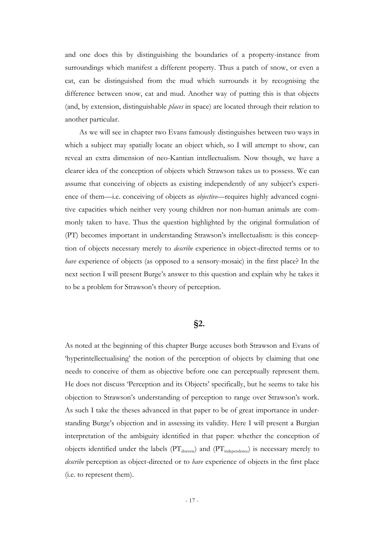and one does this by distinguishing the boundaries of a property-instance from surroundings which manifest a different property. Thus a patch of snow, or even a cat, can be distinguished from the mud which surrounds it by recognising the difference between snow, cat and mud. Another way of putting this is that objects (and, by extension, distinguishable *places* in space) are located through their relation to another particular.

As we will see in chapter two Evans famously distinguishes between two ways in which a subject may spatially locate an object which, so I will attempt to show, can reveal an extra dimension of neo-Kantian intellectualism. Now though, we have a clearer idea of the conception of objects which Strawson takes us to possess. We can assume that conceiving of objects as existing independently of any subject's experience of them—i.e. conceiving of objects as *objective*—requires highly advanced cognitive capacities which neither very young children nor non-human animals are commonly taken to have. Thus the question highlighted by the original formulation of (PT) becomes important in understanding Strawson"s intellectualism: is this conception of objects necessary merely to *describe* experience in object-directed terms or to *have* experience of objects (as opposed to a sensory-mosaic) in the first place? In the next section I will present Burge's answer to this question and explain why he takes it to be a problem for Strawson"s theory of perception.

#### **§2.**

As noted at the beginning of this chapter Burge accuses both Strawson and Evans of "hyperintellectualising" the notion of the perception of objects by claiming that one needs to conceive of them as objective before one can perceptually represent them. He does not discuss 'Perception and its Objects' specifically, but he seems to take his objection to Strawson"s understanding of perception to range over Strawson"s work. As such I take the theses advanced in that paper to be of great importance in understanding Burge"s objection and in assessing its validity. Here I will present a Burgian interpretation of the ambiguity identified in that paper: whether the conception of objects identified under the labels  $(PT_{discrete})$  and  $(PT_{ind-connected})$  is necessary merely to *describe* perception as object-directed or to *have* experience of objects in the first place (i.e. to represent them).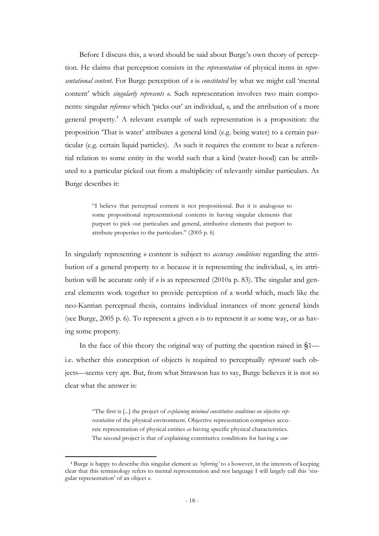Before I discuss this, a word should be said about Burge's own theory of perception. He claims that perception consists in the *representation* of physical items in *representational content*. For Burge perception of *o* is *constituted* by what we might call "mental content" which *singularly represents o*. Such representation involves two main components: singular *reference* which "picks out" an individual, *o*, and the attribution of a more general property.<sup>4</sup> A relevant example of such representation is a proposition: the proposition "That is water" attributes a general kind (e.g. being water) to a certain particular (e.g. certain liquid particles). As such it requires the content to bear a referential relation to some entity in the world such that a kind (water-hood) can be attributed to a particular picked out from a multiplicity of relevantly similar particulars. As Burge describes it:

> "I believe that perceptual content is not propositional. But it is analogous to some propositional representational contents in having singular elements that purport to pick out particulars and general, attributive elements that purport to attribute properties to the particulars." (2005 p. 6)

In singularly representing *o* content is subject to *accuracy conditions* regarding the attribution of a general property to *o*: because it is representing the individual, *o*, its attribution will be accurate only if *o* is as represented (2010a p. 83). The singular and general elements work together to provide perception of a world which, much like the neo-Kantian perceptual thesis, contains individual instances of more general kinds (see Burge, 2005 p. 6). To represent a given *o* is to represent it *as* some way, or as having some property.

In the face of this theory the original way of putting the question raised in §1 i.e. whether this conception of objects is required to perceptually *represent* such objects—seems very apt. But, from what Strawson has to say, Burge believes it is not so clear what the answer is:

> "The first is [...] the project of *explaining minimal constitutive conditions on objective representation* of the physical environment. Objective representation comprises accurate representation of physical entities *as* having specific physical characteristics. The second project is that of explaining constitutive conditions for having a *con-*

<sup>4</sup> Burge is happy to describe this singular element as *'referring'* to *o* however, in the interests of keeping clear that this terminology refers to mental representation and not language I will largely call this "singular representation" of an object *o*.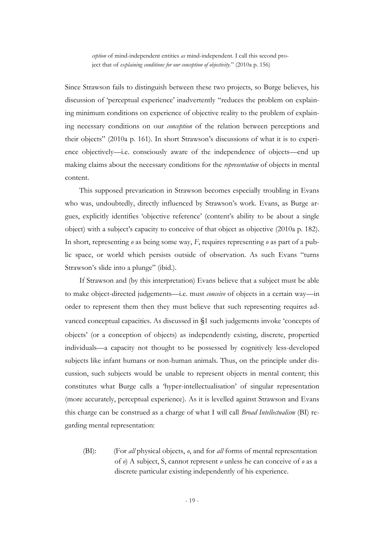*ception* of mind-independent entities *as* mind-independent. I call this second project that of *explaining conditions for our conception of objectivity.*" (2010a p. 156)

Since Strawson fails to distinguish between these two projects, so Burge believes, his discussion of "perceptual experience" inadvertently "reduces the problem on explaining minimum conditions on experience of objective reality to the problem of explaining necessary conditions on our *conception* of the relation between perceptions and their objects" (2010a p. 161). In short Strawson"s discussions of what it is to experience objectively—i.e. consciously aware of the independence of objects—end up making claims about the necessary conditions for the *representation* of objects in mental content.

This supposed prevarication in Strawson becomes especially troubling in Evans who was, undoubtedly, directly influenced by Strawson's work. Evans, as Burge argues, explicitly identifies "objective reference" (content"s ability to be about a single object) with a subject's capacity to conceive of that object as objective (2010a p. 182). In short, representing *o* as being some way, *F*, requires representing *o* as part of a public space, or world which persists outside of observation. As such Evans "turns Strawson's slide into a plunge" (ibid.).

If Strawson and (by this interpretation) Evans believe that a subject must be able to make object-directed judgements—i.e. must *conceive* of objects in a certain way—in order to represent them then they must believe that such representing requires advanced conceptual capacities. As discussed in §1 such judgements invoke "concepts of objects" (or a conception of objects) as independently existing, discrete, propertied individuals—a capacity not thought to be possessed by cognitively less-developed subjects like infant humans or non-human animals. Thus, on the principle under discussion, such subjects would be unable to represent objects in mental content; this constitutes what Burge calls a "hyper-intellectualisation" of singular representation (more accurately, perceptual experience). As it is levelled against Strawson and Evans this charge can be construed as a charge of what I will call *Broad Intellectualism* (BI) regarding mental representation:

(BI): (For *all* physical objects, *o*, and for *all* forms of mental representation of *o*) A subject, S, cannot represent *o* unless he can conceive of *o* as a discrete particular existing independently of his experience.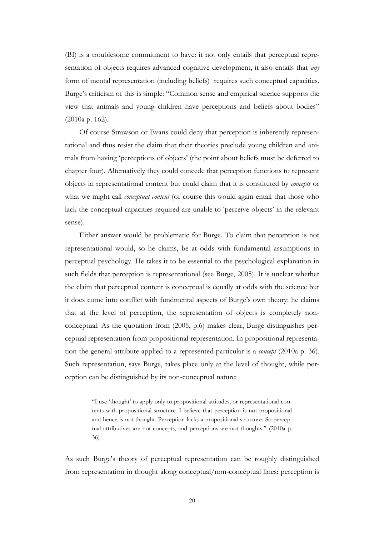(BI) is a troublesome commitment to have: it not only entails that perceptual representation of objects requires advanced cognitive development, it also entails that *any* form of mental representation (including beliefs) requires such conceptual capacities. Burge's criticism of this is simple: "Common sense and empirical science supports the view that animals and young children have perceptions and beliefs about bodies" (2010a p. 162).

Of course Strawson or Evans could deny that perception is inherently representational and thus resist the claim that their theories preclude young children and animals from having "perceptions of objects" (the point about beliefs must be deferred to chapter four). Alternatively they could concede that perception functions to represent objects in representational content but could claim that it is constituted by *concepts* or what we might call *conceptual content* (of course this would again entail that those who lack the conceptual capacities required are unable to 'perceive objects' in the relevant sense).

Either answer would be problematic for Burge. To claim that perception is not representational would, so he claims, be at odds with fundamental assumptions in perceptual psychology. He takes it to be essential to the psychological explanation in such fields that perception is representational (see Burge, 2005). It is unclear whether the claim that perceptual content is conceptual is equally at odds with the science but it does come into conflict with fundmental aspects of Burge"s own theory: he claims that at the level of perception, the representation of objects is completely nonconceptual. As the quotation from (2005, p.6) makes clear, Burge distinguishes perceptual representation from propositional representation. In propositional representation the general attribute applied to a represented particular is a *concept* (2010a p. 36). Such representation, says Burge, takes place only at the level of thought, while perception can be distinguished by its non-conceptual nature:

> "I use "thought" to apply only to propositional attitudes, or representational contents with propositional structure. I believe that perception is not propositional and hence is not thought. Perception lacks a propositional structure. So perceptual attributives are not concepts, and perceptions are not thoughts." (2010a p. 36)

As such Burge"s theory of perceptual representation can be roughly distinguished from representation in thought along conceptual/non-conceptual lines: perception is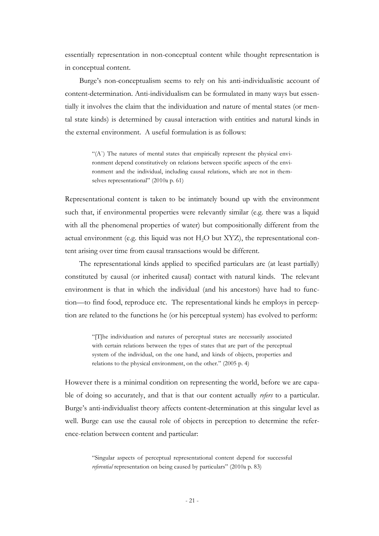essentially representation in non-conceptual content while thought representation is in conceptual content.

Burge's non-conceptualism seems to rely on his anti-individualistic account of content-determination. Anti-individualism can be formulated in many ways but essentially it involves the claim that the individuation and nature of mental states (or mental state kinds) is determined by causal interaction with entities and natural kinds in the external environment. A useful formulation is as follows:

> "(A`) The natures of mental states that empirically represent the physical environment depend constitutively on relations between specific aspects of the environment and the individual, including causal relations, which are not in themselves representational" (2010a p. 61)

Representational content is taken to be intimately bound up with the environment such that, if environmental properties were relevantly similar (e.g. there was a liquid with all the phenomenal properties of water) but compositionally different from the actual environment (e.g. this liquid was not  $H<sub>2</sub>O$  but  $XYZ$ ), the representational content arising over time from causal transactions would be different.

The representational kinds applied to specified particulars are (at least partially) constituted by causal (or inherited causal) contact with natural kinds. The relevant environment is that in which the individual (and his ancestors) have had to function—to find food, reproduce etc. The representational kinds he employs in perception are related to the functions he (or his perceptual system) has evolved to perform:

> "[T]he individuation and natures of perceptual states are necessarily associated with certain relations between the types of states that are part of the perceptual system of the individual, on the one hand, and kinds of objects, properties and relations to the physical environment, on the other." (2005 p. 4)

However there is a minimal condition on representing the world, before we are capable of doing so accurately, and that is that our content actually *refers* to a particular. Burge's anti-individualist theory affects content-determination at this singular level as well. Burge can use the causal role of objects in perception to determine the reference-relation between content and particular:

> "Singular aspects of perceptual representational content depend for successful *referential* representation on being caused by particulars" (2010a p. 83)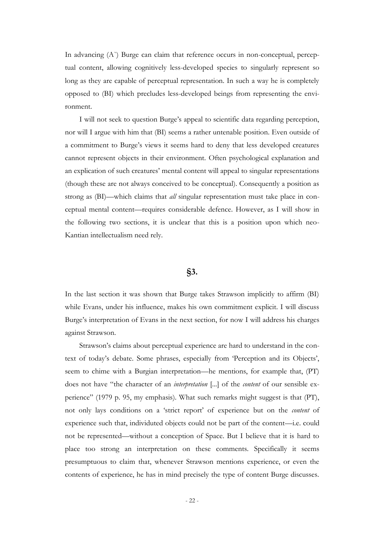In advancing (A) Burge can claim that reference occurs in non-conceptual, perceptual content, allowing cognitively less-developed species to singularly represent so long as they are capable of perceptual representation. In such a way he is completely opposed to (BI) which precludes less-developed beings from representing the environment.

I will not seek to question Burge"s appeal to scientific data regarding perception, nor will I argue with him that (BI) seems a rather untenable position. Even outside of a commitment to Burge's views it seems hard to deny that less developed creatures cannot represent objects in their environment. Often psychological explanation and an explication of such creatures' mental content will appeal to singular representations (though these are not always conceived to be conceptual). Consequently a position as strong as (BI)—which claims that *all* singular representation must take place in conceptual mental content—requires considerable defence. However, as I will show in the following two sections, it is unclear that this is a position upon which neo-Kantian intellectualism need rely.

#### **§3.**

In the last section it was shown that Burge takes Strawson implicitly to affirm (BI) while Evans, under his influence, makes his own commitment explicit. I will discuss Burge's interpretation of Evans in the next section, for now I will address his charges against Strawson.

Strawson"s claims about perceptual experience are hard to understand in the context of today"s debate. Some phrases, especially from "Perception and its Objects", seem to chime with a Burgian interpretation—he mentions, for example that, (PT) does not have "the character of an *interpretation* [...] of the *content* of our sensible experience" (1979 p. 95, my emphasis). What such remarks might suggest is that (PT), not only lays conditions on a "strict report" of experience but on the *content* of experience such that, individuted objects could not be part of the content—i.e. could not be represented—without a conception of Space. But I believe that it is hard to place too strong an interpretation on these comments. Specifically it seems presumptuous to claim that, whenever Strawson mentions experience, or even the contents of experience, he has in mind precisely the type of content Burge discusses.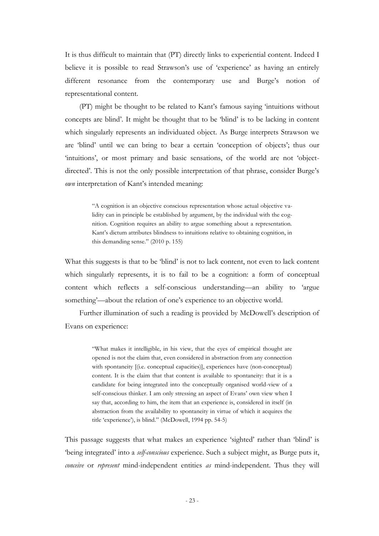It is thus difficult to maintain that (PT) directly links to experiential content. Indeed I believe it is possible to read Strawson's use of 'experience' as having an entirely different resonance from the contemporary use and Burge's notion of representational content.

(PT) might be thought to be related to Kant"s famous saying "intuitions without concepts are blind". It might be thought that to be "blind" is to be lacking in content which singularly represents an individuated object. As Burge interprets Strawson we are "blind" until we can bring to bear a certain "conception of objects"; thus our "intuitions", or most primary and basic sensations, of the world are not "objectdirected'. This is not the only possible interpretation of that phrase, consider Burge's *own* interpretation of Kant's intended meaning:

> "A cognition is an objective conscious representation whose actual objective validity can in principle be established by argument, by the individual with the cognition. Cognition requires an ability to argue something about a representation. Kant"s dictum attributes blindness to intuitions relative to obtaining cognition, in this demanding sense." (2010 p. 155)

What this suggests is that to be 'blind' is not to lack content, not even to lack content which singularly represents, it is to fail to be a cognition: a form of conceptual content which reflects a self-conscious understanding—an ability to "argue something'—about the relation of one's experience to an objective world.

Further illumination of such a reading is provided by McDowell"s description of Evans on experience:

> "What makes it intelligible, in his view, that the eyes of empirical thought are opened is not the claim that, even considered in abstraction from any connection with spontaneity [(i.e. conceptual capacities)], experiences have (non-conceptual) content. It is the claim that that content is available to spontaneity: that it is a candidate for being integrated into the conceptually organised world-view of a self-conscious thinker. I am only stressing an aspect of Evans' own view when I say that, according to him, the item that an experience is, considered in itself (in abstraction from the availability to spontaneity in virtue of which it acquires the title 'experience'), is blind." (McDowell, 1994 pp. 54-5)

This passage suggests that what makes an experience 'sighted' rather than 'blind' is "being integrated" into a *self-conscious* experience. Such a subject might, as Burge puts it, *conceive* or *represent* mind-independent entities *as* mind-independent. Thus they will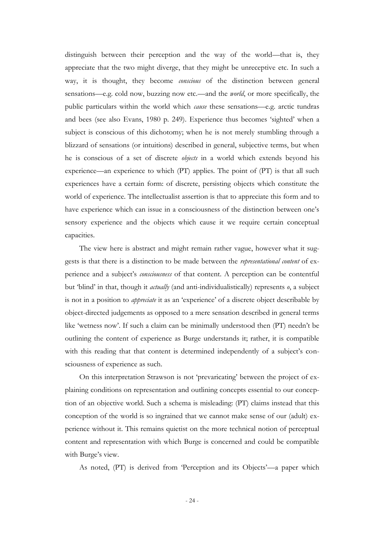distinguish between their perception and the way of the world—that is, they appreciate that the two might diverge, that they might be unreceptive etc. In such a way, it is thought, they become *conscious* of the distinction between general sensations—e.g. cold now, buzzing now etc.—and the *world*, or more specifically, the public particulars within the world which *cause* these sensations—e.g. arctic tundras and bees (see also Evans, 1980 p. 249). Experience thus becomes "sighted" when a subject is conscious of this dichotomy; when he is not merely stumbling through a blizzard of sensations (or intuitions) described in general, subjective terms, but when he is conscious of a set of discrete *objects* in a world which extends beyond his experience—an experience to which (PT) applies. The point of (PT) is that all such experiences have a certain form: of discrete, persisting objects which constitute the world of experience. The intellectualist assertion is that to appreciate this form and to have experience which can issue in a consciousness of the distinction between one's sensory experience and the objects which cause it we require certain conceptual capacities.

The view here is abstract and might remain rather vague, however what it suggests is that there is a distinction to be made between the *representational content* of experience and a subject's *consciousness* of that content. A perception can be contentful but "blind" in that, though it *actually* (and anti-individualistically) represents *o*, a subject is not in a position to *appreciate* it as an "experience" of a discrete object describable by object-directed judgements as opposed to a mere sensation described in general terms like 'wetness now'. If such a claim can be minimally understood then (PT) needn't be outlining the content of experience as Burge understands it; rather, it is compatible with this reading that that content is determined independently of a subject's consciousness of experience as such.

On this interpretation Strawson is not "prevaricating" between the project of explaining conditions on representation and outlining concepts essential to our conception of an objective world. Such a schema is misleading: (PT) claims instead that this conception of the world is so ingrained that we cannot make sense of our (adult) experience without it. This remains quietist on the more technical notion of perceptual content and representation with which Burge is concerned and could be compatible with Burge's view.

As noted, (PT) is derived from 'Perception and its Objects'—a paper which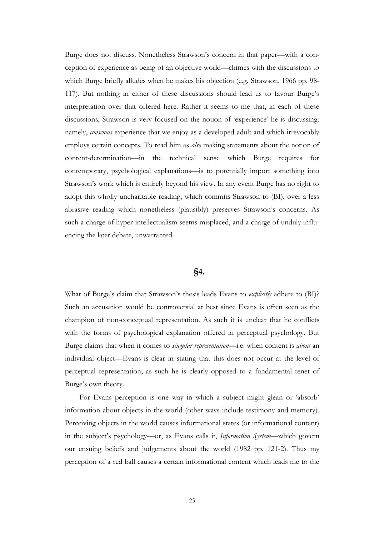Burge does not discuss. Nonetheless Strawson"s concern in that paper—with a conception of experience as being of an objective world—chimes with the discussions to which Burge briefly alludes when he makes his objection (e.g. Strawson, 1966 pp. 98- 117). But nothing in either of these discussions should lead us to favour Burge"s interpretation over that offered here. Rather it seems to me that, in each of these discussions, Strawson is very focused on the notion of "experience" he is discussing: namely, *conscious* experience that we enjoy as a developed adult and which irrevocably employs certain concepts. To read him as *also* making statements about the notion of content-determination—in the technical sense which Burge requires for contemporary, psychological explanations—is to potentially import something into Strawson"s work which is entirely beyond his view. In any event Burge has no right to adopt this wholly uncharitable reading, which commits Strawson to (BI), over a less abrasive reading which nonetheless (plausibly) preserves Strawson's concerns. As such a charge of hyper-intellectualism seems misplaced, and a charge of unduly influencing the later debate, unwarranted.

#### **§4.**

What of Burge"s claim that Strawson"s thesis leads Evans to *explicitly* adhere to (BI)? Such an accusation would be controversial at best since Evans is often seen as the champion of non-conceptual representation. As such it is unclear that he conflicts with the forms of psychological explanation offered in perceptual psychology. But Burge claims that when it comes to *singular representation*—i.e. when content is *about* an individual object—Evans is clear in stating that this does not occur at the level of perceptual representation; as such he is clearly opposed to a fundamental tenet of Burge's own theory.

For Evans perception is one way in which a subject might glean or "absorb" information about objects in the world (other ways include testimony and memory). Perceiving objects in the world causes informational states (or informational content) in the subject"s psychology—or, as Evans calls it, *Information System*—which govern our ensuing beliefs and judgements about the world (1982 pp. 121-2). Thus my perception of a red ball causes a certain informational content which leads me to the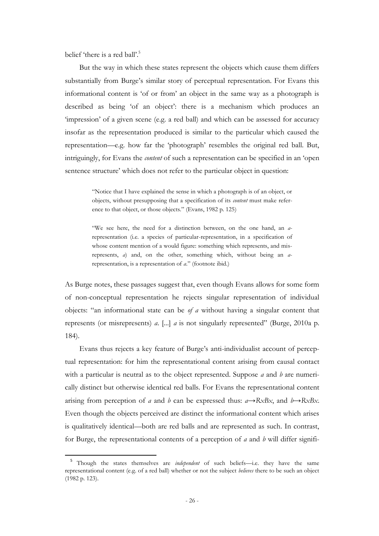belief 'there is a red ball'.<sup>5</sup>

-

But the way in which these states represent the objects which cause them differs substantially from Burge's similar story of perceptual representation. For Evans this informational content is "of or from" an object in the same way as a photograph is described as being "of an object": there is a mechanism which produces an "impression" of a given scene (e.g. a red ball) and which can be assessed for accuracy insofar as the representation produced is similar to the particular which caused the representation—e.g. how far the "photograph" resembles the original red ball. But, intriguingly, for Evans the *content* of such a representation can be specified in an "open sentence structure' which does not refer to the particular object in question:

> "Notice that I have explained the sense in which a photograph is of an object, or objects, without presupposing that a specification of its *content* must make reference to that object, or those objects." (Evans, 1982 p. 125)

> "We see here, the need for a distinction between, on the one hand, an *a*representation (i.e. a species of particular-representation, in a specification of whose content mention of a would figure: something which represents, and misrepresents, *a*) and, on the other, something which, without being an *a*representation, is a representation of *a*." (footnote ibid.)

As Burge notes, these passages suggest that, even though Evans allows for some form of non-conceptual representation he rejects singular representation of individual objects: "an informational state can be *of a* without having a singular content that represents (or misrepresents) *a*. [...] *a* is not singularly represented" (Burge, 2010a p. 184).

Evans thus rejects a key feature of Burge"s anti-individualist account of perceptual representation: for him the representational content arising from causal contact with a particular is neutral as to the object represented. Suppose *a* and *b* are numerically distinct but otherwise identical red balls. For Evans the representational content arising from perception of *a* and *b* can be expressed thus:  $a \rightarrow RxBx$ , and  $b \rightarrow RxBx$ . Even though the objects perceived are distinct the informational content which arises is qualitatively identical—both are red balls and are represented as such. In contrast, for Burge, the representational contents of a perception of *a* and *b* will differ signifi-

<sup>5</sup> Though the states themselves are *independent* of such beliefs—i.e. they have the same representational content (e.g. of a red ball) whether or not the subject *believes* there to be such an object (1982 p. 123).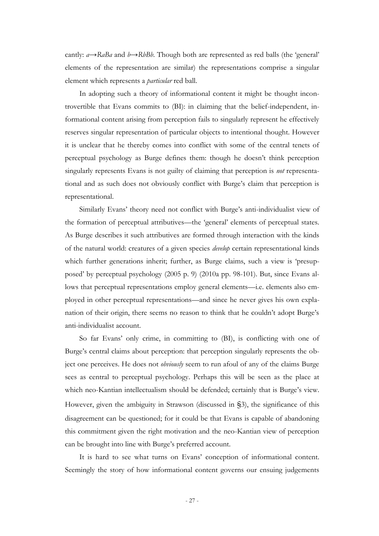cantly: *a*→*RaBa* and *b*→*RbBb*. Though both are represented as red balls (the "general" elements of the representation are similar) the representations comprise a singular element which represents a *particular* red ball.

In adopting such a theory of informational content it might be thought incontrovertible that Evans commits to (BI): in claiming that the belief-independent, informational content arising from perception fails to singularly represent he effectively reserves singular representation of particular objects to intentional thought. However it is unclear that he thereby comes into conflict with some of the central tenets of perceptual psychology as Burge defines them: though he doesn"t think perception singularly represents Evans is not guilty of claiming that perception is *not* representational and as such does not obviously conflict with Burge"s claim that perception is representational.

Similarly Evans' theory need not conflict with Burge's anti-individualist view of the formation of perceptual attributives—the "general" elements of perceptual states. As Burge describes it such attributives are formed through interaction with the kinds of the natural world: creatures of a given species *develop* certain representational kinds which further generations inherit; further, as Burge claims, such a view is "presupposed" by perceptual psychology (2005 p. 9) (2010a pp. 98-101). But, since Evans allows that perceptual representations employ general elements—i.e. elements also employed in other perceptual representations—and since he never gives his own explanation of their origin, there seems no reason to think that he couldn"t adopt Burge"s anti-individualist account.

So far Evans' only crime, in committing to (BI), is conflicting with one of Burge's central claims about perception: that perception singularly represents the object one perceives. He does not *obviously* seem to run afoul of any of the claims Burge sees as central to perceptual psychology. Perhaps this will be seen as the place at which neo-Kantian intellectualism should be defended; certainly that is Burge's view. However, given the ambiguity in Strawson (discussed in §3), the significance of this disagreement can be questioned; for it could be that Evans is capable of abandoning this commitment given the right motivation and the neo-Kantian view of perception can be brought into line with Burge"s preferred account.

It is hard to see what turns on Evans' conception of informational content. Seemingly the story of how informational content governs our ensuing judgements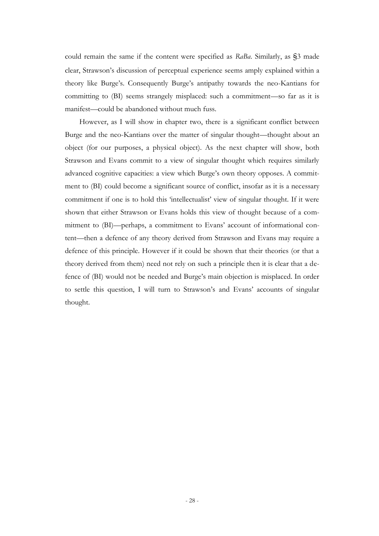could remain the same if the content were specified as *RaBa*. Similarly, as §3 made clear, Strawson"s discussion of perceptual experience seems amply explained within a theory like Burge's. Consequently Burge's antipathy towards the neo-Kantians for committing to (BI) seems strangely misplaced: such a commitment—so far as it is manifest—could be abandoned without much fuss.

However, as I will show in chapter two, there is a significant conflict between Burge and the neo-Kantians over the matter of singular thought—thought about an object (for our purposes, a physical object). As the next chapter will show, both Strawson and Evans commit to a view of singular thought which requires similarly advanced cognitive capacities: a view which Burge"s own theory opposes. A commitment to (BI) could become a significant source of conflict, insofar as it is a necessary commitment if one is to hold this 'intellectualist' view of singular thought. If it were shown that either Strawson or Evans holds this view of thought because of a commitment to (BI)—perhaps, a commitment to Evans' account of informational content—then a defence of any theory derived from Strawson and Evans may require a defence of this principle. However if it could be shown that their theories (or that a theory derived from them) need not rely on such a principle then it is clear that a defence of (BI) would not be needed and Burge"s main objection is misplaced. In order to settle this question, I will turn to Strawson"s and Evans" accounts of singular thought.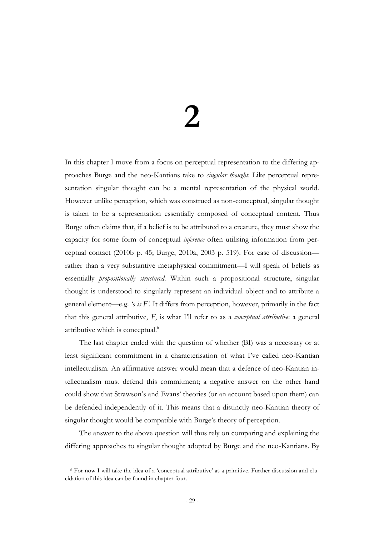## **2**

In this chapter I move from a focus on perceptual representation to the differing approaches Burge and the neo-Kantians take to *singular thought*. Like perceptual representation singular thought can be a mental representation of the physical world. However unlike perception, which was construed as non-conceptual, singular thought is taken to be a representation essentially composed of conceptual content. Thus Burge often claims that, if a belief is to be attributed to a creature, they must show the capacity for some form of conceptual *inference* often utilising information from perceptual contact (2010b p. 45; Burge, 2010a, 2003 p. 519). For ease of discussion rather than a very substantive metaphysical commitment—I will speak of beliefs as essentially *propositionally structured*. Within such a propositional structure, singular thought is understood to singularly represent an individual object and to attribute a general element—e.g. *'o is F'*. It differs from perception, however, primarily in the fact that this general attributive, *F*, is what I"ll refer to as a *conceptual attributive*: a general attributive which is conceptual.<sup>6</sup>

The last chapter ended with the question of whether (BI) was a necessary or at least significant commitment in a characterisation of what I"ve called neo-Kantian intellectualism. An affirmative answer would mean that a defence of neo-Kantian intellectualism must defend this commitment; a negative answer on the other hand could show that Strawson"s and Evans" theories (or an account based upon them) can be defended independently of it. This means that a distinctly neo-Kantian theory of singular thought would be compatible with Burge's theory of perception.

The answer to the above question will thus rely on comparing and explaining the differing approaches to singular thought adopted by Burge and the neo-Kantians. By

 $6$  For now I will take the idea of a 'conceptual attributive' as a primitive. Further discussion and elucidation of this idea can be found in chapter four.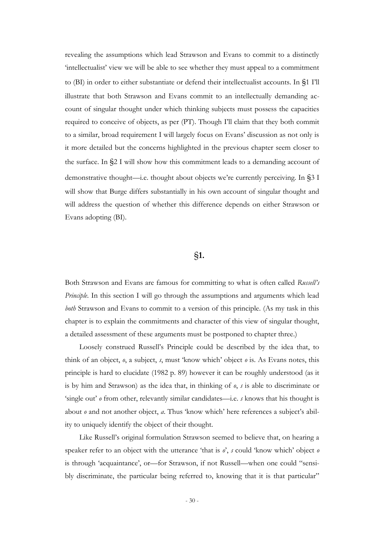revealing the assumptions which lead Strawson and Evans to commit to a distinctly "intellectualist" view we will be able to see whether they must appeal to a commitment to (BI) in order to either substantiate or defend their intellectualist accounts. In §1 I"ll illustrate that both Strawson and Evans commit to an intellectually demanding account of singular thought under which thinking subjects must possess the capacities required to conceive of objects, as per (PT). Though I"ll claim that they both commit to a similar, broad requirement I will largely focus on Evans" discussion as not only is it more detailed but the concerns highlighted in the previous chapter seem closer to the surface. In §2 I will show how this commitment leads to a demanding account of demonstrative thought—i.e. thought about objects we"re currently perceiving. In §3 I will show that Burge differs substantially in his own account of singular thought and will address the question of whether this difference depends on either Strawson or Evans adopting (BI).

#### §**1.**

Both Strawson and Evans are famous for committing to what is often called *Russell's Principle*. In this section I will go through the assumptions and arguments which lead *both* Strawson and Evans to commit to a version of this principle. (As my task in this chapter is to explain the commitments and character of this view of singular thought, a detailed assessment of these arguments must be postponed to chapter three.)

Loosely construed Russell"s Principle could be described by the idea that, to think of an object, *o*, a subject, *s*, must "know which" object *o* is. As Evans notes, this principle is hard to elucidate (1982 p. 89) however it can be roughly understood (as it is by him and Strawson) as the idea that, in thinking of *o*, *s* is able to discriminate or 'single out' *o* from other, relevantly similar candidates—i.e. *s* knows that his thought is about *o* and not another object, *a*. Thus 'know which' here references a subject's ability to uniquely identify the object of their thought.

Like Russell"s original formulation Strawson seemed to believe that, on hearing a speaker refer to an object with the utterance "that is *o*", *s* could "know which" object *o*  is through 'acquaintance', or—for Strawson, if not Russell—when one could "sensibly discriminate, the particular being referred to, knowing that it is that particular"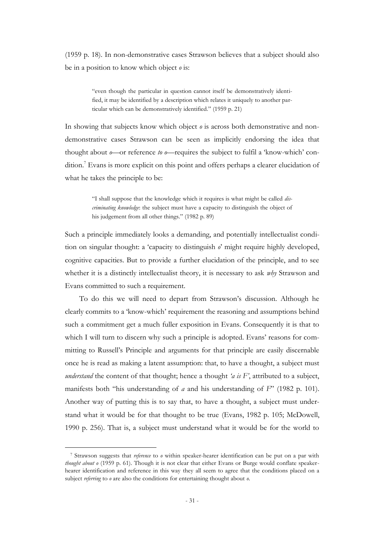(1959 p. 18). In non-demonstrative cases Strawson believes that a subject should also be in a position to know which object *o* is:

> "even though the particular in question cannot itself be demonstratively identified, it may be identified by a description which relates it uniquely to another particular which can be demonstratively identified." (1959 p. 21)

In showing that subjects know which object *o* is across both demonstrative and nondemonstrative cases Strawson can be seen as implicitly endorsing the idea that thought about *o*—or reference *to o*—requires the subject to fulfil a "know-which" condition.<sup>7</sup> Evans is more explicit on this point and offers perhaps a clearer elucidation of what he takes the principle to be:

> "I shall suppose that the knowledge which it requires is what might be called *discriminating knowledge*: the subject must have a capacity to distinguish the object of his judgement from all other things." (1982 p. 89)

Such a principle immediately looks a demanding, and potentially intellectualist condition on singular thought: a "capacity to distinguish *o*" might require highly developed, cognitive capacities. But to provide a further elucidation of the principle, and to see whether it is a distinctly intellectualist theory, it is necessary to ask *why* Strawson and Evans committed to such a requirement.

To do this we will need to depart from Strawson"s discussion. Although he clearly commits to a "know-which" requirement the reasoning and assumptions behind such a commitment get a much fuller exposition in Evans. Consequently it is that to which I will turn to discern why such a principle is adopted. Evans' reasons for committing to Russell"s Principle and arguments for that principle are easily discernable once he is read as making a latent assumption: that, to have a thought, a subject must *understand* the content of that thought; hence a thought *'a is F'*, attributed to a subject, manifests both "his understanding of *a* and his understanding of *F*" (1982 p. 101). Another way of putting this is to say that, to have a thought, a subject must understand what it would be for that thought to be true (Evans, 1982 p. 105; McDowell, 1990 p. 256). That is, a subject must understand what it would be for the world to

<sup>7</sup> Strawson suggests that *reference* to *o* within speaker-hearer identification can be put on a par with *thought about o* (1959 p. 61). Though it is not clear that either Evans or Burge would conflate speakerhearer identification and reference in this way they all seem to agree that the conditions placed on a subject *referring* to *o* are also the conditions for entertaining thought about *o*.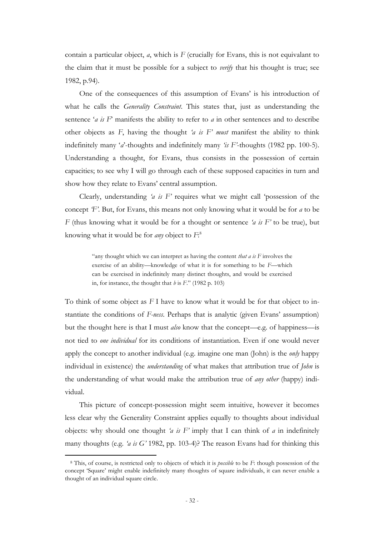contain a particular object, *a*, which is *F* (crucially for Evans, this is not equivalant to the claim that it must be possible for a subject to *verify* that his thought is true; see 1982, p.94).

One of the consequences of this assumption of Evans' is his introduction of what he calls the *Generality Constraint*. This states that, just as understanding the sentence "*a is F*" manifests the ability to refer to *a* in other sentences and to describe other objects as *F*, having the thought *'a is F' must* manifest the ability to think indefinitely many "*a*"-thoughts and indefinitely many *'is F'*-thoughts (1982 pp. 100-5). Understanding a thought, for Evans, thus consists in the possession of certain capacities; to see why I will go through each of these supposed capacities in turn and show how they relate to Evans' central assumption.

Clearly, understanding *'a is F'* requires what we might call "possession of the concept *'F'*. But, for Evans, this means not only knowing what it would be for *a* to be *F* (thus knowing what it would be for a thought or sentence *'a is F'* to be true), but knowing what it would be for *any* object to *F*: 8

> "any thought which we can interpret as having the content *that a is F* involves the exercise of an ability—knowledge of what it is for something to be *F*—which can be exercised in indefinitely many distinct thoughts, and would be exercised in, for instance, the thought that *b* is *F*." (1982 p. 103)

To think of some object as *F* I have to know what it would be for that object to instantiate the conditions of *F-ness*. Perhaps that is analytic (given Evans' assumption) but the thought here is that I must *also* know that the concept—e.g. of happiness—is not tied to *one individual* for its conditions of instantiation. Even if one would never apply the concept to another individual (e.g. imagine one man (John) is the *only* happy individual in existence) the *understanding* of what makes that attribution true of *John* is the understanding of what would make the attribution true of *any other* (happy) individual.

This picture of concept-possession might seem intuitive, however it becomes less clear why the Generality Constraint applies equally to thoughts about individual objects: why should one thought *'a is F'* imply that I can think of *a* in indefinitely many thoughts (e.g. *'a is G'* 1982, pp. 103-4)? The reason Evans had for thinking this

<sup>8</sup> This, of course, is restricted only to objects of which it is *possible* to be *F*: though possession of the concept "Square" might enable indefinitely many thoughts of square individuals, it can never enable a thought of an individual square circle.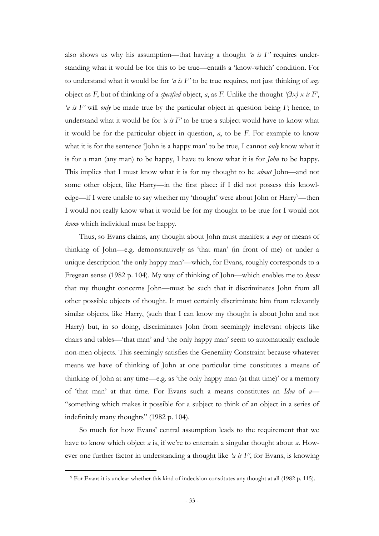also shows us why his assumption—that having a thought *'a is F'* requires understanding what it would be for this to be true—entails a "know-which" condition. For to understand what it would be for *'a is F'* to be true requires, not just thinking of *any* object as  $F$ , but of thinking of a *specified* object, *a*, as  $F$ . Unlike the thought *'* $(\exists x) \times i$   $F'$ , *'a is F'* will *only* be made true by the particular object in question being *F*; hence, to understand what it would be for *'a is F'* to be true a subject would have to know what it would be for the particular object in question, *a*, to be *F*. For example to know what it is for the sentence "John is a happy man" to be true, I cannot *only* know what it is for a man (any man) to be happy, I have to know what it is for *John* to be happy. This implies that I must know what it is for my thought to be *about* John—and not some other object, like Harry—in the first place: if I did not possess this knowledge—if I were unable to say whether my 'thought' were about John or Harry<sup>9</sup>—then I would not really know what it would be for my thought to be true for I would not *know* which individual must be happy.

Thus, so Evans claims, any thought about John must manifest a *way* or means of thinking of John—e.g. demonstratively as "that man" (in front of me) or under a unique description "the only happy man"—which, for Evans, roughly corresponds to a Fregean sense (1982 p. 104). My way of thinking of John—which enables me to *know* that my thought concerns John—must be such that it discriminates John from all other possible objects of thought. It must certainly discriminate him from relevantly similar objects, like Harry, (such that I can know my thought is about John and not Harry) but, in so doing, discriminates John from seemingly irrelevant objects like chairs and tables—"that man" and "the only happy man" seem to automatically exclude non-men objects. This seemingly satisfies the Generality Constraint because whatever means we have of thinking of John at one particular time constitutes a means of thinking of John at any time—e.g. as "the only happy man (at that time)" or a memory of "that man" at that time. For Evans such a means constitutes an *Idea* of *a*— "something which makes it possible for a subject to think of an object in a series of indefinitely many thoughts" (1982 p. 104).

So much for how Evans" central assumption leads to the requirement that we have to know which object *a* is, if we"re to entertain a singular thought about *a*. However one further factor in understanding a thought like *'a is F'*, for Evans, is knowing

<sup>9</sup> For Evans it is unclear whether this kind of indecision constitutes any thought at all (1982 p. 115).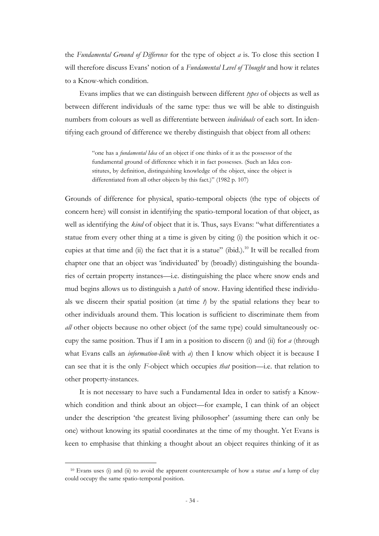the *Fundamental Ground of Difference* for the type of object *a* is. To close this section I will therefore discuss Evans" notion of a *Fundamental Level of Thought* and how it relates to a Know-which condition.

Evans implies that we can distinguish between different *types* of objects as well as between different individuals of the same type: thus we will be able to distinguish numbers from colours as well as differentiate between *individuals* of each sort. In identifying each ground of difference we thereby distinguish that object from all others:

> "one has a *fundamental Idea* of an object if one thinks of it as the possessor of the fundamental ground of difference which it in fact possesses. (Such an Idea constitutes, by definition, distinguishing knowledge of the object, since the object is differentiated from all other objects by this fact.)" (1982 p. 107)

Grounds of difference for physical, spatio-temporal objects (the type of objects of concern here) will consist in identifying the spatio-temporal location of that object, as well as identifying the *kind* of object that it is. Thus, says Evans: "what differentiates a statue from every other thing at a time is given by citing (i) the position which it occupies at that time and (ii) the fact that it is a statue" (ibid.).<sup>10</sup> It will be recalled from chapter one that an object was "individuated" by (broadly) distinguishing the boundaries of certain property instances—i.e. distinguishing the place where snow ends and mud begins allows us to distinguish a *patch* of snow. Having identified these individuals we discern their spatial position (at time *t*) by the spatial relations they bear to other individuals around them. This location is sufficient to discriminate them from *all* other objects because no other object (of the same type) could simultaneously occupy the same position. Thus if I am in a position to discern (i) and (ii) for *a* (through what Evans calls an *information-link* with *a*) then I know which object it is because I can see that it is the only *F*-object which occupies *that* position—i.e. that relation to other property-instances.

It is not necessary to have such a Fundamental Idea in order to satisfy a Knowwhich condition and think about an object—for example, I can think of an object under the description "the greatest living philosopher" (assuming there can only be one) without knowing its spatial coordinates at the time of my thought. Yet Evans is keen to emphasise that thinking a thought about an object requires thinking of it as

<sup>10</sup> Evans uses (i) and (ii) to avoid the apparent counterexample of how a statue *and* a lump of clay could occupy the same spatio-temporal position.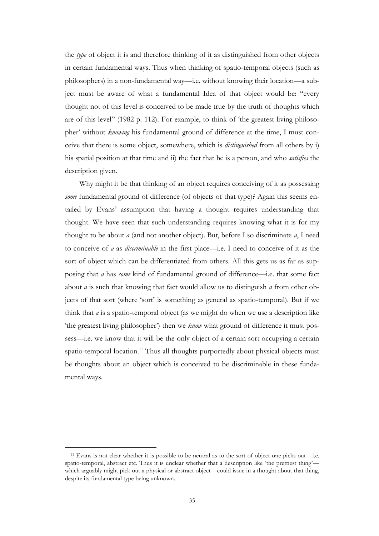the *type* of object it is and therefore thinking of it as distinguished from other objects in certain fundamental ways. Thus when thinking of spatio-temporal objects (such as philosophers) in a non-fundamental way—i.e. without knowing their location—a subject must be aware of what a fundamental Idea of that object would be: "every thought not of this level is conceived to be made true by the truth of thoughts which are of this level" (1982 p. 112). For example, to think of "the greatest living philosopher' without *knowing* his fundamental ground of difference at the time, I must conceive that there is some object, somewhere, which is *distinguished* from all others by i) his spatial position at that time and ii) the fact that he is a person, and who *satisfies* the description given.

Why might it be that thinking of an object requires conceiving of it as possessing *some* fundamental ground of difference (of objects of that type)? Again this seems entailed by Evans" assumption that having a thought requires understanding that thought. We have seen that such understanding requires knowing what it is for my thought to be about *a* (and not another object). But, before I so discriminate *a*, I need to conceive of *a* as *discriminable* in the first place—i.e. I need to conceive of it as the sort of object which can be differentiated from others. All this gets us as far as supposing that *a* has *some* kind of fundamental ground of difference—i.e. that some fact about *a* is such that knowing that fact would allow us to distinguish *a* from other objects of that sort (where 'sort' is something as general as spatio-temporal). But if we think that *a* is a spatio-temporal object (as we might do when we use a description like 'the greatest living philosopher') then we *know* what ground of difference it must possess—i.e. we know that it will be the only object of a certain sort occupying a certain spatio-temporal location.<sup>11</sup> Thus all thoughts purportedly about physical objects must be thoughts about an object which is conceived to be discriminable in these fundamental ways.

<sup>11</sup> Evans is not clear whether it is possible to be neutral as to the sort of object one picks out—i.e. spatio-temporal, abstract etc. Thus it is unclear whether that a description like 'the prettiest thing' which arguably might pick out a physical or abstract object—could issue in a thought about that thing, despite its fundamental type being unknown.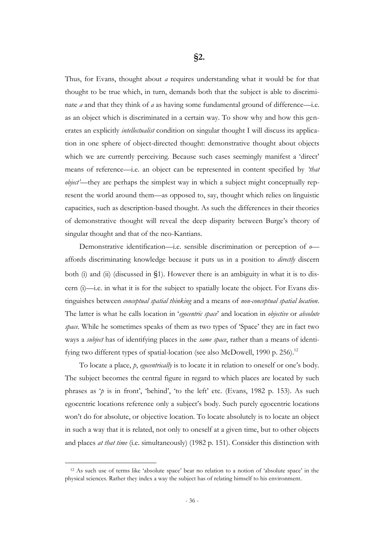Thus, for Evans, thought about *a* requires understanding what it would be for that thought to be true which, in turn, demands both that the subject is able to discriminate *a* and that they think of *a* as having some fundamental ground of difference—i.e. as an object which is discriminated in a certain way. To show why and how this generates an explicitly *intellectualist* condition on singular thought I will discuss its application in one sphere of object-directed thought: demonstrative thought about objects which we are currently perceiving. Because such cases seemingly manifest a 'direct' means of reference—i.e. an object can be represented in content specified by *'that object'*—they are perhaps the simplest way in which a subject might conceptually represent the world around them—as opposed to, say, thought which relies on linguistic capacities, such as description-based thought. As such the differences in their theories of demonstrative thought will reveal the deep disparity between Burge"s theory of singular thought and that of the neo-Kantians.

Demonstrative identification—i.e. sensible discrimination or perception of *o* affords discriminating knowledge because it puts us in a position to *directly* discern both (i) and (ii) (discussed in §1). However there is an ambiguity in what it is to discern (i)—i.e. in what it is for the subject to spatially locate the object. For Evans distinguishes between *conceptual spatial thinking* and a means of *non-conceptual spatial location*. The latter is what he calls location in "*egocentric space*" and location in *objective* or *absolute space*. While he sometimes speaks of them as two types of "Space" they are in fact two ways a *subject* has of identifying places in the *same space*, rather than a means of identifying two different types of spatial-location (see also McDowell, 1990 p. 256).<sup>12</sup>

To locate a place, *p*, *egocentrically* is to locate it in relation to oneself or one"s body. The subject becomes the central figure in regard to which places are located by such phrases as 'p is in front', 'behind', 'to the left' etc. (Evans, 1982 p. 153). As such egocentric locations reference only a subject's body. Such purely egocentric locations won"t do for absolute, or objective location. To locate absolutely is to locate an object in such a way that it is related, not only to oneself at a given time, but to other objects and places *at that time* (i.e. simultaneously) (1982 p. 151). Consider this distinction with

<sup>12</sup> As such use of terms like "absolute space" bear no relation to a notion of "absolute space" in the physical sciences. Rather they index a way the subject has of relating himself to his environment.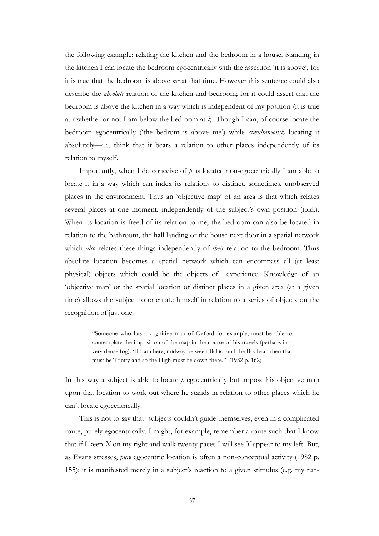the following example: relating the kitchen and the bedroom in a house. Standing in the kitchen I can locate the bedroom egocentrically with the assertion "it is above", for it is true that the bedroom is above *me* at that time. However this sentence could also describe the *absolute* relation of the kitchen and bedroom; for it could assert that the bedroom is above the kitchen in a way which is independent of my position (it is true at *t* whether or not I am below the bedroom at *t*). Though I can, of course locate the bedroom egocentrically ("the bedrom is above me") while *simultaneously* locating it absolutely—i.e. think that it bears a relation to other places independently of its relation to myself.

Importantly, when I do conceive of *p* as located non-egocentrically I am able to locate it in a way which can index its relations to distinct, sometimes, unobserved places in the environment. Thus an "objective map" of an area is that which relates several places at one moment, independently of the subject's own position (ibid.). When its location is freed of its relation to me, the bedroom can also be located in relation to the bathroom, the hall landing or the house next door in a spatial network which *also* relates these things independently of *their* relation to the bedroom. Thus absolute location becomes a spatial network which can encompass all (at least physical) objects which could be the objects of experience. Knowledge of an "objective map" or the spatial location of distinct places in a given area (at a given time) allows the subject to orientate himself in relation to a series of objects on the recognition of just one:

> "Someone who has a cognitive map of Oxford for example, must be able to contemplate the imposition of the map in the course of his travels (perhaps in a very dense fog). "If I am here, midway between Balliol and the Bodleian then that must be Trinity and so the High must be down there."" (1982 p. 162)

In this way a subject is able to locate *p* egocentrically but impose his objective map upon that location to work out where he stands in relation to other places which he can"t locate egocentrically.

This is not to say that subjects couldn"t guide themselves, even in a complicated route, purely egocentrically. I might, for example, remember a route such that I know that if I keep *X* on my right and walk twenty paces I will see *Y* appear to my left. But, as Evans stresses, *pure* egocentric location is often a non-conceptual activity (1982 p. 155); it is manifested merely in a subject's reaction to a given stimulus (e.g. my run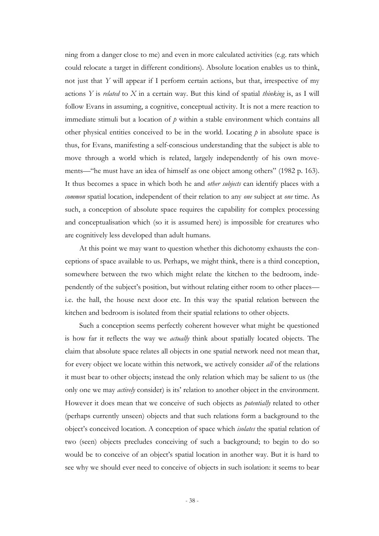ning from a danger close to me) and even in more calculated activities (e.g. rats which could relocate a target in different conditions). Absolute location enables us to think, not just that *Y* will appear if I perform certain actions, but that, irrespective of my actions *Y* is *related* to *X* in a certain way. But this kind of spatial *thinking* is, as I will follow Evans in assuming, a cognitive, conceptual activity. It is not a mere reaction to immediate stimuli but a location of *p* within a stable environment which contains all other physical entities conceived to be in the world. Locating  $p$  in absolute space is thus, for Evans, manifesting a self-conscious understanding that the subject is able to move through a world which is related, largely independently of his own movements—"he must have an idea of himself as one object among others" (1982 p. 163). It thus becomes a space in which both he and *other subjects* can identify places with a *common* spatial location, independent of their relation to any *one* subject at *one* time. As such, a conception of absolute space requires the capability for complex processing and conceptualisation which (so it is assumed here) is impossible for creatures who are cognitively less developed than adult humans.

At this point we may want to question whether this dichotomy exhausts the conceptions of space available to us. Perhaps, we might think, there is a third conception, somewhere between the two which might relate the kitchen to the bedroom, independently of the subject's position, but without relating either room to other places i.e. the hall, the house next door etc. In this way the spatial relation between the kitchen and bedroom is isolated from their spatial relations to other objects.

Such a conception seems perfectly coherent however what might be questioned is how far it reflects the way we *actually* think about spatially located objects. The claim that absolute space relates all objects in one spatial network need not mean that, for every object we locate within this network, we actively consider *all* of the relations it must bear to other objects; instead the only relation which may be salient to us (the only one we may *actively* consider) is its' relation to another object in the environment. However it does mean that we conceive of such objects as *potentially* related to other (perhaps currently unseen) objects and that such relations form a background to the object"s conceived location. A conception of space which *isolates* the spatial relation of two (seen) objects precludes conceiving of such a background; to begin to do so would be to conceive of an object's spatial location in another way. But it is hard to see why we should ever need to conceive of objects in such isolation: it seems to bear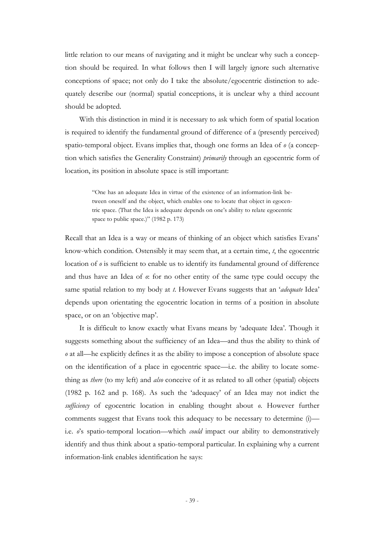little relation to our means of navigating and it might be unclear why such a conception should be required. In what follows then I will largely ignore such alternative conceptions of space; not only do I take the absolute/egocentric distinction to adequately describe our (normal) spatial conceptions, it is unclear why a third account should be adopted.

With this distinction in mind it is necessary to ask which form of spatial location is required to identify the fundamental ground of difference of a (presently perceived) spatio-temporal object. Evans implies that, though one forms an Idea of *o* (a conception which satisfies the Generality Constraint) *primarily* through an egocentric form of location, its position in absolute space is still important:

> "One has an adequate Idea in virtue of the existence of an information-link between oneself and the object, which enables one to locate that object in egocentric space. (That the Idea is adequate depends on one"s ability to relate egocentric space to public space.)" (1982 p. 173)

Recall that an Idea is a way or means of thinking of an object which satisfies Evans" know-which condition. Ostensibly it may seem that, at a certain time, *t*, the egocentric location of  $\theta$  is sufficient to enable us to identify its fundamental ground of difference and thus have an Idea of *o*: for no other entity of the same type could occupy the same spatial relation to my body at *t*. However Evans suggests that an "*adequate* Idea" depends upon orientating the egocentric location in terms of a position in absolute space, or on an 'objective map'.

It is difficult to know exactly what Evans means by "adequate Idea". Though it suggests something about the sufficiency of an Idea—and thus the ability to think of *o* at all—he explicitly defines it as the ability to impose a conception of absolute space on the identification of a place in egocentric space—i.e. the ability to locate something as *there* (to my left) and *also* conceive of it as related to all other (spatial) objects (1982 p. 162 and p. 168). As such the "adequacy" of an Idea may not indict the *sufficiency* of egocentric location in enabling thought about *o*. However further comments suggest that Evans took this adequacy to be necessary to determine (i) i.e. *o*"s spatio-temporal location—which *could* impact our ability to demonstratively identify and thus think about a spatio-temporal particular. In explaining why a current information-link enables identification he says: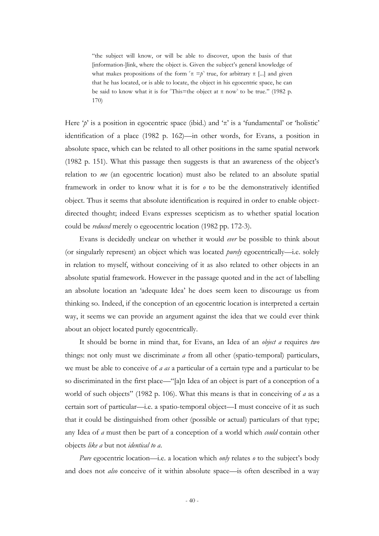"the subject will know, or will be able to discover, upon the basis of that [information-]link, where the object is. Given the subject's general knowledge of what makes propositions of the form  $\pi = p^{\pi}$  true, for arbitrary  $\pi$  [...] and given that he has located, or is able to locate, the object in his egocentric space, he can be said to know what it is for 'This=the object at  $\pi$  now' to be true." (1982 p. 170)

Here  $\gamma'$  is a position in egocentric space (ibid.) and  $\pi'$  is a 'fundamental' or 'holistic' identification of a place (1982 p. 162)—in other words, for Evans, a position in absolute space, which can be related to all other positions in the same spatial network (1982 p. 151). What this passage then suggests is that an awareness of the object"s relation to *me* (an egocentric location) must also be related to an absolute spatial framework in order to know what it is for *o* to be the demonstratively identified object. Thus it seems that absolute identification is required in order to enable objectdirected thought; indeed Evans expresses scepticism as to whether spatial location could be *reduced* merely o egeocentric location (1982 pp. 172-3).

Evans is decidedly unclear on whether it would *ever* be possible to think about (or singularly represent) an object which was located *purely* egocentrically—i.e. solely in relation to myself, without conceiving of it as also related to other objects in an absolute spatial framework. However in the passage quoted and in the act of labelling an absolute location an "adequate Idea" he does seem keen to discourage us from thinking so. Indeed, if the conception of an egocentric location is interpreted a certain way, it seems we can provide an argument against the idea that we could ever think about an object located purely egocentrically.

It should be borne in mind that, for Evans, an Idea of an *object a* requires *two* things: not only must we discriminate *a* from all other (spatio-temporal) particulars, we must be able to conceive of *a as* a particular of a certain type and a particular to be so discriminated in the first place—"[a]n Idea of an object is part of a conception of a world of such objects" (1982 p. 106). What this means is that in conceiving of *a* as a certain sort of particular—i.e. a spatio-temporal object—I must conceive of it as such that it could be distinguished from other (possible or actual) particulars of that type; any Idea of *a* must then be part of a conception of a world which *could* contain other objects *like a* but not *identical to a*.

*Pure* egocentric location—i.e. a location which *only* relates *o* to the subject's body and does not *also* conceive of it within absolute space—is often described in a way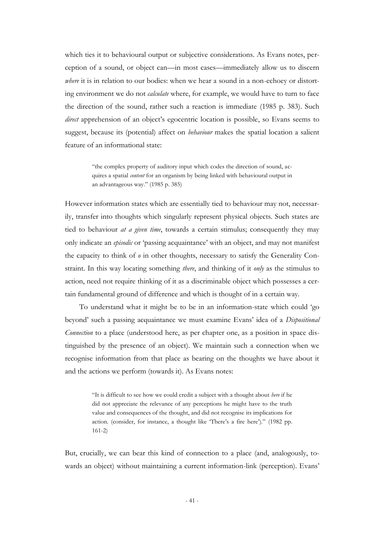which ties it to behavioural output or subjective considerations. As Evans notes, perception of a sound, or object can—in most cases—immediately allow us to discern *where* it is in relation to our bodies: when we hear a sound in a non-echoey or distorting environment we do not *calculate* where, for example, we would have to turn to face the direction of the sound, rather such a reaction is immediate (1985 p. 383). Such *direct* apprehension of an object's egocentric location is possible, so Evans seems to suggest, because its (potential) affect on *behaviour* makes the spatial location a salient feature of an informational state:

> "the complex property of auditory input which codes the direction of sound, acquires a spatial *content* for an organism by being linked with behavioural output in an advantageous way." (1985 p. 385)

However information states which are essentially tied to behaviour may not, necessarily, transfer into thoughts which singularly represent physical objects. Such states are tied to behaviour *at a given time*, towards a certain stimulus; consequently they may only indicate an *episodic* or "passing acquaintance" with an object, and may not manifest the capacity to think of *o* in other thoughts, necessary to satisfy the Generality Constraint. In this way locating something *there*, and thinking of it *only* as the stimulus to action, need not require thinking of it as a discriminable object which possesses a certain fundamental ground of difference and which is thought of in a certain way.

To understand what it might be to be in an information-state which could "go beyond" such a passing acquaintance we must examine Evans" idea of a *Dispositional Connection* to a place (understood here, as per chapter one, as a position in space distinguished by the presence of an object). We maintain such a connection when we recognise information from that place as bearing on the thoughts we have about it and the actions we perform (towards it). As Evans notes:

> "It is difficult to see how we could credit a subject with a thought about *here* if he did not appreciate the relevance of any perceptions he might have to the truth value and consequences of the thought, and did not recognise its implications for action. (consider, for instance, a thought like 'There's a fire here')." (1982 pp. 161-2)

But, crucially, we can bear this kind of connection to a place (and, analogously, towards an object) without maintaining a current information-link (perception). Evans"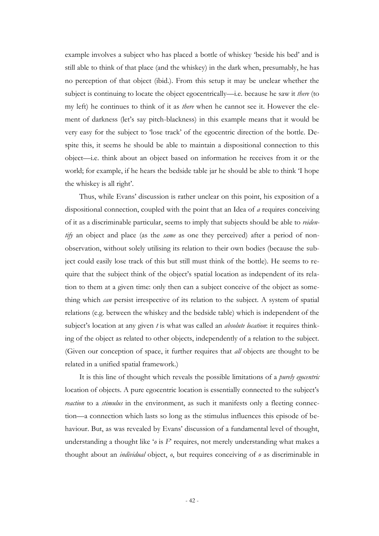example involves a subject who has placed a bottle of whiskey "beside his bed" and is still able to think of that place (and the whiskey) in the dark when, presumably, he has no perception of that object (ibid.). From this setup it may be unclear whether the subject is continuing to locate the object egocentrically—i.e. because he saw it *there* (to my left) he continues to think of it as *there* when he cannot see it. However the element of darkness (let's say pitch-blackness) in this example means that it would be very easy for the subject to "lose track" of the egocentric direction of the bottle. Despite this, it seems he should be able to maintain a dispositional connection to this object—i.e. think about an object based on information he receives from it or the world; for example, if he hears the bedside table jar he should be able to think "I hope the whiskey is all right'.

Thus, while Evans" discussion is rather unclear on this point, his exposition of a dispositional connection, coupled with the point that an Idea of *a* requires conceiving of it as a discriminable particular, seems to imply that subjects should be able to *reidentify* an object and place (as the *same* as one they perceived) after a period of nonobservation, without solely utilising its relation to their own bodies (because the subject could easily lose track of this but still must think of the bottle). He seems to require that the subject think of the object's spatial location as independent of its relation to them at a given time: only then can a subject conceive of the object as something which *can* persist irrespective of its relation to the subject. A system of spatial relations (e.g. between the whiskey and the bedside table) which is independent of the subject"s location at any given *t* is what was called an *absolute location*: it requires thinking of the object as related to other objects, independently of a relation to the subject. (Given our conception of space, it further requires that *all* objects are thought to be related in a unified spatial framework.)

It is this line of thought which reveals the possible limitations of a *purely egocentric* location of objects. A pure egocentric location is essentially connected to the subject's *reaction* to a *stimulus* in the environment, as such it manifests only a fleeting connection—a connection which lasts so long as the stimulus influences this episode of behaviour. But, as was revealed by Evans' discussion of a fundamental level of thought, understanding a thought like  $\mathcal{P}_\theta$  is  $F$  requires, not merely understanding what makes a thought about an *individual* object, *o*, but requires conceiving of *o* as discriminable in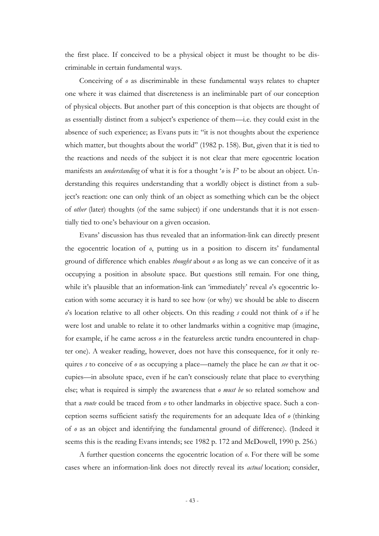the first place. If conceived to be a physical object it must be thought to be discriminable in certain fundamental ways.

Conceiving of *o* as discriminable in these fundamental ways relates to chapter one where it was claimed that discreteness is an ineliminable part of our conception of physical objects. But another part of this conception is that objects are thought of as essentially distinct from a subject"s experience of them—i.e. they could exist in the absence of such experience; as Evans puts it: "it is not thoughts about the experience which matter, but thoughts about the world" (1982 p. 158). But, given that it is tied to the reactions and needs of the subject it is not clear that mere egocentric location manifests an *understanding* of what it is for a thought '*o* is *F*' to be about an object. Understanding this requires understanding that a worldly object is distinct from a subject's reaction: one can only think of an object as something which can be the object of *other* (later) thoughts (of the same subject) if one understands that it is not essentially tied to one"s behaviour on a given occasion.

Evans" discussion has thus revealed that an information-link can directly present the egocentric location of  $\alpha$ , putting us in a position to discern its' fundamental ground of difference which enables *thought* about *o* as long as we can conceive of it as occupying a position in absolute space. But questions still remain. For one thing, while it's plausible that an information-link can 'immediately' reveal  $\rho$ 's egocentric location with some accuracy it is hard to see how (or why) we should be able to discern *o*"s location relative to all other objects. On this reading *s* could not think of *o* if he were lost and unable to relate it to other landmarks within a cognitive map (imagine, for example, if he came across *o* in the featureless arctic tundra encountered in chapter one). A weaker reading, however, does not have this consequence, for it only requires *s* to conceive of *o* as occupying a place—namely the place he can *see* that it occupies—in absolute space, even if he can"t consciously relate that place to everything else; what is required is simply the awareness that *o must be* so related somehow and that a *route* could be traced from *o* to other landmarks in objective space. Such a conception seems sufficient satisfy the requirements for an adequate Idea of *o* (thinking of *o* as an object and identifying the fundamental ground of difference). (Indeed it seems this is the reading Evans intends; see 1982 p. 172 and McDowell, 1990 p. 256.)

A further question concerns the egocentric location of *o*. For there will be some cases where an information-link does not directly reveal its *actual* location; consider,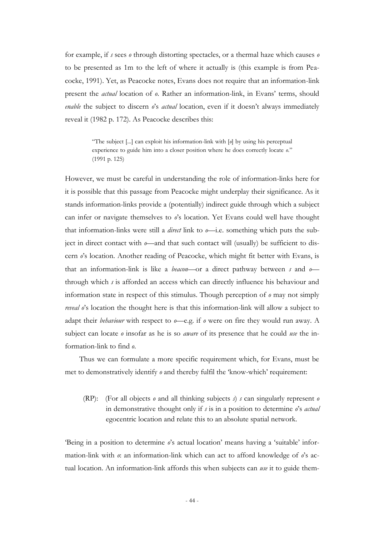for example, if *s* sees *o* through distorting spectacles, or a thermal haze which causes *o* to be presented as 1m to the left of where it actually is (this example is from Peacocke, 1991). Yet, as Peacocke notes, Evans does not require that an information-link present the *actual* location of  $\varrho$ . Rather an information-link, in Evans' terms, should *enable* the subject to discern *o*'s *actual* location, even if it doesn't always immediately reveal it (1982 p. 172). As Peacocke describes this:

> "The subject [...] can exploit his information-link with [*o*] by using his perceptual experience to guide him into a closer position where he does correctly locate *o*." (1991 p. 125)

However, we must be careful in understanding the role of information-links here for it is possible that this passage from Peacocke might underplay their significance. As it stands information-links provide a (potentially) indirect guide through which a subject can infer or navigate themselves to *o*"s location. Yet Evans could well have thought that information-links were still a *direct* link to *o*—i.e. something which puts the subject in direct contact with *o*—and that such contact will (usually) be sufficient to discern *o*"s location. Another reading of Peacocke, which might fit better with Evans, is that an information-link is like a *beacon*—or a direct pathway between *s* and *o* through which *s* is afforded an access which can directly influence his behaviour and information state in respect of this stimulus. Though perception of *o* may not simply *reveal o*"s location the thought here is that this information-link will allow a subject to adapt their *behaviour* with respect to *o*—e.g. if *o* were on fire they would run away. A subject can locate *o* insofar as he is so *aware* of its presence that he could *use* the information-link to find *o*.

Thus we can formulate a more specific requirement which, for Evans, must be met to demonstratively identify *o* and thereby fulfil the "know-which" requirement:

(RP): (For all objects *o* and all thinking subjects *s*) *s* can singularly represent *o* in demonstrative thought only if *s* is in a position to determine *o*"s *actual* egocentric location and relate this to an absolute spatial network.

"Being in a position to determine *o*"s actual location" means having a "suitable" information-link with  $\alpha$ : an information-link which can act to afford knowledge of  $\alpha$ 's actual location. An information-link affords this when subjects can *use* it to guide them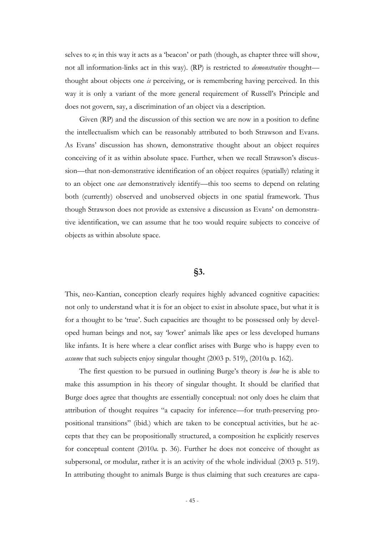selves to  $\varphi$ , in this way it acts as a 'beacon' or path (though, as chapter three will show, not all information-links act in this way). (RP) is restricted to *demonstrative* thought thought about objects one *is* perceiving, or is remembering having perceived. In this way it is only a variant of the more general requirement of Russell"s Principle and does not govern, say, a discrimination of an object via a description.

Given (RP) and the discussion of this section we are now in a position to define the intellectualism which can be reasonably attributed to both Strawson and Evans. As Evans" discussion has shown, demonstrative thought about an object requires conceiving of it as within absolute space. Further, when we recall Strawson"s discussion—that non-demonstrative identification of an object requires (spatially) relating it to an object one *can* demonstratively identify—this too seems to depend on relating both (currently) observed and unobserved objects in one spatial framework. Thus though Strawson does not provide as extensive a discussion as Evans" on demonstrative identification, we can assume that he too would require subjects to conceive of objects as within absolute space.

## **§3.**

This, neo-Kantian, conception clearly requires highly advanced cognitive capacities: not only to understand what it is for an object to exist in absolute space, but what it is for a thought to be 'true'. Such capacities are thought to be possessed only by developed human beings and not, say "lower" animals like apes or less developed humans like infants. It is here where a clear conflict arises with Burge who is happy even to *assume* that such subjects enjoy singular thought (2003 p. 519), (2010a p. 162).

The first question to be pursued in outlining Burge's theory is *how* he is able to make this assumption in his theory of singular thought. It should be clarified that Burge does agree that thoughts are essentially conceptual: not only does he claim that attribution of thought requires "a capacity for inference—for truth-preserving propositional transitions" (ibid.) which are taken to be conceptual activities, but he accepts that they can be propositionally structured, a composition he explicitly reserves for conceptual content (2010*a.* p. 36). Further he does not conceive of thought as subpersonal, or modular, rather it is an activity of the whole individual (2003 p. 519). In attributing thought to animals Burge is thus claiming that such creatures are capa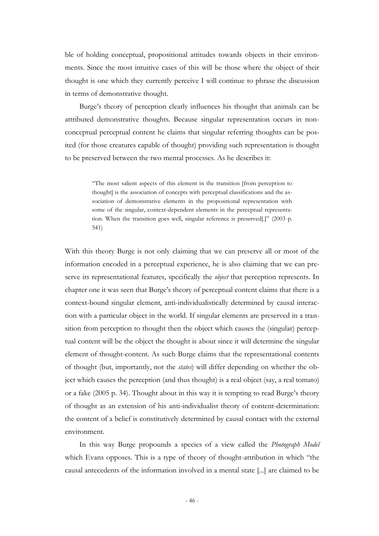ble of holding conceptual, propositional attitudes towards objects in their environments. Since the most intuitive cases of this will be those where the object of their thought is one which they currently perceive I will continue to phrase the discussion in terms of demonstrative thought.

Burge"s theory of perception clearly influences his thought that animals can be attributed demonstrative thoughts. Because singular representation occurs in nonconceptual perceptual content he claims that singular referring thoughts can be posited (for those creatures capable of thought) providing such representation is thought to be preserved between the two mental processes. As he describes it:

> "The most salient aspects of this element in the transition [from perception to thought] is the association of concepts with perceptual classifications and the association of demonstrative elements in the propositional representation with some of the singular, context-dependent elements in the perceptual representation. When the transition goes well, singular reference is preserved[.]" (2003 p. 541)

With this theory Burge is not only claiming that we can preserve all or most of the information encoded in a perceptual experience, he is also claiming that we can preserve its representational features, specifically the *object* that perception represents. In chapter one it was seen that Burge"s theory of perceptual content claims that there is a context-bound singular element, anti-individualistically determined by causal interaction with a particular object in the world. If singular elements are preserved in a transition from perception to thought then the object which causes the (singular) perceptual content will be the object the thought is about since it will determine the singular element of thought-content. As such Burge claims that the representational contents of thought (but, importantly, not the *states*) will differ depending on whether the object which causes the perception (and thus thought) is a real object (say, a real tomato) or a fake (2005 p. 34). Thought about in this way it is tempting to read Burge's theory of thought as an extension of his anti-individualist theory of content-determination: the content of a belief is constitutively determined by causal contact with the external environment.

In this way Burge propounds a species of a view called the *Photograph Model*  which Evans opposes. This is a type of theory of thought-attribution in which "the causal antecedents of the information involved in a mental state [...] are claimed to be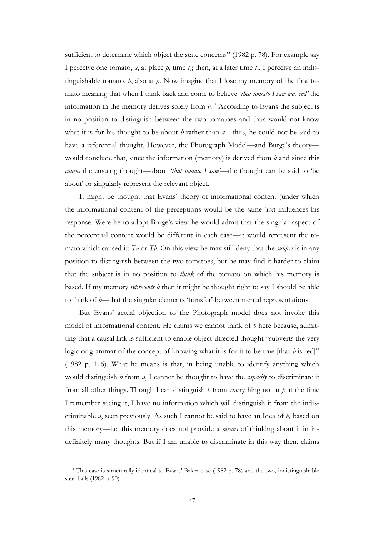sufficient to determine which object the state concerns" (1982 p. 78). For example say I perceive one tomato, *a*, at place *p*, time  $t_i$ ; then, at a later time  $t_2$ . I perceive an indistinguishable tomato, *b*, also at *p*. Now imagine that I lose my memory of the first tomato meaning that when I think back and come to believe *'that tomato I saw was red'* the information in the memory derives solely from  $h^{13}$  According to Evans the subject is in no position to distinguish between the two tomatoes and thus would not know what it is for his thought to be about *b* rather than *a*—thus, he could not be said to have a referential thought. However, the Photograph Model—and Burge's theory would conclude that, since the information (memory) is derived from *b* and since this *causes* the ensuing thought—about *'that tomato I saw'*—the thought can be said to "be about" or singularly represent the relevant object.

It might be thought that Evans" theory of informational content (under which the informational content of the perceptions would be the same  $Tx$  influences his response. Were he to adopt Burge"s view he would admit that the singular aspect of the perceptual content would be different in each case—it would represent the tomato which caused it: *Ta* or *Tb*. On this view he may still deny that the *subject* is in any position to distinguish between the two tomatoes, but he may find it harder to claim that the subject is in no position to *think* of the tomato on which his memory is based. If my memory *represents b* then it might be thought right to say I should be able to think of *b*—that the singular elements 'transfer' between mental representations.

But Evans" actual objection to the Photograph model does not invoke this model of informational content. He claims we cannot think of *b* here because, admitting that a causal link is sufficient to enable object-directed thought "subverts the very logic or grammar of the concept of knowing what it is for it to be true [that *b* is red]" (1982 p. 116). What he means is that, in being unable to identify anything which would distinguish *b* from *a*, I cannot be thought to have the *capacity* to discriminate it from all other things. Though I can distinguish *b* from everything not at *p* at the time I remember seeing it, I have no information which will distinguish it from the indiscriminable *a*, seen previously. As such I cannot be said to have an Idea of *b,* based on this memory—i.e. this memory does not provide a *means* of thinking about it in indefinitely many thoughts. But if I am unable to discriminate in this way then, claims

-

<sup>13</sup> This case is structurally identical to Evans" Baker-case (1982 p. 78) and the two, indistinguishable steel balls (1982 p. 90).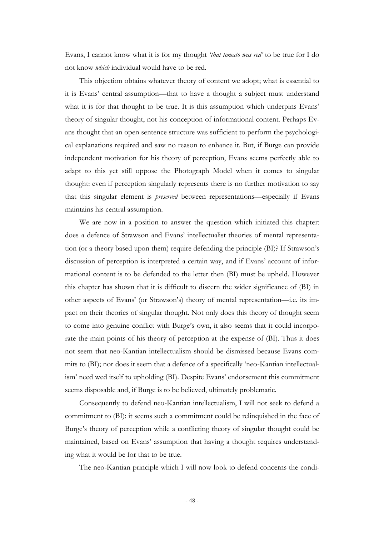Evans, I cannot know what it is for my thought *'that tomato was red'* to be true for I do not know *which* individual would have to be red.

This objection obtains whatever theory of content we adopt; what is essential to it is Evans' central assumption—that to have a thought a subject must understand what it is for that thought to be true. It is this assumption which underpins Evans' theory of singular thought, not his conception of informational content. Perhaps Evans thought that an open sentence structure was sufficient to perform the psychological explanations required and saw no reason to enhance it. But, if Burge can provide independent motivation for his theory of perception, Evans seems perfectly able to adapt to this yet still oppose the Photograph Model when it comes to singular thought: even if perception singularly represents there is no further motivation to say that this singular element is *preserved* between representations—especially if Evans maintains his central assumption.

We are now in a position to answer the question which initiated this chapter: does a defence of Strawson and Evans" intellectualist theories of mental representation (or a theory based upon them) require defending the principle (BI)? If Strawson"s discussion of perception is interpreted a certain way, and if Evans' account of informational content is to be defended to the letter then (BI) must be upheld. However this chapter has shown that it is difficult to discern the wider significance of (BI) in other aspects of Evans" (or Strawson"s) theory of mental representation—i.e. its impact on their theories of singular thought. Not only does this theory of thought seem to come into genuine conflict with Burge"s own, it also seems that it could incorporate the main points of his theory of perception at the expense of (BI). Thus it does not seem that neo-Kantian intellectualism should be dismissed because Evans commits to (BI); nor does it seem that a defence of a specifically "neo-Kantian intellectualism' need wed itself to upholding (BI). Despite Evans' endorsement this commitment seems disposable and, if Burge is to be believed, ultimately problematic.

Consequently to defend neo-Kantian intellectualism, I will not seek to defend a commitment to (BI): it seems such a commitment could be relinquished in the face of Burge's theory of perception while a conflicting theory of singular thought could be maintained, based on Evans" assumption that having a thought requires understanding what it would be for that to be true.

The neo-Kantian principle which I will now look to defend concerns the condi-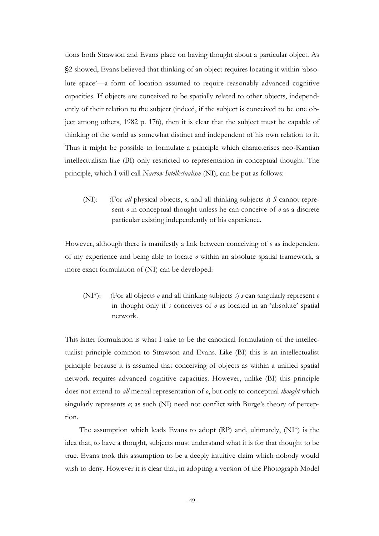tions both Strawson and Evans place on having thought about a particular object. As §2 showed, Evans believed that thinking of an object requires locating it within "absolute space"—a form of location assumed to require reasonably advanced cognitive capacities. If objects are conceived to be spatially related to other objects, independently of their relation to the subject (indeed, if the subject is conceived to be one object among others, 1982 p. 176), then it is clear that the subject must be capable of thinking of the world as somewhat distinct and independent of his own relation to it. Thus it might be possible to formulate a principle which characterises neo-Kantian intellectualism like (BI) only restricted to representation in conceptual thought. The principle, which I will call *Narrow Intellectualism* (NI), can be put as follows:

(NI): (For *all* physical objects,  $\varrho$ , and all thinking subjects  $\vartheta$ ) *S* cannot represent *o* in conceptual thought unless he can conceive of *o* as a discrete particular existing independently of his experience.

However, although there is manifestly a link between conceiving of *o* as independent of my experience and being able to locate *o* within an absolute spatial framework, a more exact formulation of (NI) can be developed:

(NI\*): (For all objects *o* and all thinking subjects *s*) *s* can singularly represent *o* in thought only if *s* conceives of *o* as located in an "absolute" spatial network.

This latter formulation is what I take to be the canonical formulation of the intellectualist principle common to Strawson and Evans. Like (BI) this is an intellectualist principle because it is assumed that conceiving of objects as within a unified spatial network requires advanced cognitive capacities. However, unlike (BI) this principle does not extend to *all* mental representation of *o*, but only to conceptual *thought* which singularly represents *o*; as such (NI) need not conflict with Burge's theory of perception.

The assumption which leads Evans to adopt  $(RP)$  and, ultimately,  $(NI^*)$  is the idea that, to have a thought, subjects must understand what it is for that thought to be true. Evans took this assumption to be a deeply intuitive claim which nobody would wish to deny. However it is clear that, in adopting a version of the Photograph Model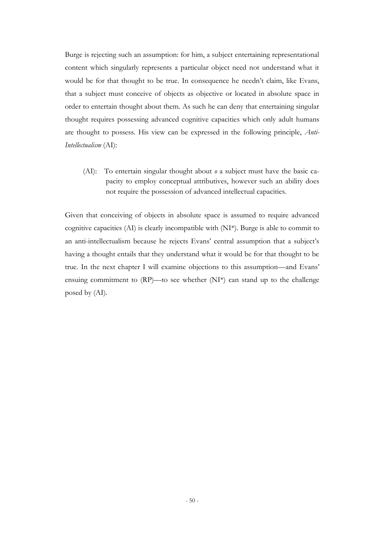Burge is rejecting such an assumption: for him, a subject entertaining representational content which singularly represents a particular object need not understand what it would be for that thought to be true. In consequence he needn"t claim, like Evans, that a subject must conceive of objects as objective or located in absolute space in order to entertain thought about them. As such he can deny that entertaining singular thought requires possessing advanced cognitive capacities which only adult humans are thought to possess. His view can be expressed in the following principle, *Anti-Intellectualism* (AI):

(AI): To entertain singular thought about *o* a subject must have the basic capacity to employ conceptual attributives, however such an ability does not require the possession of advanced intellectual capacities.

Given that conceiving of objects in absolute space is assumed to require advanced cognitive capacities (AI) is clearly incompatible with (NI\*). Burge is able to commit to an anti-intellectualism because he rejects Evans' central assumption that a subject's having a thought entails that they understand what it would be for that thought to be true. In the next chapter I will examine objections to this assumption—and Evans" ensuing commitment to (RP)—to see whether (NI\*) can stand up to the challenge posed by (AI).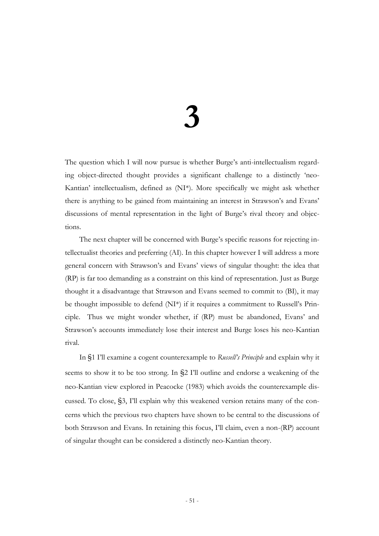# **3**

The question which I will now pursue is whether Burge's anti-intellectualism regarding object-directed thought provides a significant challenge to a distinctly "neo-Kantian" intellectualism, defined as (NI\*). More specifically we might ask whether there is anything to be gained from maintaining an interest in Strawson"s and Evans" discussions of mental representation in the light of Burge's rival theory and objections.

The next chapter will be concerned with Burge's specific reasons for rejecting intellectualist theories and preferring (AI). In this chapter however I will address a more general concern with Strawson"s and Evans" views of singular thought: the idea that (RP) is far too demanding as a constraint on this kind of representation. Just as Burge thought it a disadvantage that Strawson and Evans seemed to commit to (BI), it may be thought impossible to defend (NI\*) if it requires a commitment to Russell"s Principle. Thus we might wonder whether, if (RP) must be abandoned, Evans" and Strawson's accounts immediately lose their interest and Burge loses his neo-Kantian rival.

In §1 I"ll examine a cogent counterexample to *Russell's Principle* and explain why it seems to show it to be too strong. In §2 I"ll outline and endorse a weakening of the neo-Kantian view explored in Peacocke (1983) which avoids the counterexample discussed. To close, §3, I"ll explain why this weakened version retains many of the concerns which the previous two chapters have shown to be central to the discussions of both Strawson and Evans. In retaining this focus, I"ll claim, even a non-(RP) account of singular thought can be considered a distinctly neo-Kantian theory.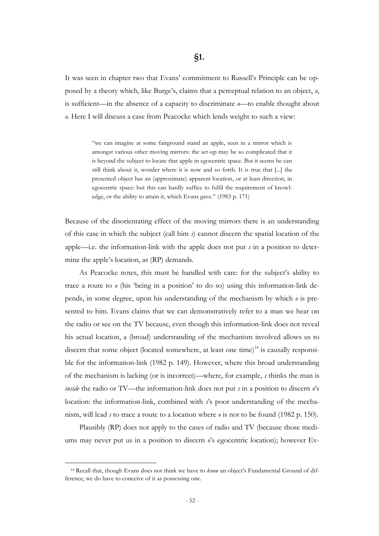It was seen in chapter two that Evans" commitment to Russell"s Principle can be opposed by a theory which, like Burge's, claims that a perceptual relation to an object, *o*, is sufficient—in the absence of a capacity to discriminate *o*—to enable thought about *o*. Here I will discuss a case from Peacocke which lends weight to such a view:

> "we can imagine at some fairground stand an apple, seen in a mirror which is amongst various other moving mirrors: the set-up may be so complicated that it is beyond the subject to locate that apple in egocentric space. But it seems he can still think about it, wonder where it is now and so forth. It is true that [...] the presented object has an (approximate) apparent location, or at least direction, in egocentric space: but this can hardly suffice to fulfil the requirement of knowledge, or the ability to attain it, which Evans gave." (1983 p. 171)

Because of the disorientating effect of the moving mirrors there is an understanding of this case in which the subject (call him *s*) cannot discern the spatial location of the apple—i.e. the information-link with the apple does not put *s* in a position to determine the apple"s location, as (RP) demands.

As Peacocke notes, this must be handled with care: for the subject's ability to trace a route to *o* (his "being in a position" to do so) using this information-link depends, in some degree, upon his understanding of the mechanism by which *o* is presented to him. Evans claims that we can demonstratively refer to a man we hear on the radio or see on the TV because, even though this information-link does not reveal his actual location, a (broad) understanding of the mechanism involved allows us to discern that some object (located somewhere, at least one time)<sup>14</sup> is causally responsible for the information-link (1982 p. 149). However, where this broad understanding of the mechanism is lacking (or is incorrect)—where, for example, *s* thinks the man is *inside* the radio or TV—the information-link does not put *s* in a position to discern *o*'s location: the information-link, combined with *s*"s poor understanding of the mechanism, will lead *s* to trace a route to a location where *o* is not to be found (1982 p. 150).

Plausibly (RP) does not apply to the cases of radio and TV (because those mediums may never put us in a position to discern  $\theta$ 's egocentric location); however Ev-

-

<sup>&</sup>lt;sup>14</sup> Recall that, though Evans does not think we have to *know* an object's Fundamental Ground of difference, we do have to conceive of it as possessing one.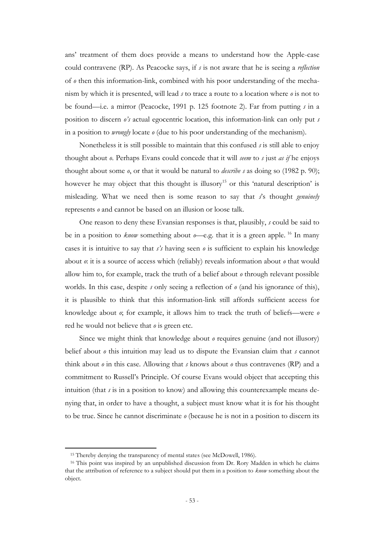ans" treatment of them does provide a means to understand how the Apple-case could contravene (RP). As Peacocke says, if *s* is not aware that he is seeing a *reflection* of *o* then this information-link, combined with his poor understanding of the mechanism by which it is presented, will lead *s* to trace a route to a location where *o* is not to be found—i.e. a mirror (Peacocke, 1991 p. 125 footnote 2). Far from putting *s* in a position to discern *o's* actual egocentric location, this information-link can only put *s* in a position to *wrongly* locate *o* (due to his poor understanding of the mechanism).

Nonetheless it is still possible to maintain that this confused *s* is still able to enjoy thought about *o*. Perhaps Evans could concede that it will *seem* to *s* just *as if* he enjoys thought about some *o*, or that it would be natural to *describe s* as doing so (1982 p. 90); however he may object that this thought is illusory<sup>15</sup> or this 'natural description' is misleading. What we need then is some reason to say that *s*"s thought *genuinely* represents *o* and cannot be based on an illusion or loose talk.

One reason to deny these Evansian responses is that, plausibly, *s* could be said to be in a position to *know* something about  $o$ —e.g. that it is a green apple. <sup>16</sup> In many cases it is intuitive to say that *s's* having seen *o* is sufficient to explain his knowledge about *o*: it is a source of access which (reliably) reveals information about *o* that would allow him to, for example, track the truth of a belief about *o* through relevant possible worlds. In this case, despite *s* only seeing a reflection of *o* (and his ignorance of this), it is plausible to think that this information-link still affords sufficient access for knowledge about *o*; for example, it allows him to track the truth of beliefs—were *o* red he would not believe that *o* is green etc.

Since we might think that knowledge about *o* requires genuine (and not illusory) belief about *o* this intuition may lead us to dispute the Evansian claim that *s* cannot think about *o* in this case. Allowing that *s* knows about *o* thus contravenes (RP) and a commitment to Russell"s Principle. Of course Evans would object that accepting this intuition (that *s* is in a position to know) and allowing this counterexample means denying that, in order to have a thought, a subject must know what it is for his thought to be true. Since he cannot discriminate *o* (because he is not in a position to discern its

-

<sup>&</sup>lt;sup>15</sup> Thereby denying the transparency of mental states (see McDowell, 1986).

<sup>&</sup>lt;sup>16</sup> This point was inspired by an unpublished discussion from Dr. Rory Madden in which he claims that the attribution of reference to a subject should put them in a position to *know* something about the object.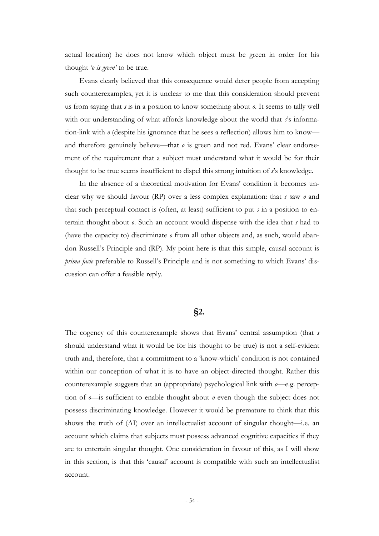actual location) he does not know which object must be green in order for his thought *'o is green'* to be true.

Evans clearly believed that this consequence would deter people from accepting such counterexamples, yet it is unclear to me that this consideration should prevent us from saying that *s* is in a position to know something about *o*. It seems to tally well with our understanding of what affords knowledge about the world that *s*'s information-link with *o* (despite his ignorance that he sees a reflection) allows him to know and therefore genuinely believe—that  $\theta$  is green and not red. Evans' clear endorsement of the requirement that a subject must understand what it would be for their thought to be true seems insufficient to dispel this strong intuition of *s*"s knowledge.

In the absence of a theoretical motivation for Evans' condition it becomes unclear why we should favour (RP) over a less complex explanation: that *s* saw *o* and that such perceptual contact is (often, at least) sufficient to put *s* in a position to entertain thought about *o*. Such an account would dispense with the idea that *s* had to (have the capacity to) discriminate *o* from all other objects and, as such, would abandon Russell"s Principle and (RP). My point here is that this simple, causal account is *prima facie* preferable to Russell"s Principle and is not something to which Evans" discussion can offer a feasible reply.

### **§2.**

The cogency of this counterexample shows that Evans" central assumption (that *s* should understand what it would be for his thought to be true) is not a self-evident truth and, therefore, that a commitment to a "know-which" condition is not contained within our conception of what it is to have an object-directed thought. Rather this counterexample suggests that an (appropriate) psychological link with *o*—e.g. perception of *o*—is sufficient to enable thought about *o* even though the subject does not possess discriminating knowledge. However it would be premature to think that this shows the truth of (AI) over an intellectualist account of singular thought—i.e. an account which claims that subjects must possess advanced cognitive capacities if they are to entertain singular thought. One consideration in favour of this, as I will show in this section, is that this "causal" account is compatible with such an intellectualist account.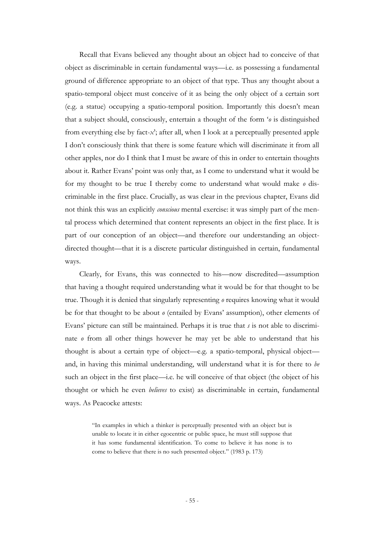Recall that Evans believed any thought about an object had to conceive of that object as discriminable in certain fundamental ways—i.e. as possessing a fundamental ground of difference appropriate to an object of that type. Thus any thought about a spatio-temporal object must conceive of it as being the only object of a certain sort (e.g. a statue) occupying a spatio-temporal position. Importantly this doesn"t mean that a subject should, consciously, entertain a thought of the form "*o* is distinguished from everything else by fact-*x*"; after all, when I look at a perceptually presented apple I don"t consciously think that there is some feature which will discriminate it from all other apples, nor do I think that I must be aware of this in order to entertain thoughts about it. Rather Evans" point was only that, as I come to understand what it would be for my thought to be true I thereby come to understand what would make *o* discriminable in the first place. Crucially, as was clear in the previous chapter, Evans did not think this was an explicitly *conscious* mental exercise: it was simply part of the mental process which determined that content represents an object in the first place. It is part of our conception of an object—and therefore our understanding an objectdirected thought—that it is a discrete particular distinguished in certain, fundamental ways.

Clearly, for Evans, this was connected to his—now discredited—assumption that having a thought required understanding what it would be for that thought to be true. Though it is denied that singularly representing *o* requires knowing what it would be for that thought to be about *o* (entailed by Evans" assumption), other elements of Evans" picture can still be maintained. Perhaps it is true that *s* is not able to discriminate *o* from all other things however he may yet be able to understand that his thought is about a certain type of object—e.g. a spatio-temporal, physical object and, in having this minimal understanding, will understand what it is for there to *be* such an object in the first place—i.e. he will conceive of that object (the object of his thought or which he even *believes* to exist) as discriminable in certain, fundamental ways. As Peacocke attests:

> "In examples in which a thinker is perceptually presented with an object but is unable to locate it in either egocentric or public space, he must still suppose that it has some fundamental identification. To come to believe it has none is to come to believe that there is no such presented object." (1983 p. 173)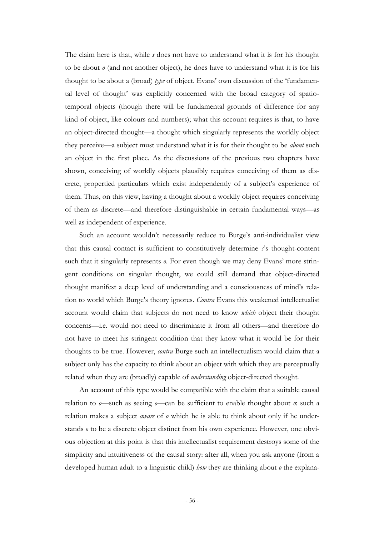The claim here is that, while *s* does not have to understand what it is for his thought to be about *o* (and not another object), he does have to understand what it is for his thought to be about a (broad) *type* of object. Evans' own discussion of the 'fundamental level of thought' was explicitly concerned with the broad category of spatiotemporal objects (though there will be fundamental grounds of difference for any kind of object, like colours and numbers); what this account requires is that, to have an object-directed thought—a thought which singularly represents the worldly object they perceive—a subject must understand what it is for their thought to be *about* such an object in the first place. As the discussions of the previous two chapters have shown, conceiving of worldly objects plausibly requires conceiving of them as discrete, propertied particulars which exist independently of a subject's experience of them. Thus, on this view, having a thought about a worldly object requires conceiving of them as discrete—and therefore distinguishable in certain fundamental ways—as well as independent of experience.

Such an account wouldn"t necessarily reduce to Burge"s anti-individualist view that this causal contact is sufficient to constitutively determine *s*"s thought-content such that it singularly represents  $\theta$ . For even though we may deny Evans' more stringent conditions on singular thought, we could still demand that object-directed thought manifest a deep level of understanding and a consciousness of mind"s relation to world which Burge"s theory ignores. *Contra* Evans this weakened intellectualist account would claim that subjects do not need to know *which* object their thought concerns—i.e. would not need to discriminate it from all others—and therefore do not have to meet his stringent condition that they know what it would be for their thoughts to be true. However, *contra* Burge such an intellectualism would claim that a subject only has the capacity to think about an object with which they are perceptually related when they are (broadly) capable of *understanding* object-directed thought.

An account of this type would be compatible with the claim that a suitable causal relation to *o*—such as seeing *o*—can be sufficient to enable thought about *o*: such a relation makes a subject *aware* of *o* which he is able to think about only if he understands *o* to be a discrete object distinct from his own experience. However, one obvious objection at this point is that this intellectualist requirement destroys some of the simplicity and intuitiveness of the causal story: after all, when you ask anyone (from a developed human adult to a linguistic child) *how* they are thinking about *o* the explana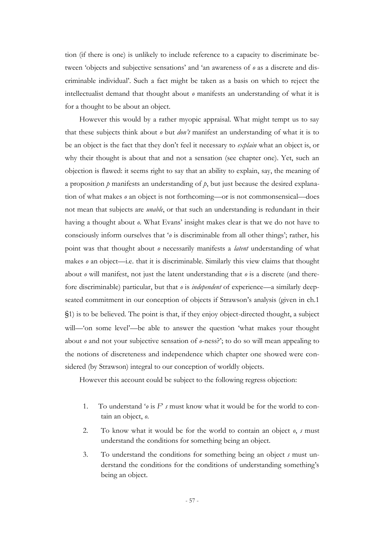tion (if there is one) is unlikely to include reference to a capacity to discriminate between "objects and subjective sensations" and "an awareness of *o* as a discrete and discriminable individual". Such a fact might be taken as a basis on which to reject the intellectualist demand that thought about *o* manifests an understanding of what it is for a thought to be about an object.

However this would by a rather myopic appraisal. What might tempt us to say that these subjects think about *o* but *don't* manifest an understanding of what it is to be an object is the fact that they don"t feel it necessary to *explain* what an object is, or why their thought is about that and not a sensation (see chapter one). Yet, such an objection is flawed: it seems right to say that an ability to explain, say, the meaning of a proposition *p* manifests an understanding of *p*, but just because the desired explanation of what makes *o* an object is not forthcoming—or is not commonsensical—does not mean that subjects are *unable*, or that such an understanding is redundant in their having a thought about *o*. What Evans" insight makes clear is that we do not have to consciously inform ourselves that "*o* is discriminable from all other things"; rather, his point was that thought about *o* necessarily manifests a *latent* understanding of what makes *o* an object—i.e. that it is discriminable. Similarly this view claims that thought about *o* will manifest, not just the latent understanding that *o* is a discrete (and therefore discriminable) particular, but that *o* is *independent* of experience—a similarly deepseated commitment in our conception of objects if Strawson's analysis (given in ch.1) §1) is to be believed. The point is that, if they enjoy object-directed thought, a subject will—"on some level"—be able to answer the question "what makes your thought about *o* and not your subjective sensation of *o*-ness?"; to do so will mean appealing to the notions of discreteness and independence which chapter one showed were considered (by Strawson) integral to our conception of worldly objects.

However this account could be subject to the following regress objection:

- 1. To understand "*o* is *F*" *s* must know what it would be for the world to contain an object, *o*.
- 2. To know what it would be for the world to contain an object *o*, *s* must understand the conditions for something being an object.
- 3. To understand the conditions for something being an object *s* must understand the conditions for the conditions of understanding something's being an object.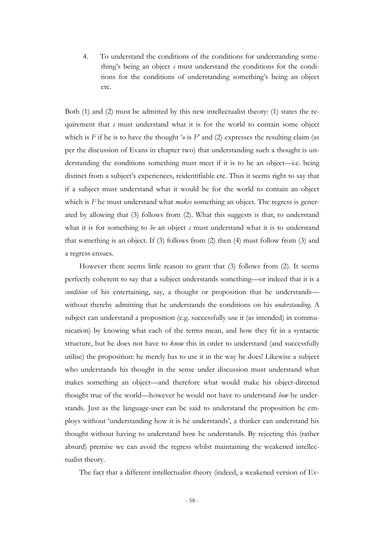4. To understand the conditions of the conditions for understanding something's being an object *s* must understand the conditions for the conditions for the conditions of understanding something"s being an object etc.

Both (1) and (2) must be admitted by this new intellectualist theory: (1) states the requirement that *s* must understand what it is for the world to contain some object which is *F* if he is to have the thought '*o* is *F*' and (2) expresses the resulting claim (as per the discussion of Evans in chapter two) that understanding such a thought is understanding the conditions something must meet if it is to be an object—i.e. being distinct from a subject's experiences, reidentifiable etc. Thus it seems right to say that if a subject must understand what it would be for the world to contain an object which is *F* he must understand what *makes* something an object. The regress is generated by allowing that (3) follows from (2). What this suggests is that, to understand what it is for something to *be* an object *s* must understand what it is to understand that something is an object. If (3) follows from (2) then (4) must follow from (3) and a regress ensues.

However there seems little reason to grant that (3) follows from (2). It seems perfectly coherent to say that a subject understands something—or indeed that it is a *condition* of his entertaining, say, a thought or proposition that he understands without thereby admitting that he understands the conditions on his *understanding*. A subject can understand a proposition (e.g. successfully use it (as intended) in communication) by knowing what each of the terms mean, and how they fit in a syntactic structure, but he does not have to *know* this in order to understand (and successfully utilise) the proposition: he merely has to use it in the way he does! Likewise a subject who understands his thought in the sense under discussion must understand what makes something an object—and therefore what would make his object-directed thought true of the world—however he would not have to understand *how* he understands. Just as the language-user can be said to understand the proposition he employs without "understanding how it is he understands", a thinker can understand his thought without having to understand how he understands. By rejecting this (rather absurd) premise we can avoid the regress whilst maintaining the weakened intellectualist theory.

The fact that a different intellectualist theory (indeed, a weakened version of Ev-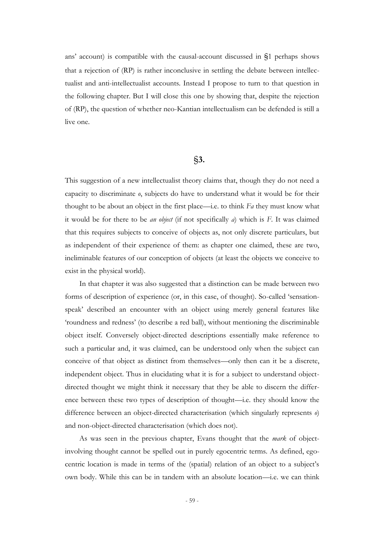ans' account) is compatible with the causal-account discussed in  $\S1$  perhaps shows that a rejection of (RP) is rather inconclusive in settling the debate between intellectualist and anti-intellectualist accounts. Instead I propose to turn to that question in the following chapter. But I will close this one by showing that, despite the rejection of (RP), the question of whether neo-Kantian intellectualism can be defended is still a live one.

## §**3.**

This suggestion of a new intellectualist theory claims that, though they do not need a capacity to discriminate *o*, subjects do have to understand what it would be for their thought to be about an object in the first place—i.e. to think *Fa* they must know what it would be for there to be *an object* (if not specifically *a*) which is *F*. It was claimed that this requires subjects to conceive of objects as, not only discrete particulars, but as independent of their experience of them: as chapter one claimed, these are two, ineliminable features of our conception of objects (at least the objects we conceive to exist in the physical world).

In that chapter it was also suggested that a distinction can be made between two forms of description of experience (or, in this case, of thought). So-called "sensationspeak" described an encounter with an object using merely general features like "roundness and redness" (to describe a red ball), without mentioning the discriminable object itself. Conversely object-directed descriptions essentially make reference to such a particular and, it was claimed, can be understood only when the subject can conceive of that object as distinct from themselves—only then can it be a discrete, independent object. Thus in elucidating what it is for a subject to understand objectdirected thought we might think it necessary that they be able to discern the difference between these two types of description of thought—i.e. they should know the difference between an object-directed characterisation (which singularly represents *o*) and non-object-directed characterisation (which does not).

As was seen in the previous chapter, Evans thought that the *mark* of objectinvolving thought cannot be spelled out in purely egocentric terms. As defined, egocentric location is made in terms of the (spatial) relation of an object to a subject"s own body. While this can be in tandem with an absolute location—i.e. we can think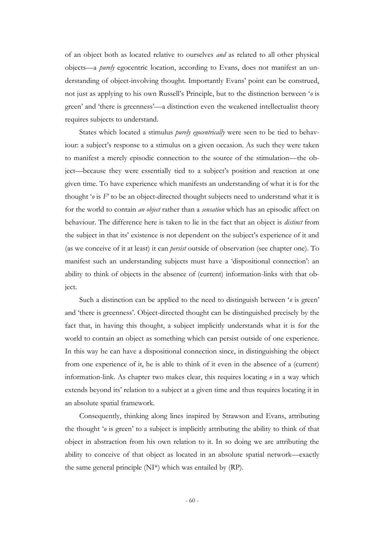of an object both as located relative to ourselves *and* as related to all other physical objects—a *purely* egocentric location, according to Evans, does not manifest an understanding of object-involving thought. Importantly Evans' point can be construed, not just as applying to his own Russell"s Principle, but to the distinction between "*o* is green" and "there is greenness"—a distinction even the weakened intellectualist theory requires subjects to understand.

States which located a stimulus *purely egocentrically* were seen to be tied to behaviour: a subject's response to a stimulus on a given occasion. As such they were taken to manifest a merely episodic connection to the source of the stimulation—the object—because they were essentially tied to a subject's position and reaction at one given time. To have experience which manifests an understanding of what it is for the thought  $\omega$  is  $F$  to be an object-directed thought subjects need to understand what it is for the world to contain *an object* rather than a *sensation* which has an episodic affect on behaviour. The difference here is taken to lie in the fact that an object is *distinct* from the subject in that its" existence is not dependent on the subject"s experience of it and (as we conceive of it at least) it can *persist* outside of observation (see chapter one). To manifest such an understanding subjects must have a "dispositional connection": an ability to think of objects in the absence of (current) information-links with that object.

Such a distinction can be applied to the need to distinguish between "*o* is green" and "there is greenness". Object-directed thought can be distinguished precisely by the fact that, in having this thought, a subject implicitly understands what it is for the world to contain an object as something which can persist outside of one experience. In this way he can have a dispositional connection since, in distinguishing the object from one experience of it, he is able to think of it even in the absence of a (current) information-link. As chapter two makes clear, this requires locating *o* in a way which extends beyond its' relation to a subject at a given time and thus requires locating it in an absolute spatial framework.

Consequently, thinking along lines inspired by Strawson and Evans, attributing the thought "*o* is green" to a subject is implicitly attributing the ability to think of that object in abstraction from his own relation to it. In so doing we are attributing the ability to conceive of that object as located in an absolute spatial network—exactly the same general principle (NI\*) which was entailed by (RP).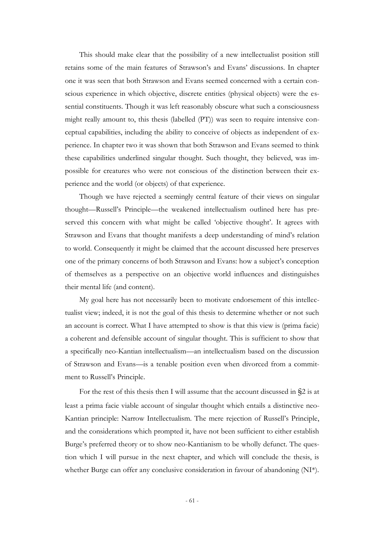This should make clear that the possibility of a new intellectualist position still retains some of the main features of Strawson"s and Evans" discussions. In chapter one it was seen that both Strawson and Evans seemed concerned with a certain conscious experience in which objective, discrete entities (physical objects) were the essential constituents. Though it was left reasonably obscure what such a consciousness might really amount to, this thesis (labelled (PT)) was seen to require intensive conceptual capabilities, including the ability to conceive of objects as independent of experience. In chapter two it was shown that both Strawson and Evans seemed to think these capabilities underlined singular thought. Such thought, they believed, was impossible for creatures who were not conscious of the distinction between their experience and the world (or objects) of that experience.

Though we have rejected a seemingly central feature of their views on singular thought—Russell"s Principle—the weakened intellectualism outlined here has preserved this concern with what might be called 'objective thought'. It agrees with Strawson and Evans that thought manifests a deep understanding of mind"s relation to world. Consequently it might be claimed that the account discussed here preserves one of the primary concerns of both Strawson and Evans: how a subject"s conception of themselves as a perspective on an objective world influences and distinguishes their mental life (and content).

My goal here has not necessarily been to motivate endorsement of this intellectualist view; indeed, it is not the goal of this thesis to determine whether or not such an account is correct. What I have attempted to show is that this view is (prima facie) a coherent and defensible account of singular thought. This is sufficient to show that a specifically neo-Kantian intellectualism—an intellectualism based on the discussion of Strawson and Evans—is a tenable position even when divorced from a commitment to Russell"s Principle.

For the rest of this thesis then I will assume that the account discussed in §2 is at least a prima facie viable account of singular thought which entails a distinctive neo-Kantian principle: Narrow Intellectualism. The mere rejection of Russell"s Principle, and the considerations which prompted it, have not been sufficient to either establish Burge's preferred theory or to show neo-Kantianism to be wholly defunct. The question which I will pursue in the next chapter, and which will conclude the thesis, is whether Burge can offer any conclusive consideration in favour of abandoning (NI<sup>\*</sup>).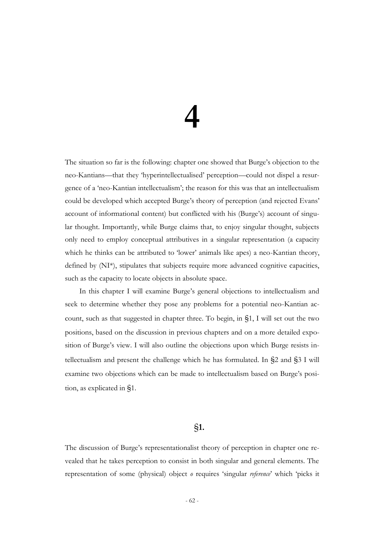# **4**

The situation so far is the following: chapter one showed that Burge"s objection to the neo-Kantians—that they "hyperintellectualised" perception—could not dispel a resurgence of a "neo-Kantian intellectualism"; the reason for this was that an intellectualism could be developed which accepted Burge"s theory of perception (and rejected Evans" account of informational content) but conflicted with his (Burge"s) account of singular thought. Importantly, while Burge claims that, to enjoy singular thought, subjects only need to employ conceptual attributives in a singular representation (a capacity which he thinks can be attributed to 'lower' animals like apes) a neo-Kantian theory, defined by (NI\*), stipulates that subjects require more advanced cognitive capacities, such as the capacity to locate objects in absolute space.

In this chapter I will examine Burge"s general objections to intellectualism and seek to determine whether they pose any problems for a potential neo-Kantian account, such as that suggested in chapter three. To begin, in §1, I will set out the two positions, based on the discussion in previous chapters and on a more detailed exposition of Burge's view. I will also outline the objections upon which Burge resists intellectualism and present the challenge which he has formulated. In §2 and §3 I will examine two objections which can be made to intellectualism based on Burge's position, as explicated in §1.

## §**1.**

The discussion of Burge's representationalist theory of perception in chapter one revealed that he takes perception to consist in both singular and general elements. The representation of some (physical) object *o* requires "singular *reference*" which "picks it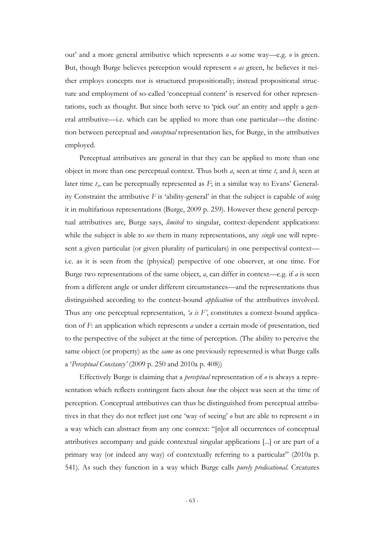out" and a more general attributive which represents *o as* some way—e.g. *o* is green. But, though Burge believes perception would represent *o as* green, he believes it neither employs concepts nor is structured propositionally; instead propositional structure and employment of so-called 'conceptual content' is reserved for other representations, such as thought. But since both serve to "pick out" an entity and apply a general attributive—i.e. which can be applied to more than one particular—the distinction between perceptual and *conceptual* representation lies, for Burge, in the attributives employed.

Perceptual attributives are general in that they can be applied to more than one object in more than one perceptual context. Thus both *a*, seen at time *t*, and *b*, seen at later time  $t_1$ , can be perceptually represented as  $F$ ; in a similar way to Evans' Generality Constraint the attributive *F* is "ability-general" in that the subject is capable of *using* it in multifarious representations (Burge, 2009 p. 259). However these general perceptual attributives are, Burge says, *limited* to singular, context-dependent applications: while the subject is able to *use* them in many representations, any *single* use will represent a given particular (or given plurality of particulars) in one perspectival context i.e. as it is seen from the (physical) perspective of one observer, at one time. For Burge two representations of the same object, *a*, can differ in context—e.g. if *a* is seen from a different angle or under different circumstances—and the representations thus distinguished according to the context-bound *application* of the attributives involved. Thus any one perceptual representation, *'a is F'*, constitutes a context-bound application of *F*: an application which represents *a* under a certain mode of presentation, tied to the perspective of the subject at the time of perception. (The ability to perceive the same object (or property) as the *same* as one previously represented is what Burge calls a "*Perceptual Constancy'* (2009 p. 250 and 2010a p. 408))

Effectively Burge is claiming that a *perceptual* representation of *o* is always a representation which reflects contingent facts about *how* the object was seen at the time of perception. Conceptual attributives can thus be distinguished from perceptual attributives in that they do not reflect just one "way of seeing" *o* but are able to represent *o* in a way which can abstract from any one context: "[n]ot all occurrences of conceptual attributives accompany and guide contextual singular applications [...] or are part of a primary way (or indeed any way) of contextually referring to a particular" (2010a p. 541). As such they function in a way which Burge calls *purely predicational*. Creatures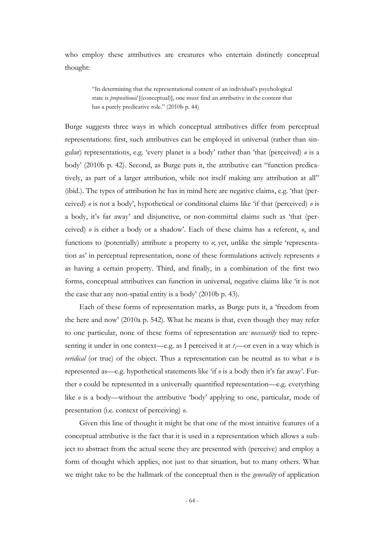who employ these attributives are creatures who entertain distinctly conceptual thought:

> "In determining that the representational content of an individual"s psychological state is *propositional* [(conceptual)], one must find an attributive in the content that has a purely predicative role." (2010b p. 44)

Burge suggests three ways in which conceptual attributives differ from perceptual representations: first, such attributives can be employed in universal (rather than singular) representations, e.g. "every planet is a body" rather than "that (perceived) *o* is a body" (2010b p. 42). Second, as Burge puts it, the attributive can "function predicatively, as part of a larger attribution, while not itself making any attribution at all" (ibid.). The types of attribution he has in mind here are negative claims, e.g. "that (perceived) *o* is not a body", hypothetical or conditional claims like "if that (perceived) *o* is a body, it's far away' and disjunctive, or non-committal claims such as 'that (perceived) *o* is either a body or a shadow". Each of these claims has a referent, *o*, and functions to (potentially) attribute a property to *o*; yet, unlike the simple "representation as" in perceptual representation, none of these formulations actively represents *o* as having a certain property. Third, and finally, in a combination of the first two forms, conceptual attributives can function in universal, negative claims like "it is not the case that any non-spatial entity is a body" (2010b p. 43).

Each of these forms of representation marks, as Burge puts it, a "freedom from the here and now" (2010a p. 542). What he means is that, even though they may refer to one particular, none of these forms of representation are *necessarily* tied to representing it under in one context—e.g. as I perceived it at  $t_1$ —or even in a way which is *veridical* (or true) of the object. Thus a representation can be neutral as to what *o* is represented as—e.g. hypothetical statements like 'if  $\rho$  is a body then it's far away'. Further *o* could be represented in a universally quantified representation—e.g. everything like  $\theta$  is a body—without the attributive 'body' applying to one, particular, mode of presentation (i.e. context of perceiving) *o*.

Given this line of thought it might be that one of the most intuitive features of a conceptual attributive is the fact that it is used in a representation which allows a subject to abstract from the actual scene they are presented with (perceive) and employ a form of thought which applies, not just to that situation, but to many others. What we might take to be the hallmark of the conceptual then is the *generality* of application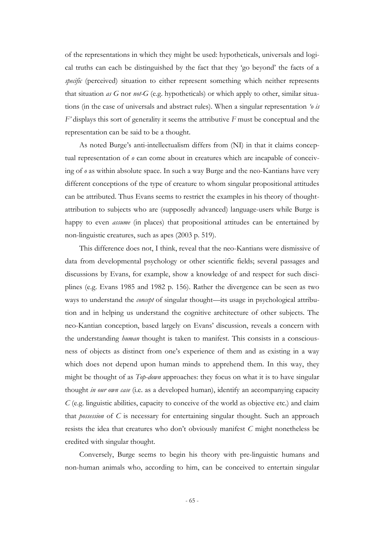of the representations in which they might be used: hypotheticals, universals and logical truths can each be distinguished by the fact that they "go beyond" the facts of a *specific* (perceived) situation to either represent something which neither represents that situation *as G* nor *not-G* (e.g. hypotheticals) or which apply to other, similar situations (in the case of universals and abstract rules). When a singular representation *'o is F'* displays this sort of generality it seems the attributive *F* must be conceptual and the representation can be said to be a thought.

As noted Burge's anti-intellectualism differs from (NI) in that it claims conceptual representation of *o* can come about in creatures which are incapable of conceiving of *o* as within absolute space. In such a way Burge and the neo-Kantians have very different conceptions of the type of creature to whom singular propositional attitudes can be attributed. Thus Evans seems to restrict the examples in his theory of thoughtattribution to subjects who are (supposedly advanced) language-users while Burge is happy to even *assume* (in places) that propositional attitudes can be entertained by non-linguistic creatures, such as apes (2003 p. 519).

This difference does not, I think, reveal that the neo-Kantians were dismissive of data from developmental psychology or other scientific fields; several passages and discussions by Evans, for example, show a knowledge of and respect for such disciplines (e.g. Evans 1985 and 1982 p. 156). Rather the divergence can be seen as two ways to understand the *concept* of singular thought—its usage in psychological attribution and in helping us understand the cognitive architecture of other subjects. The neo-Kantian conception, based largely on Evans" discussion, reveals a concern with the understanding *human* thought is taken to manifest. This consists in a consciousness of objects as distinct from one"s experience of them and as existing in a way which does not depend upon human minds to apprehend them. In this way, they might be thought of as *Top-down* approaches: they focus on what it is to have singular thought *in our own case* (i.e. as a developed human), identify an accompanying capacity *C* (e.g. linguistic abilities, capacity to conceive of the world as objective etc.) and claim that *possession* of *C* is necessary for entertaining singular thought. Such an approach resists the idea that creatures who don"t obviously manifest *C* might nonetheless be credited with singular thought.

Conversely, Burge seems to begin his theory with pre-linguistic humans and non-human animals who, according to him, can be conceived to entertain singular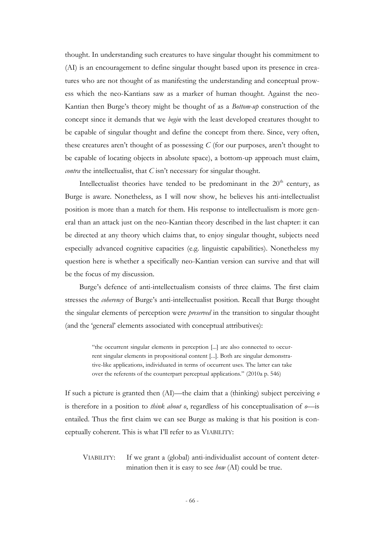thought. In understanding such creatures to have singular thought his commitment to (AI) is an encouragement to define singular thought based upon its presence in creatures who are not thought of as manifesting the understanding and conceptual prowess which the neo-Kantians saw as a marker of human thought. Against the neo-Kantian then Burge"s theory might be thought of as a *Bottom-up* construction of the concept since it demands that we *begin* with the least developed creatures thought to be capable of singular thought and define the concept from there. Since, very often, these creatures aren't thought of as possessing  $C$  (for our purposes, aren't thought to be capable of locating objects in absolute space), a bottom-up approach must claim, *contra* the intellectualist, that *C* isn't necessary for singular thought.

Intellectualist theories have tended to be predominant in the  $20<sup>th</sup>$  century, as Burge is aware. Nonetheless, as I will now show, he believes his anti-intellectualist position is more than a match for them. His response to intellectualism is more general than an attack just on the neo-Kantian theory described in the last chapter: it can be directed at any theory which claims that, to enjoy singular thought, subjects need especially advanced cognitive capacities (e.g. linguistic capabilities). Nonetheless my question here is whether a specifically neo-Kantian version can survive and that will be the focus of my discussion.

Burge's defence of anti-intellectualism consists of three claims. The first claim stresses the *coherency* of Burge's anti-intellectualist position. Recall that Burge thought the singular elements of perception were *preserved* in the transition to singular thought (and the "general" elements associated with conceptual attributives):

> "the occurrent singular elements in perception [...] are also connected to occurrent singular elements in propositional content [...]. Both are singular demonstrative-like applications, individuated in terms of occurrent uses. The latter can take over the referents of the counterpart perceptual applications." (2010a p. 546)

If such a picture is granted then (AI)—the claim that a (thinking) subject perceiving *o* is therefore in a position to *think about o*, regardless of his conceptualisation of *o*—is entailed. Thus the first claim we can see Burge as making is that his position is conceptually coherent. This is what I"ll refer to as VIABILITY:

VIABILITY: If we grant a (global) anti-individualist account of content determination then it is easy to see *how* (AI) could be true.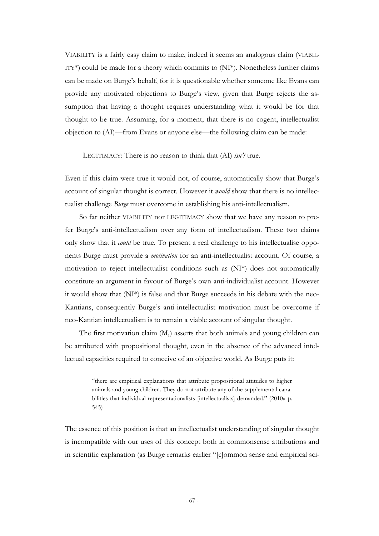VIABILITY is a fairly easy claim to make, indeed it seems an analogous claim (VIABIL-ITY\*) could be made for a theory which commits to  $(NI^*)$ . Nonetheless further claims can be made on Burge's behalf, for it is questionable whether someone like Evans can provide any motivated objections to Burge's view, given that Burge rejects the assumption that having a thought requires understanding what it would be for that thought to be true. Assuming, for a moment, that there is no cogent, intellectualist objection to (AI)—from Evans or anyone else—the following claim can be made:

LEGITIMACY: There is no reason to think that (AI) *isn't* true.

Even if this claim were true it would not, of course, automatically show that Burge's account of singular thought is correct. However it *would* show that there is no intellectualist challenge *Burge* must overcome in establishing his anti-intellectualism.

So far neither VIABILITY nor LEGITIMACY show that we have any reason to prefer Burge's anti-intellectualism over any form of intellectualism. These two claims only show that it *could* be true. To present a real challenge to his intellectualise opponents Burge must provide a *motivation* for an anti-intellectualist account. Of course, a motivation to reject intellectualist conditions such as (NI\*) does not automatically constitute an argument in favour of Burge's own anti-individualist account. However it would show that (NI\*) is false and that Burge succeeds in his debate with the neo-Kantians, consequently Burge's anti-intellectualist motivation must be overcome if neo-Kantian intellectualism is to remain a viable account of singular thought.

The first motivation claim  $(M_1)$  asserts that both animals and young children can be attributed with propositional thought, even in the absence of the advanced intellectual capacities required to conceive of an objective world. As Burge puts it:

> "there are empirical explanations that attribute propositional attitudes to higher animals and young children. They do not attribute any of the supplemental capabilities that individual representationalists [intellectualists] demanded." (2010a p. 545)

The essence of this position is that an intellectualist understanding of singular thought is incompatible with our uses of this concept both in commonsense attributions and in scientific explanation (as Burge remarks earlier "[c]ommon sense and empirical sci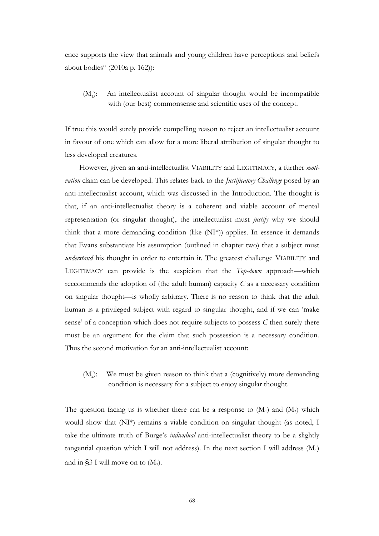ence supports the view that animals and young children have perceptions and beliefs about bodies" (2010a p. 162)):

 $(M_1)$ : ): An intellectualist account of singular thought would be incompatible with (our best) commonsense and scientific uses of the concept.

If true this would surely provide compelling reason to reject an intellectualist account in favour of one which can allow for a more liberal attribution of singular thought to less developed creatures.

However, given an anti-intellectualist VIABILITY and LEGITIMACY, a further *motivation* claim can be developed. This relates back to the *Justificatory Challenge* posed by an anti-intellectualist account, which was discussed in the Introduction. The thought is that, if an anti-intellectualist theory is a coherent and viable account of mental representation (or singular thought), the intellectualist must *justify* why we should think that a more demanding condition (like (NI\*)) applies. In essence it demands that Evans substantiate his assumption (outlined in chapter two) that a subject must *understand* his thought in order to entertain it. The greatest challenge VIABILITY and LEGITIMACY can provide is the suspicion that the *Top-down* approach—which reccommends the adoption of (the adult human) capacity *C* as a necessary condition on singular thought—is wholly arbitrary. There is no reason to think that the adult human is a privileged subject with regard to singular thought, and if we can "make sense' of a conception which does not require subjects to possess *C* then surely there must be an argument for the claim that such possession is a necessary condition. Thus the second motivation for an anti-intellectualist account:

 $(M_2)$ : ): We must be given reason to think that a (cognitively) more demanding condition is necessary for a subject to enjoy singular thought.

The question facing us is whether there can be a response to  $(M_1)$  and  $(M_2)$  which would show that (NI\*) remains a viable condition on singular thought (as noted, I take the ultimate truth of Burge"s *individual* anti-intellectualist theory to be a slightly tangential question which I will not address). In the next section I will address  $(M_1)$ and in §3 I will move on to  $(M_2)$ .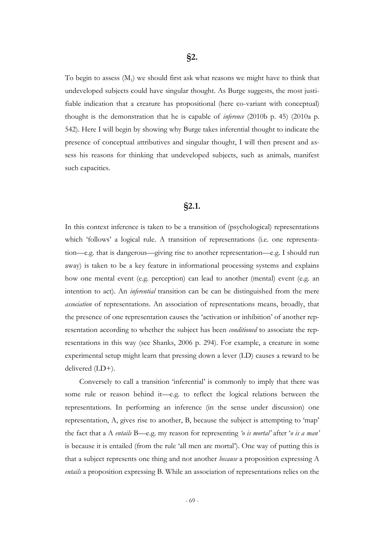To begin to assess  $(M_1)$  we should first ask what reasons we might have to think that undeveloped subjects could have singular thought. As Burge suggests, the most justifiable indication that a creature has propositional (here co-variant with conceptual) thought is the demonstration that he is capable of *inference* (2010b p. 45) (2010a p. 542). Here I will begin by showing why Burge takes inferential thought to indicate the presence of conceptual attributives and singular thought, I will then present and assess his reasons for thinking that undeveloped subjects, such as animals, manifest such capacities.

## **§2.1.**

In this context inference is taken to be a transition of (psychological) representations which "follows" a logical rule. A transition of representations (i.e. one representation—e.g. that is dangerous—giving rise to another representation—e.g. I should run away) is taken to be a key feature in informational processing systems and explains how one mental event (e.g. perception) can lead to another (mental) event (e.g. an intention to act). An *inferential* transition can be can be distinguished from the mere *association* of representations. An association of representations means, broadly, that the presence of one representation causes the "activation or inhibition" of another representation according to whether the subject has been *conditioned* to associate the representations in this way (see Shanks, 2006 p. 294). For example, a creature in some experimental setup might learn that pressing down a lever (LD) causes a reward to be delivered (LD+).

Conversely to call a transition "inferential" is commonly to imply that there was some rule or reason behind it—e.g. to reflect the logical relations between the representations. In performing an inference (in the sense under discussion) one representation, A, gives rise to another, B, because the subject is attempting to "map" the fact that a A *entails* B—e.g. my reason for representing *'o is mortal'* after "*o is a man'* is because it is entailed (from the rule "all men are mortal"). One way of putting this is that a subject represents one thing and not another *because* a proposition expressing A *entails* a proposition expressing B. While an association of representations relies on the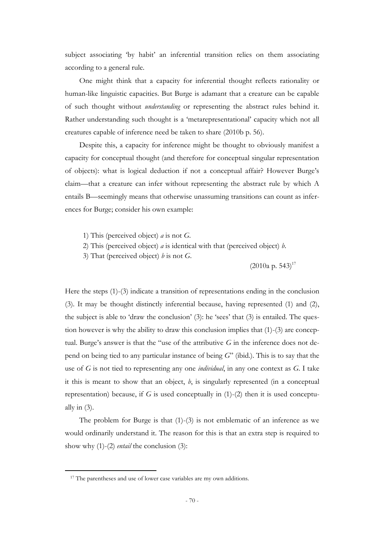subject associating 'by habit' an inferential transition relies on them associating according to a general rule.

One might think that a capacity for inferential thought reflects rationality or human-like linguistic capacities. But Burge is adamant that a creature can be capable of such thought without *understanding* or representing the abstract rules behind it. Rather understanding such thought is a "metarepresentational" capacity which not all creatures capable of inference need be taken to share (2010b p. 56).

Despite this, a capacity for inference might be thought to obviously manifest a capacity for conceptual thought (and therefore for conceptual singular representation of objects): what is logical deduction if not a conceptual affair? However Burge"s claim—that a creature can infer without representing the abstract rule by which A entails B—seemingly means that otherwise unassuming transitions can count as inferences for Burge; consider his own example:

- 1) This (perceived object) *a* is not *G*.
- 2) This (perceived object) *a* is identical with that (perceived object) *b*.
- 3) That (perceived object) *b* is not *G*.

 $(2010a \text{ p. } 543)^{17}$ 

Here the steps (1)-(3) indicate a transition of representations ending in the conclusion (3). It may be thought distinctly inferential because, having represented (1) and (2), the subject is able to 'draw the conclusion'  $(3)$ : he 'sees' that  $(3)$  is entailed. The question however is why the ability to draw this conclusion implies that (1)-(3) are conceptual. Burge's answer is that the "use of the attributive  $G$  in the inference does not depend on being tied to any particular instance of being *G*" (ibid.). This is to say that the use of *G* is not tied to representing any one *individual*, in any one context as *G*. I take it this is meant to show that an object, *b*, is singularly represented (in a conceptual representation) because, if *G* is used conceptually in (1)-(2) then it is used conceptually in  $(3)$ .

The problem for Burge is that (1)-(3) is not emblematic of an inference as we would ordinarily understand it. The reason for this is that an extra step is required to show why (1)-(2) *entail* the conclusion (3):

-

<sup>&</sup>lt;sup>17</sup> The parentheses and use of lower case variables are my own additions.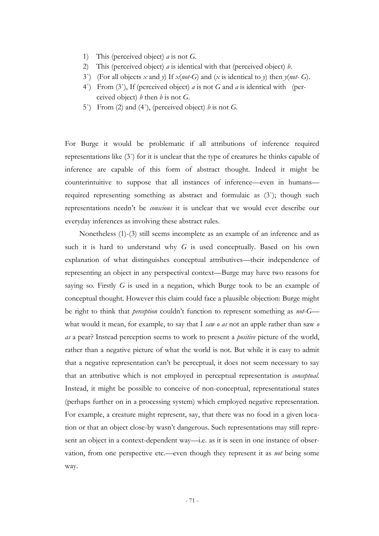- 1) This (perceived object) *a* is not *G*.
- 2) This (perceived object) *a* is identical with that (perceived object) *b*.
- 3`) (For all objects *x* and *y*) If *x*(*not-G*) and (*x* is identical to *y*) then *y*(*not- G*).
- 4`) From (3`), If (perceived object) *a* is not *G* and *a* is identical with (perceived object) *b* then *b* is not *G*.
- 5`) From (2) and (4`), (perceived object) *b* is not *G*.

For Burge it would be problematic if all attributions of inference required representations like (3`) for it is unclear that the type of creatures he thinks capable of inference are capable of this form of abstract thought. Indeed it might be counterintuitive to suppose that all instances of inference—even in humans required representing something as abstract and formulaic as (3`); though such representations needn"t be *conscious* it is unclear that we would ever describe our everyday inferences as involving these abstract rules.

Nonetheless (1)-(3) still seems incomplete as an example of an inference and as such it is hard to understand why *G* is used conceptually. Based on his own explanation of what distinguishes conceptual attributives—their independence of representing an object in any perspectival context—Burge may have two reasons for saying so. Firstly *G* is used in a negation, which Burge took to be an example of conceptual thought. However this claim could face a plausible objection: Burge might be right to think that *perception* couldn"t function to represent something as *not*-*G* what would it mean, for example, to say that I *saw o as* not an apple rather than saw *o as* a pear? Instead perception seems to work to present a *positive* picture of the world, rather than a negative picture of what the world is not. But while it is easy to admit that a negative representation can"t be perceptual, it does not seem necessary to say that an attributive which is not employed in perceptual representation is *conceptual*. Instead, it might be possible to conceive of non-conceptual, representational states (perhaps further on in a processing system) which employed negative representation. For example, a creature might represent, say, that there was no food in a given location or that an object close-by wasn"t dangerous. Such representations may still represent an object in a context-dependent way—i.e. as it is seen in one instance of observation, from one perspective etc.—even though they represent it as *not* being some way.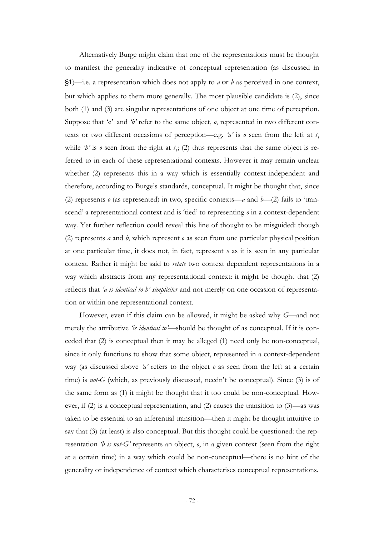Alternatively Burge might claim that one of the representations must be thought to manifest the generality indicative of conceptual representation (as discussed in §1)—i.e. a representation which does not apply to *a* or *b* as perceived in one context, but which applies to them more generally. The most plausible candidate is (2), since both (1) and (3) are singular representations of one object at one time of perception. Suppose that *'a'* and *'b'* refer to the same object, *o*, represented in two different contexts or two different occasions of perception—e.g. '*a'* is  $o$  seen from the left at  $t_1$ while  $b'$  is  $o$  seen from the right at  $t_i$ ; (2) thus represents that the same object is referred to in each of these representational contexts. However it may remain unclear whether (2) represents this in a way which is essentially context-independent and therefore, according to Burge"s standards, conceptual. It might be thought that, since (2) represents *o* (as represented) in two, specific contexts—*a* and *b*—(2) fails to "transcend' a representational context and is 'tied' to representing  $\rho$  in a context-dependent way. Yet further reflection could reveal this line of thought to be misguided: though (2) represents *a* and *b*, which represent *o* as seen from one particular physical position at one particular time, it does not, in fact, represent *o* as it is seen in any particular context. Rather it might be said to *relate* two context dependent representations in a way which abstracts from any representational context: it might be thought that (2) reflects that *'a is identical to b' simpliciter* and not merely on one occasion of representation or within one representational context.

However, even if this claim can be allowed, it might be asked why *G*—and not merely the attributive *'is identical to'*—should be thought of as conceptual. If it is conceded that (2) is conceptual then it may be alleged (1) need only be non-conceptual, since it only functions to show that some object, represented in a context-dependent way (as discussed above *'a'* refers to the object *o* as seen from the left at a certain time) is *not-G* (which, as previously discussed, needn't be conceptual). Since (3) is of the same form as (1) it might be thought that it too could be non-conceptual. However, if (2) is a conceptual representation, and (2) causes the transition to (3)—as was taken to be essential to an inferential transition—then it might be thought intuitive to say that (3) (at least) is also conceptual. But this thought could be questioned: the representation *'b is not-G'* represents an object, *o*, in a given context (seen from the right at a certain time) in a way which could be non-conceptual—there is no hint of the generality or independence of context which characterises conceptual representations.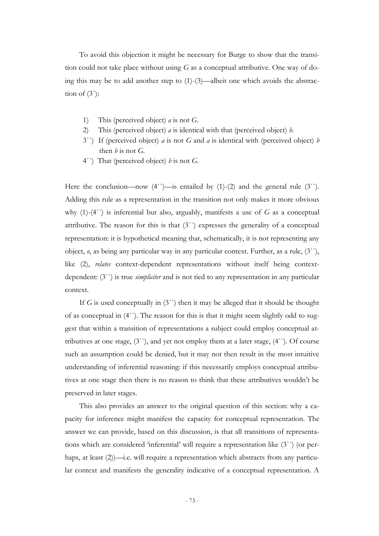To avoid this objection it might be necessary for Burge to show that the transition could not take place without using *G* as a conceptual attributive. One way of doing this may be to add another step to (1)-(3)—albeit one which avoids the abstraction of  $(3)$ :

- 1) This (perceived object) *a* is not *G*.
- 2) This (perceived object) *a* is identical with that (perceived object) *b*.
- 3``) If (perceived object) *a* is not *G* and *a* is identical with (perceived object) *b* then  $b$  is not  $G$ .
- 4``) That (perceived object) *b* is not *G*.

Here the conclusion—now  $(4^{\prime})$ —is entailed by  $(1)-(2)$  and the general rule  $(3^{\prime})$ . Adding this rule as a representation in the transition not only makes it more obvious why (1)-(4``) is inferential but also, arguably, manifests a use of *G* as a conceptual attributive. The reason for this is that (3``) expresses the generality of a conceptual representation: it is hypothetical meaning that, schematically, it is not representing any object, *o*, as being any particular way in any particular context. Further, as a rule, (3``), like (2), *relates* context-dependent representations without itself being contextdependent: (3``) is true *simpliciter* and is not tied to any representation in any particular context.

If *G* is used conceptually in (3``) then it may be alleged that it should be thought of as conceptual in (4``). The reason for this is that it might seem slightly odd to suggest that within a transition of representations a subject could employ conceptual attributives at one stage,  $(3^{\prime\prime})$ , and yet not employ them at a later stage,  $(4^{\prime\prime})$ . Of course such an assumption could be denied, but it may not then result in the most intuitive understanding of inferential reasoning: if this necessarily employs conceptual attributives at one stage then there is no reason to think that these attributives wouldn"t be preserved in later stages.

This also provides an answer to the original question of this section: why a capacity for inference might manifest the capacity for conceptual representation. The answer we can provide, based on this discussion, is that all transitions of representations which are considered "inferential" will require a representation like (3``) (or perhaps, at least (2))—i.e. will require a representation which abstracts from any particular context and manifests the generality indicative of a conceptual representation. A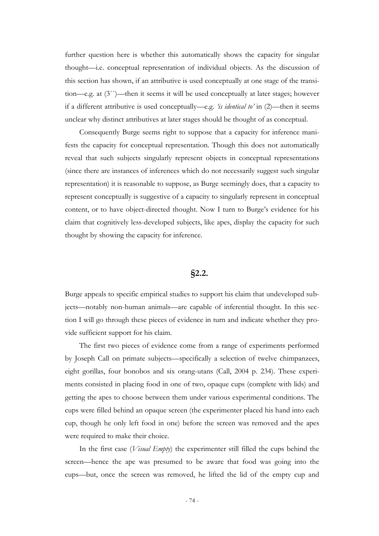further question here is whether this automatically shows the capacity for singular thought—i.e. conceptual representation of individual objects. As the discussion of this section has shown, if an attributive is used conceptually at one stage of the transition—e.g. at (3``)—then it seems it will be used conceptually at later stages; however if a different attributive is used conceptually—e.g. *'is identical to'* in (2)—then it seems unclear why distinct attributives at later stages should be thought of as conceptual.

Consequently Burge seems right to suppose that a capacity for inference manifests the capacity for conceptual representation. Though this does not automatically reveal that such subjects singularly represent objects in conceptual representations (since there are instances of inferences which do not necessarily suggest such singular representation) it is reasonable to suppose, as Burge seemingly does, that a capacity to represent conceptually is suggestive of a capacity to singularly represent in conceptual content, or to have object-directed thought. Now I turn to Burge's evidence for his claim that cognitively less-developed subjects, like apes, display the capacity for such thought by showing the capacity for inference.

## **§2.2.**

Burge appeals to specific empirical studies to support his claim that undeveloped subjects—notably non-human animals—are capable of inferential thought. In this section I will go through these pieces of evidence in turn and indicate whether they provide sufficient support for his claim.

The first two pieces of evidence come from a range of experiments performed by Joseph Call on primate subjects—specifically a selection of twelve chimpanzees, eight gorillas, four bonobos and six orang-utans (Call, 2004 p. 234). These experiments consisted in placing food in one of two, opaque cups (complete with lids) and getting the apes to choose between them under various experimental conditions. The cups were filled behind an opaque screen (the experimenter placed his hand into each cup, though he only left food in one) before the screen was removed and the apes were required to make their choice.

In the first case (*Visual Empty*) the experimenter still filled the cups behind the screen—hence the ape was presumed to be aware that food was going into the cups—but, once the screen was removed, he lifted the lid of the empty cup and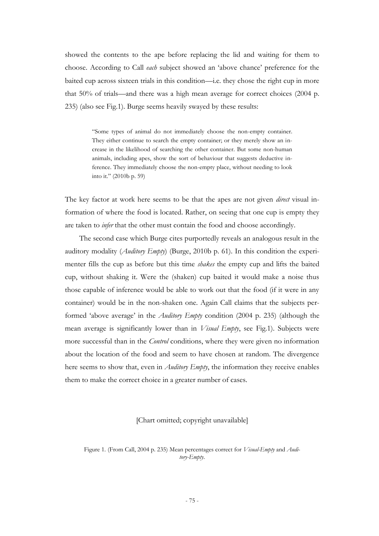showed the contents to the ape before replacing the lid and waiting for them to choose. According to Call *each* subject showed an "above chance" preference for the baited cup across sixteen trials in this condition—i.e. they chose the right cup in more that 50% of trials—and there was a high mean average for correct choices (2004 p. 235) (also see Fig.1). Burge seems heavily swayed by these results:

> "Some types of animal do not immediately choose the non-empty container. They either continue to search the empty container; or they merely show an increase in the likelihood of searching the other container. But some non-human animals, including apes, show the sort of behaviour that suggests deductive inference. They immediately choose the non-empty place, without needing to look into it." (2010b p. 59)

The key factor at work here seems to be that the apes are not given *direct* visual information of where the food is located. Rather, on seeing that one cup is empty they are taken to *infer* that the other must contain the food and choose accordingly.

The second case which Burge cites purportedly reveals an analogous result in the auditory modality (*Auditory Empty*) (Burge, 2010b p. 61). In this condition the experimenter fills the cup as before but this time *shakes* the empty cup and lifts the baited cup, without shaking it. Were the (shaken) cup baited it would make a noise thus those capable of inference would be able to work out that the food (if it were in any container) would be in the non-shaken one. Again Call claims that the subjects performed "above average" in the *Auditory Empty* condition (2004 p. 235) (although the mean average is significantly lower than in *Visual Empty*, see Fig.1). Subjects were more successful than in the *Control* conditions, where they were given no information about the location of the food and seem to have chosen at random. The divergence here seems to show that, even in *Auditory Empty*, the information they receive enables them to make the correct choice in a greater number of cases.

## [Chart omitted; copyright unavailable]

Figure 1. (From Call, 2004 p. 235) Mean percentages correct for *Visual-Empty* and *Auditory-Empty*.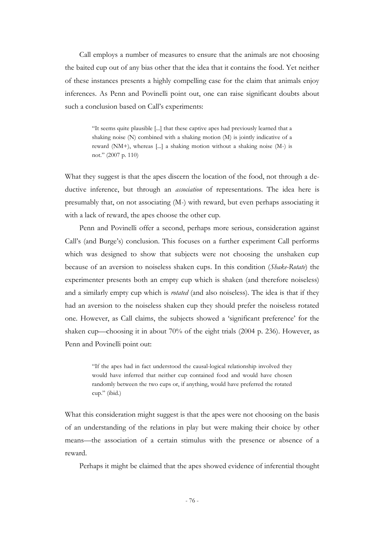Call employs a number of measures to ensure that the animals are not choosing the baited cup out of any bias other that the idea that it contains the food. Yet neither of these instances presents a highly compelling case for the claim that animals enjoy inferences. As Penn and Povinelli point out, one can raise significant doubts about such a conclusion based on Call's experiments:

> "It seems quite plausible [...] that these captive apes had previously learned that a shaking noise (N) combined with a shaking motion (M) is jointly indicative of a reward (NM+), whereas [...] a shaking motion without a shaking noise (M-) is not." (2007 p. 110)

What they suggest is that the apes discern the location of the food, not through a deductive inference, but through an *association* of representations. The idea here is presumably that, on not associating (M-) with reward, but even perhaps associating it with a lack of reward, the apes choose the other cup.

Penn and Povinelli offer a second, perhaps more serious, consideration against Call"s (and Burge"s) conclusion. This focuses on a further experiment Call performs which was designed to show that subjects were not choosing the unshaken cup because of an aversion to noiseless shaken cups. In this condition (*Shake-Rotate*) the experimenter presents both an empty cup which is shaken (and therefore noiseless) and a similarly empty cup which is *rotated* (and also noiseless). The idea is that if they had an aversion to the noiseless shaken cup they should prefer the noiseless rotated one. However, as Call claims, the subjects showed a "significant preference" for the shaken cup—choosing it in about 70% of the eight trials (2004 p. 236). However, as Penn and Povinelli point out:

> "If the apes had in fact understood the causal-logical relationship involved they would have inferred that neither cup contained food and would have chosen randomly between the two cups or, if anything, would have preferred the rotated cup." (ibid.)

What this consideration might suggest is that the apes were not choosing on the basis of an understanding of the relations in play but were making their choice by other means—the association of a certain stimulus with the presence or absence of a reward.

Perhaps it might be claimed that the apes showed evidence of inferential thought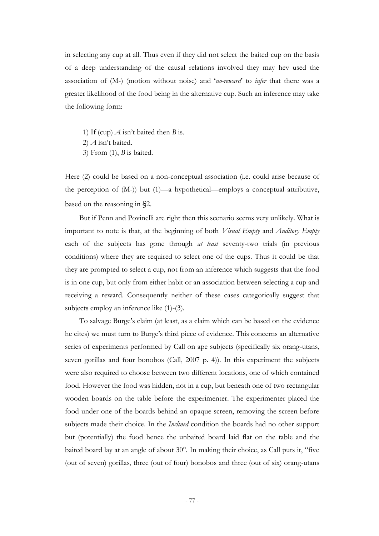in selecting any cup at all. Thus even if they did not select the baited cup on the basis of a deep understanding of the causal relations involved they may hev used the association of (M-) (motion without noise) and "*no-reward*" to *infer* that there was a greater likelihood of the food being in the alternative cup. Such an inference may take the following form:

- 1) If (cup)  $\vec{A}$  isn't baited then *B* is.
- 2) *A* isn"t baited.
- 3) From (1), *B* is baited.

Here (2) could be based on a non-conceptual association (i.e. could arise because of the perception of (M-)) but (1)—a hypothetical—employs a conceptual attributive, based on the reasoning in §2.

But if Penn and Povinelli are right then this scenario seems very unlikely. What is important to note is that, at the beginning of both *Visual Empty* and *Auditory Empty* each of the subjects has gone through *at least* seventy-two trials (in previous conditions) where they are required to select one of the cups. Thus it could be that they are prompted to select a cup, not from an inference which suggests that the food is in one cup, but only from either habit or an association between selecting a cup and receiving a reward. Consequently neither of these cases categorically suggest that subjects employ an inference like (1)-(3).

To salvage Burge"s claim (at least, as a claim which can be based on the evidence he cites) we must turn to Burge"s third piece of evidence. This concerns an alternative series of experiments performed by Call on ape subjects (specifically six orang-utans, seven gorillas and four bonobos (Call, 2007 p. 4)). In this experiment the subjects were also required to choose between two different locations, one of which contained food. However the food was hidden, not in a cup, but beneath one of two rectangular wooden boards on the table before the experimenter. The experimenter placed the food under one of the boards behind an opaque screen, removing the screen before subjects made their choice. In the *Inclined* condition the boards had no other support but (potentially) the food hence the unbaited board laid flat on the table and the baited board lay at an angle of about 30°. In making their choice, as Call puts it, "five (out of seven) gorillas, three (out of four) bonobos and three (out of six) orang-utans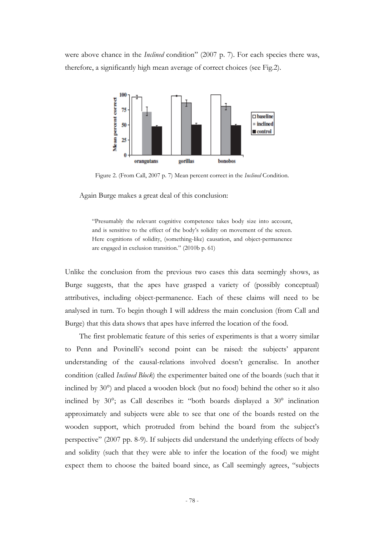were above chance in the *Inclined* condition" (2007 p. 7). For each species there was, therefore, a significantly high mean average of correct choices (see Fig.2).



Figure 2. (From Call, 2007 p. 7) Mean percent correct in the *Inclined* Condition.

Again Burge makes a great deal of this conclusion:

"Presumably the relevant cognitive competence takes body size into account, and is sensitive to the effect of the body"s solidity on movement of the screen. Here cognitions of solidity, (something-like) causation, and object-permanence are engaged in exclusion transition." (2010b p. 61)

Unlike the conclusion from the previous two cases this data seemingly shows, as Burge suggests, that the apes have grasped a variety of (possibly conceptual) attributives, including object-permanence. Each of these claims will need to be analysed in turn. To begin though I will address the main conclusion (from Call and Burge) that this data shows that apes have inferred the location of the food.

The first problematic feature of this series of experiments is that a worry similar to Penn and Povinelli's second point can be raised: the subjects' apparent understanding of the causal-relations involved doesn"t generalise. In another condition (called *Inclined Block*) the experimenter baited one of the boards (such that it inclined by 30°) and placed a wooden block (but no food) behind the other so it also inclined by 30°; as Call describes it: "both boards displayed a 30° inclination approximately and subjects were able to see that one of the boards rested on the wooden support, which protruded from behind the board from the subject's perspective" (2007 pp. 8-9). If subjects did understand the underlying effects of body and solidity (such that they were able to infer the location of the food) we might expect them to choose the baited board since, as Call seemingly agrees, "subjects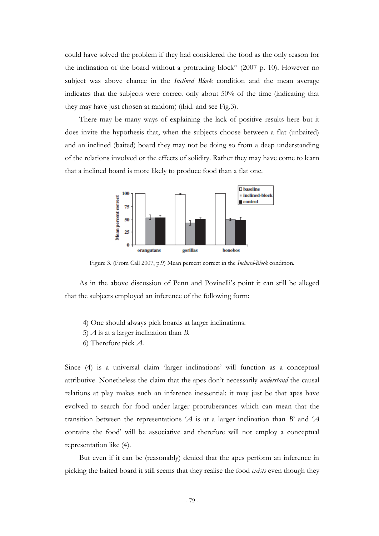could have solved the problem if they had considered the food as the only reason for the inclination of the board without a protruding block" (2007 p. 10). However no subject was above chance in the *Inclined Block* condition and the mean average indicates that the subjects were correct only about 50% of the time (indicating that they may have just chosen at random) (ibid. and see Fig.3).

There may be many ways of explaining the lack of positive results here but it does invite the hypothesis that, when the subjects choose between a flat (unbaited) and an inclined (baited) board they may not be doing so from a deep understanding of the relations involved or the effects of solidity. Rather they may have come to learn that a inclined board is more likely to produce food than a flat one.



Figure 3. (From Call 2007, p.9) Mean percent correct in the *Inclined-Block* condition.

As in the above discussion of Penn and Povinelli"s point it can still be alleged that the subjects employed an inference of the following form:

- 4) One should always pick boards at larger inclinations.
- 5) *A* is at a larger inclination than *B*.
- 6) Therefore pick *A*.

Since (4) is a universal claim "larger inclinations" will function as a conceptual attributive. Nonetheless the claim that the apes don"t necessarily *understand* the causal relations at play makes such an inference inessential: it may just be that apes have evolved to search for food under larger protruberances which can mean that the transition between the representations "*A* is at a larger inclination than *B*" and "*A* contains the food" will be associative and therefore will not employ a conceptual representation like (4).

But even if it can be (reasonably) denied that the apes perform an inference in picking the baited board it still seems that they realise the food *exists* even though they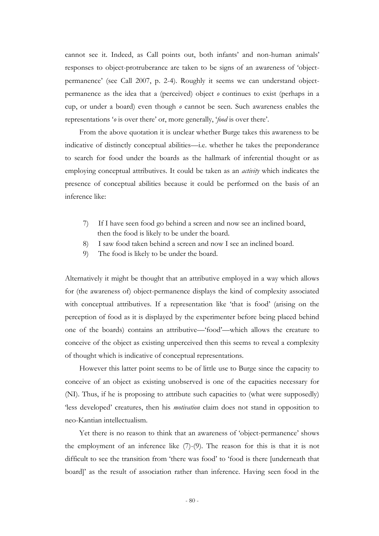cannot see it. Indeed, as Call points out, both infants' and non-human animals' responses to object-protruberance are taken to be signs of an awareness of "objectpermanence" (see Call 2007, p. 2-4). Roughly it seems we can understand objectpermanence as the idea that a (perceived) object *o* continues to exist (perhaps in a cup, or under a board) even though *o* cannot be seen. Such awareness enables the representations '*o* is over there' or, more generally, '*food* is over there'.

From the above quotation it is unclear whether Burge takes this awareness to be indicative of distinctly conceptual abilities—i.e. whether he takes the preponderance to search for food under the boards as the hallmark of inferential thought or as employing conceptual attributives. It could be taken as an *activity* which indicates the presence of conceptual abilities because it could be performed on the basis of an inference like:

- 7) If I have seen food go behind a screen and now see an inclined board, then the food is likely to be under the board.
- 8) I saw food taken behind a screen and now I see an inclined board.
- 9) The food is likely to be under the board.

Alternatively it might be thought that an attributive employed in a way which allows for (the awareness of) object-permanence displays the kind of complexity associated with conceptual attributives. If a representation like 'that is food' (arising on the perception of food as it is displayed by the experimenter before being placed behind one of the boards) contains an attributive—"food"—which allows the creature to conceive of the object as existing unperceived then this seems to reveal a complexity of thought which is indicative of conceptual representations.

However this latter point seems to be of little use to Burge since the capacity to conceive of an object as existing unobserved is one of the capacities necessary for (NI). Thus, if he is proposing to attribute such capacities to (what were supposedly) "less developed" creatures, then his *motivation* claim does not stand in opposition to neo-Kantian intellectualism.

Yet there is no reason to think that an awareness of "object-permanence" shows the employment of an inference like (7)-(9). The reason for this is that it is not difficult to see the transition from "there was food" to "food is there [underneath that board]" as the result of association rather than inference. Having seen food in the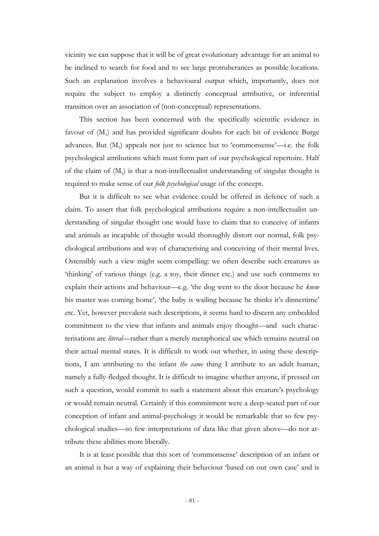vicinity we can suppose that it will be of great evolutionary advantage for an animal to be inclined to search for food and to see large protruberances as possible locations. Such an explanation involves a behavioural output which, importantly, does not require the subject to employ a distinctly conceptual attributive, or inferential transition over an association of (non-conceptual) representations.

This section has been concerned with the specifically scientific evidence in favour of  $(M_1)$  and has provided significant doubts for each bit of evidence Burge advances. But (M<sub>1</sub>) appeals not just to science but to 'commonsense'—i.e. the folk psychological attributions which must form part of our psychological repertoire. Half of the claim of  $(M_1)$  is that a non-intellectualist understanding of singular thought is required to make sense of our *folk psychological* usage of the concept.

But it is difficult to see what evidence could be offered in defence of such a claim. To assert that folk psychological attributions require a non-intellectualist understanding of singular thought one would have to claim that to conceive of infants and animals as incapable of thought would thoroughly distort our normal, folk psychological attributions and way of characterising and conceiving of their mental lives. Ostensibly such a view might seem compelling: we often describe such creatures as 'thinking' of various things (e.g. a toy, their dinner etc.) and use such comments to explain their actions and behaviour—e.g. "the dog went to the door because he *knew* his master was coming home', 'the baby is wailing because he thinks it's dinnertime' etc. Yet, however prevalent such descriptions, it seems hard to discern any embedded commitment to the view that infants and animals enjoy thought—and such characterisations are *literal*—rather than a merely metaphorical use which remains neutral on their actual mental states. It is difficult to work out whether, in using these descriptions, I am attributing to the infant *the same* thing I attribute to an adult human, namely a fully-fledged thought. It is difficult to imagine whether anyone, if pressed on such a question, would commit to such a statement about this creature's psychology or would remain neutral. Certainly if this commitment were a deep-seated part of our conception of infant and animal-psychology it would be remarkable that so few psychological studies—so few interpretations of data like that given above—do not attribute these abilities more liberally.

It is at least possible that this sort of "commonsense" description of an infant or an animal is but a way of explaining their behaviour "based on our own case" and is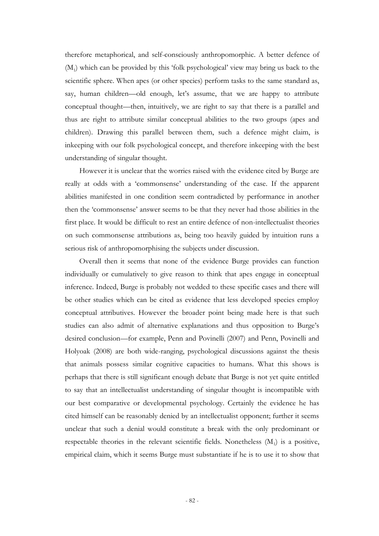therefore metaphorical, and self-consciously anthropomorphic. A better defence of (M<sup>1</sup> ) which can be provided by this "folk psychological" view may bring us back to the scientific sphere. When apes (or other species) perform tasks to the same standard as, say, human children—old enough, let's assume, that we are happy to attribute conceptual thought—then, intuitively, we are right to say that there is a parallel and thus are right to attribute similar conceptual abilities to the two groups (apes and children). Drawing this parallel between them, such a defence might claim, is inkeeping with our folk psychological concept, and therefore inkeeping with the best understanding of singular thought.

However it is unclear that the worries raised with the evidence cited by Burge are really at odds with a 'commonsense' understanding of the case. If the apparent abilities manifested in one condition seem contradicted by performance in another then the "commonsense" answer seems to be that they never had those abilities in the first place. It would be difficult to rest an entire defence of non-intellectualist theories on such commonsense attributions as, being too heavily guided by intuition runs a serious risk of anthropomorphising the subjects under discussion.

Overall then it seems that none of the evidence Burge provides can function individually or cumulatively to give reason to think that apes engage in conceptual inference. Indeed, Burge is probably not wedded to these specific cases and there will be other studies which can be cited as evidence that less developed species employ conceptual attributives. However the broader point being made here is that such studies can also admit of alternative explanations and thus opposition to Burge's desired conclusion—for example, Penn and Povinelli (2007) and Penn, Povinelli and Holyoak (2008) are both wide-ranging, psychological discussions against the thesis that animals possess similar cognitive capacities to humans. What this shows is perhaps that there is still significant enough debate that Burge is not yet quite entitled to say that an intellectualist understanding of singular thought is incompatible with our best comparative or developmental psychology. Certainly the evidence he has cited himself can be reasonably denied by an intellectualist opponent; further it seems unclear that such a denial would constitute a break with the only predominant or respectable theories in the relevant scientific fields. Nonetheless  $(M_1)$  is a positive, empirical claim, which it seems Burge must substantiate if he is to use it to show that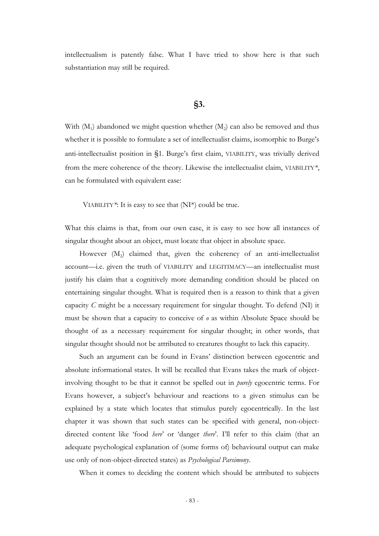intellectualism is patently false. What I have tried to show here is that such substantiation may still be required.

## **§3.**

With  $(M_1)$  abandoned we might question whether  $(M_2)$  can also be removed and thus whether it is possible to formulate a set of intellectualist claims, isomorphic to Burge's anti-intellectualist position in §1. Burge's first claim, VIABILITY, was trivially derived from the mere coherence of the theory. Likewise the intellectualist claim, VIABILITY*\**, can be formulated with equivalent ease:

VIABILITY*\**: It is easy to see that (NI\*) could be true.

What this claims is that, from our own case, it is easy to see how all instances of singular thought about an object, must locate that object in absolute space.

However (M<sub>2</sub>) claimed that, given the coherency of an anti-intellectualist account—i.e. given the truth of VIABILITY and LEGITIMACY—an intellectualist must justify his claim that a cognitively more demanding condition should be placed on entertaining singular thought. What is required then is a reason to think that a given capacity *C* might be a necessary requirement for singular thought. To defend (NI) it must be shown that a capacity to conceive of *o* as within Absolute Space should be thought of as a necessary requirement for singular thought; in other words, that singular thought should not be attributed to creatures thought to lack this capacity.

Such an argument can be found in Evans' distinction between egocentric and absolute informational states. It will be recalled that Evans takes the mark of objectinvolving thought to be that it cannot be spelled out in *purely* egocentric terms. For Evans however, a subject"s behaviour and reactions to a given stimulus can be explained by a state which locates that stimulus purely egocentrically. In the last chapter it was shown that such states can be specified with general, non-objectdirected content like "food *here*" or "danger *there*". I"ll refer to this claim (that an adequate psychological explanation of (some forms of) behavioural output can make use only of non-object-directed states) as *Psychological Parsimony*.

When it comes to deciding the content which should be attributed to subjects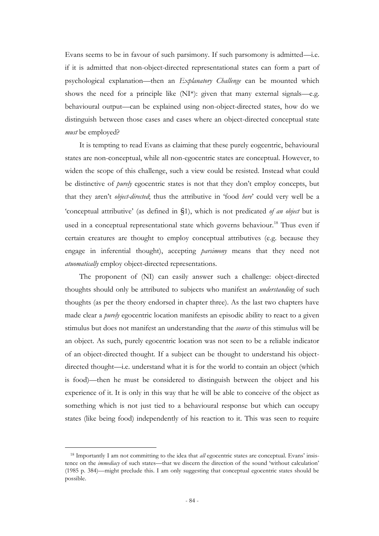Evans seems to be in favour of such parsimony. If such parsomony is admitted—i.e. if it is admitted that non-object-directed representational states can form a part of psychological explanation—then an *Explanatory Challenge* can be mounted which shows the need for a principle like (NI\*): given that many external signals—e.g. behavioural output—can be explained using non-object-directed states, how do we distinguish between those cases and cases where an object-directed conceptual state *must* be employed?

It is tempting to read Evans as claiming that these purely eogcentric, behavioural states are non-conceptual, while all non-egocentric states are conceptual. However, to widen the scope of this challenge, such a view could be resisted. Instead what could be distinctive of *purely* egocentric states is not that they don"t employ concepts, but that they aren"t *object-directed*; thus the attributive in "food *here*" could very well be a "conceptual attributive" (as defined in §1), which is not predicated *of an object* but is used in a conceptual representational state which governs behaviour.<sup>18</sup> Thus even if certain creatures are thought to employ conceptual attributives (e.g. because they engage in inferential thought), accepting *parsimony* means that they need not *atuomatically* employ object-directed representations.

The proponent of (NI) can easily answer such a challenge: object-directed thoughts should only be attributed to subjects who manifest an *understanding* of such thoughts (as per the theory endorsed in chapter three). As the last two chapters have made clear a *purely* egocentric location manifests an episodic ability to react to a given stimulus but does not manifest an understanding that the *source* of this stimulus will be an object. As such, purely egocentric location was not seen to be a reliable indicator of an object-directed thought. If a subject can be thought to understand his objectdirected thought—i.e. understand what it is for the world to contain an object (which is food)—then he must be considered to distinguish between the object and his experience of it. It is only in this way that he will be able to conceive of the object as something which is not just tied to a behavioural response but which can occupy states (like being food) independently of his reaction to it. This was seen to require

-

<sup>&</sup>lt;sup>18</sup> Importantly I am not committing to the idea that *all* egocentric states are conceptual. Evans' insistence on the *immediacy* of such states—that we discern the direction of the sound "without calculation" (1985 p. 384)—might preclude this. I am only suggesting that conceptual egocentric states should be possible.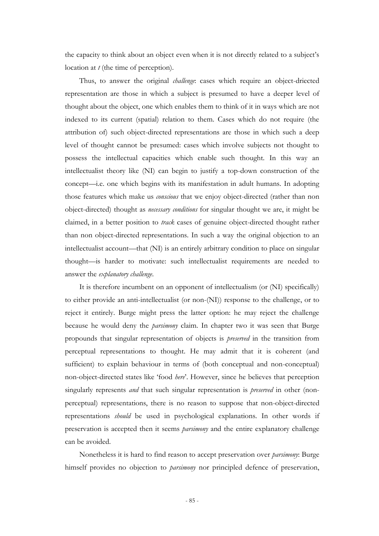the capacity to think about an object even when it is not directly related to a subject's location at *t* (the time of perception).

Thus, to answer the original *challenge*: cases which require an object-driected representation are those in which a subject is presumed to have a deeper level of thought about the object, one which enables them to think of it in ways which are not indexed to its current (spatial) relation to them. Cases which do not require (the attribution of) such object-directed representations are those in which such a deep level of thought cannot be presumed: cases which involve subjects not thought to possess the intellectual capacities which enable such thought. In this way an intellectualist theory like (NI) can begin to justify a top-down construction of the concept—i.e. one which begins with its manifestation in adult humans. In adopting those features which make us *conscious* that we enjoy object-directed (rather than non object-directed) thought as *necessary conditions* for singular thought we are, it might be claimed, in a better position to *track* cases of genuine object-directed thought rather than non object-directed representations. In such a way the original objection to an intellectualist account—that (NI) is an entirely arbitrary condition to place on singular thought—is harder to motivate: such intellectualist requirements are needed to answer the *explanatory challenge*.

It is therefore incumbent on an opponent of intellectualism (or (NI) specifically) to either provide an anti-intellectualist (or non-(NI)) response to the challenge, or to reject it entirely. Burge might press the latter option: he may reject the challenge because he would deny the *parsimony* claim. In chapter two it was seen that Burge propounds that singular representation of objects is *preserved* in the transition from perceptual representations to thought. He may admit that it is coherent (and sufficient) to explain behaviour in terms of (both conceptual and non-conceptual) non-object-directed states like "food *here*". However, since he believes that perception singularly represents *and* that such singular representation is *preserved* in other (nonperceptual) representations, there is no reason to suppose that non-object-directed representations *should* be used in psychological explanations. In other words if preservation is accepted then it seems *parsimony* and the entire explanatory challenge can be avoided.

Nonetheless it is hard to find reason to accept preservation over *parsimony*: Burge himself provides no objection to *parsimony* nor principled defence of preservation,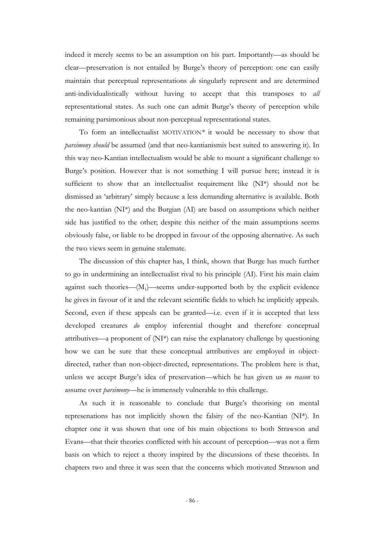indeed it merely seems to be an assumption on his part. Importantly—as should be clear—preservation is not entailed by Burge"s theory of perception: one can easily maintain that perceptual representations *do* singularly represent and are determined anti-individualistically without having to accept that this transposes to *all* representational states. As such one can admit Burge's theory of perception while remaining parsimonious about non-perceptual representational states.

To form an intellectualist MOTIVATION*\** it would be necessary to show that *parsimony should* be assumed (and that neo-kantianismis best suited to answering it). In this way neo-Kantian intellectualism would be able to mount a significant challenge to Burge's position. However that is not something I will pursue here; instead it is sufficient to show that an intellectualist requirement like (NI\*) should not be dismissed as "arbitrary" simply because a less demanding alternative is available. Both the neo-kantian (NI\*) and the Burgian (AI) are based on assumptions which neither side has justified to the other; despite this neither of the main assumptions seems obviously false, or liable to be dropped in favour of the opposing alternative. As such the two views seem in genuine stalemate.

The discussion of this chapter has, I think, shown that Burge has much further to go in undermining an intellectualist rival to his principle (AI). First his main claim against such theories—(M<sub>1</sub>)—seems under-supported both by the explicit evidence he gives in favour of it and the relevant scientific fields to which he implicitly appeals. Second, even if these appeals can be granted—i.e. even if it is accepted that less developed creatures *do* employ inferential thought and therefore conceptual attributives—a proponent of (NI\*) can raise the explanatory challenge by questioning how we can be sure that these conceptual attributives are employed in objectdirected, rather than non-object-directed, representations. The problem here is that, unless we accept Burge"s idea of preservation—which he has given us *no reason* to assume over *parsimony*—he is immensely vulnerable to this challenge.

As such it is reasonable to conclude that Burge's theorising on mental represenations has not implicitly shown the falsity of the neo-Kantian (NI\*). In chapter one it was shown that one of his main objections to both Strawson and Evans—that their theories conflicted with his account of perception—was not a firm basis on which to reject a theory inspired by the discussions of these theorists. In chapters two and three it was seen that the concerns which motivated Strawson and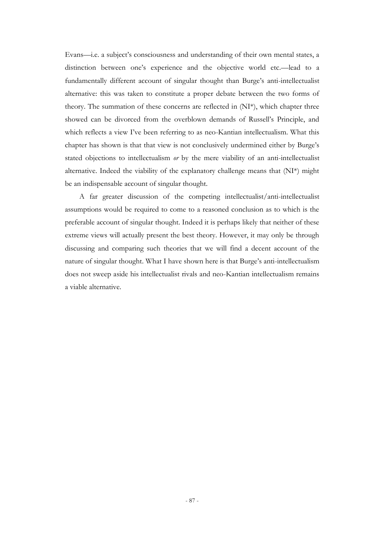Evans—i.e. a subject's consciousness and understanding of their own mental states, a distinction between one's experience and the objective world etc.—lead to a fundamentally different account of singular thought than Burge's anti-intellectualist alternative: this was taken to constitute a proper debate between the two forms of theory. The summation of these concerns are reflected in (NI\*), which chapter three showed can be divorced from the overblown demands of Russell"s Principle, and which reflects a view I've been referring to as neo-Kantian intellectualism. What this chapter has shown is that that view is not conclusively undermined either by Burge"s stated objections to intellectualism *or* by the mere viability of an anti-intellectualist alternative. Indeed the viability of the explanatory challenge means that (NI\*) might be an indispensable account of singular thought.

A far greater discussion of the competing intellectualist/anti-intellectualist assumptions would be required to come to a reasoned conclusion as to which is the preferable account of singular thought. Indeed it is perhaps likely that neither of these extreme views will actually present the best theory. However, it may only be through discussing and comparing such theories that we will find a decent account of the nature of singular thought. What I have shown here is that Burge's anti-intellectualism does not sweep aside his intellectualist rivals and neo-Kantian intellectualism remains a viable alternative.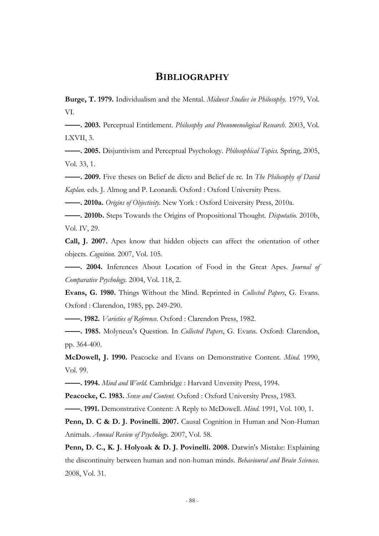## **BIBLIOGRAPHY**

**Burge, T. 1979.** Individualism and the Mental. *Midwest Studies in Philosophy.* 1979, Vol. VI.

**——. 2003.** Perceptual Entitlement. *Philosophy and Phenomenological Research.* 2003, Vol. LXVII, 3.

**——. 2005.** Disjuntivism and Perceptual Psychology. *Philosophical Topics.* Spring, 2005, Vol. 33, 1.

**——. 2009.** Five theses on Belief de dicto and Belief de re. In *The Philosophy of David Kaplan.* eds. J. Almog and P. Leonardi. Oxford : Oxford University Press.

**——. 2010a.** *Origins of Objectivity.* New York : Oxford University Press, 2010a.

**——. 2010b.** Steps Towards the Origins of Propositional Thought. *Disputatio.* 2010b, Vol. IV, 29.

**Call, J. 2007.** Apes know that hidden objects can affect the orientation of other objects. *Cognition.* 2007, Vol. 105.

**——. 2004.** Inferences About Location of Food in the Great Apes. *Journal of Comparative Psychology.* 2004, Vol. 118, 2.

**Evans, G. 1980.** Things Without the Mind. Reprinted in *Collected Papers*, G. Evans*.*  Oxford : Clarendon, 1985, pp. 249-290.

**——. 1982.** *Varieties of Reference.* Oxford : Clarendon Press, 1982.

**——. 1985.** Molyneux's Question. In *Collected Papers*, G. Evans. Oxford: Clarendon, pp. 364-400.

**McDowell, J. 1990.** Peacocke and Evans on Demonstrative Content. *Mind.* 1990, Vol. 99.

**——. 1994.** *Mind and World.* Cambridge : Harvard Unversity Press, 1994.

**Peacocke, C. 1983.** *Sense and Content.* Oxford : Oxford University Press, 1983.

**——. 1991.** Demonstrative Content: A Reply to McDowell. *Mind.* 1991, Vol. 100, 1.

Penn, D. C & D. J. Povinelli. 2007. Causal Cognition in Human and Non-Human Animals. *Annual Review of Psychology.* 2007, Vol. 58.

**Penn, D. C., K. J. Holyoak & D. J. Povinelli. 2008.** Darwin's Mistake: Explaining the discontinuity between human and non-human minds. *Behavioural and Brain Sciences.*  2008, Vol. 31.